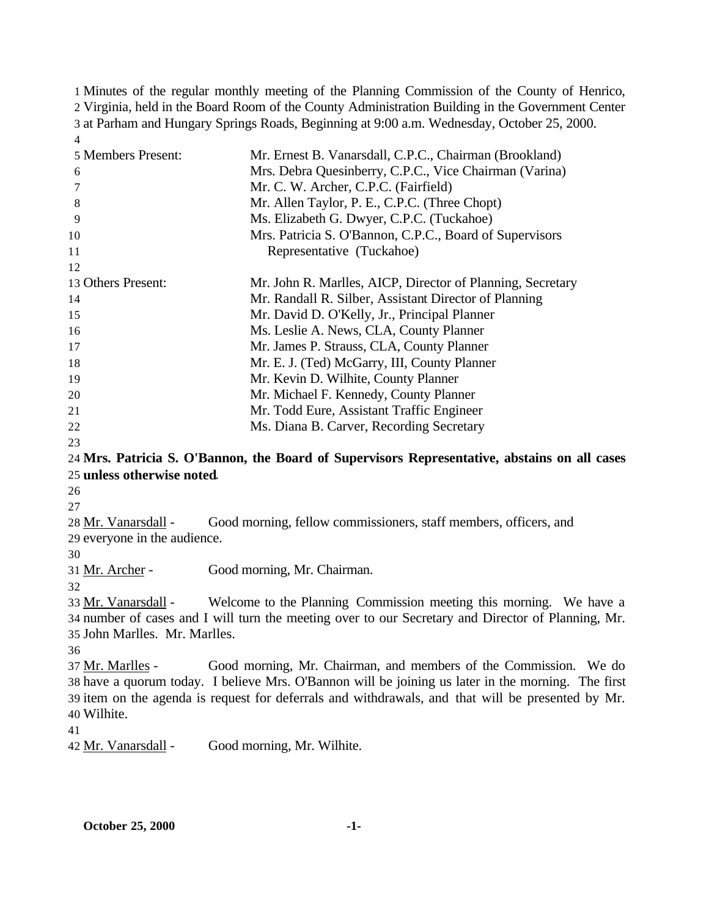Minutes of the regular monthly meeting of the Planning Commission of the County of Henrico, Virginia, held in the Board Room of the County Administration Building in the Government Center at Parham and Hungary Springs Roads, Beginning at 9:00 a.m. Wednesday, October 25, 2000. 

| 5 Members Present:            | Mr. Ernest B. Vanarsdall, C.P.C., Chairman (Brookland)                                             |
|-------------------------------|----------------------------------------------------------------------------------------------------|
| 6                             | Mrs. Debra Quesinberry, C.P.C., Vice Chairman (Varina)                                             |
| 7                             | Mr. C. W. Archer, C.P.C. (Fairfield)                                                               |
| 8                             | Mr. Allen Taylor, P. E., C.P.C. (Three Chopt)                                                      |
| 9                             | Ms. Elizabeth G. Dwyer, C.P.C. (Tuckahoe)                                                          |
| 10                            | Mrs. Patricia S. O'Bannon, C.P.C., Board of Supervisors                                            |
| 11                            | Representative (Tuckahoe)                                                                          |
| 12                            |                                                                                                    |
| 13 Others Present:            | Mr. John R. Marlles, AICP, Director of Planning, Secretary                                         |
| 14                            | Mr. Randall R. Silber, Assistant Director of Planning                                              |
| 15                            | Mr. David D. O'Kelly, Jr., Principal Planner                                                       |
| 16                            | Ms. Leslie A. News, CLA, County Planner                                                            |
| 17                            | Mr. James P. Strauss, CLA, County Planner                                                          |
| 18                            | Mr. E. J. (Ted) McGarry, III, County Planner                                                       |
| 19                            | Mr. Kevin D. Wilhite, County Planner                                                               |
| 20                            | Mr. Michael F. Kennedy, County Planner                                                             |
| 21                            | Mr. Todd Eure, Assistant Traffic Engineer                                                          |
| 22                            | Ms. Diana B. Carver, Recording Secretary                                                           |
| 23                            |                                                                                                    |
|                               | 24 Mrs. Patricia S. O'Bannon, the Board of Supervisors Representative, abstains on all cases       |
| 25 unless otherwise noted.    |                                                                                                    |
| 26                            |                                                                                                    |
| 27                            |                                                                                                    |
| 28 Mr. Vanarsdall -           | Good morning, fellow commissioners, staff members, officers, and                                   |
| 29 everyone in the audience.  |                                                                                                    |
| 30                            |                                                                                                    |
| 31 Mr. Archer -               | Good morning, Mr. Chairman.                                                                        |
| 32                            |                                                                                                    |
| 33 Mr. Vanarsdall -           | Welcome to the Planning Commission meeting this morning. We have a                                 |
|                               | 34 number of cases and I will turn the meeting over to our Secretary and Director of Planning, Mr. |
| 35 John Marlles. Mr. Marlles. |                                                                                                    |
| 36                            |                                                                                                    |
| 37 Mr. Marlles -              | Good morning, Mr. Chairman, and members of the Commission. We do                                   |
|                               | 38 have a quorum today. I believe Mrs. O'Bannon will be joining us later in the morning. The first |
|                               | 39 item on the agenda is request for deferrals and withdrawals, and that will be presented by Mr.  |
| 40 Wilhite.                   |                                                                                                    |
| 41                            |                                                                                                    |
| 42 Mr. Vanarsdall -           | Good morning, Mr. Wilhite.                                                                         |
|                               |                                                                                                    |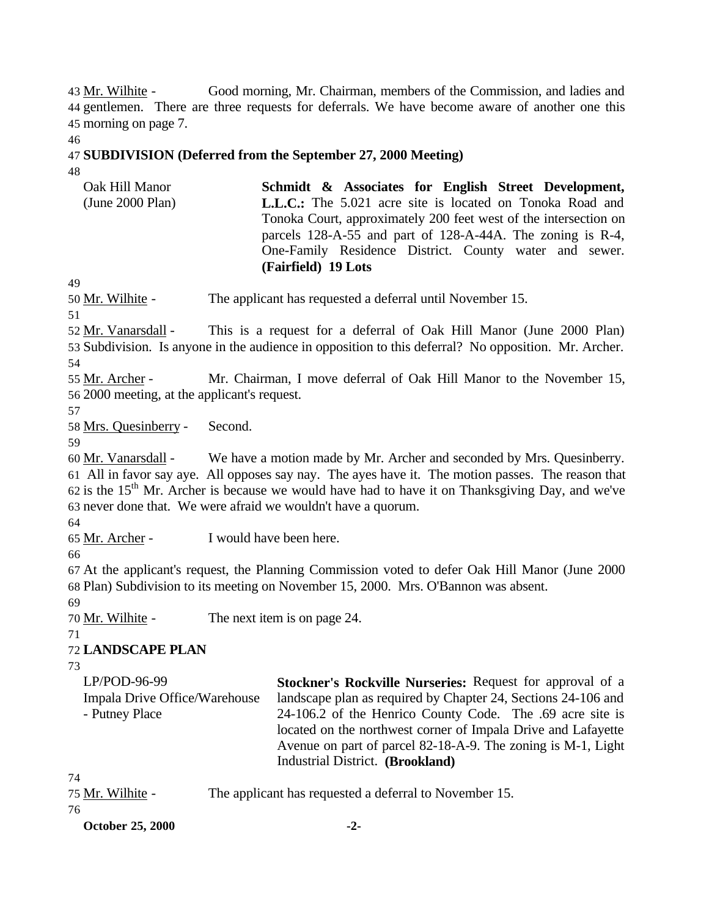43 Mr. Wilhite - Good morning, Mr. Chairman, members of the Commission, and ladies and 44 gentlemen. There are three requests for deferrals. We have become aware of another one this 45 morning on page 7.

46

### 47 **SUBDIVISION (Deferred from the September 27, 2000 Meeting)**

48

| Oak Hill Manor   | Schmidt & Associates for English Street Development,             |
|------------------|------------------------------------------------------------------|
| (June 2000 Plan) | <b>L.L.C.:</b> The 5.021 acre site is located on Tonoka Road and |
|                  | Tonoka Court, approximately 200 feet west of the intersection on |
|                  | parcels 128-A-55 and part of 128-A-44A. The zoning is R-4,       |
|                  | One-Family Residence District. County water and sewer.           |
|                  | (Fairfield) 19 Lots                                              |

49

50 Mr. Wilhite - The applicant has requested a deferral until November 15.

51

52 Mr. Vanarsdall - This is a request for a deferral of Oak Hill Manor (June 2000 Plan) 53 Subdivision. Is anyone in the audience in opposition to this deferral? No opposition. Mr. Archer. 54

55 Mr. Archer - Mr. Chairman, I move deferral of Oak Hill Manor to the November 15, 56 2000 meeting, at the applicant's request.

57

58 Mrs. Quesinberry - Second.

59

 Mr. Vanarsdall - We have a motion made by Mr. Archer and seconded by Mrs. Quesinberry. All in favor say aye. All opposes say nay. The ayes have it. The motion passes. The reason that 62 is the 15<sup>th</sup> Mr. Archer is because we would have had to have it on Thanksgiving Day, and we've never done that. We were afraid we wouldn't have a quorum.

64

65 Mr. Archer - I would have been here.

66

67 At the applicant's request, the Planning Commission voted to defer Oak Hill Manor (June 2000 68 Plan) Subdivision to its meeting on November 15, 2000. Mrs. O'Bannon was absent.

69

70 Mr. Wilhite - The next item is on page 24.

71

72 **LANDSCAPE PLAN**

73

| $LP/POD-96-99$                | <b>Stockner's Rockville Nurseries: Request for approval of a</b> |
|-------------------------------|------------------------------------------------------------------|
| Impala Drive Office/Warehouse | landscape plan as required by Chapter 24, Sections 24-106 and    |
| - Putney Place                | 24-106.2 of the Henrico County Code. The .69 acre site is        |
|                               | located on the northwest corner of Impala Drive and Lafayette    |
|                               | Avenue on part of parcel 82-18-A-9. The zoning is M-1, Light     |
|                               | Industrial District. (Brookland)                                 |

74

| 75 Mr. Wilhite - | The applicant has requested a deferral to November 15. |  |
|------------------|--------------------------------------------------------|--|
|------------------|--------------------------------------------------------|--|

76

| <b>October 25, 2000</b> | - 4- |
|-------------------------|------|
|                         |      |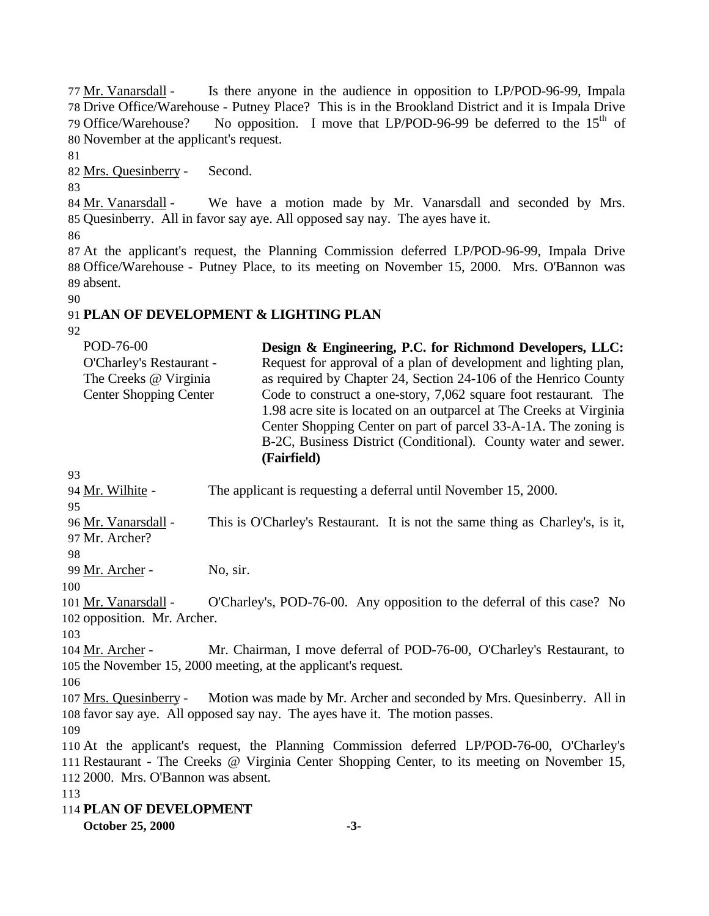Mr. Vanarsdall - Is there anyone in the audience in opposition to LP/POD-96-99, Impala Drive Office/Warehouse - Putney Place? This is in the Brookland District and it is Impala Drive 79 Office/Warehouse? No opposition. I move that LP/POD-96-99 be deferred to the  $15<sup>th</sup>$  of November at the applicant's request.

Mrs. Quesinberry - Second.

84 Mr. Vanarsdall - We have a motion made by Mr. Vanarsdall and seconded by Mrs. Quesinberry. All in favor say aye. All opposed say nay. The ayes have it.

 At the applicant's request, the Planning Commission deferred LP/POD-96-99, Impala Drive Office/Warehouse - Putney Place, to its meeting on November 15, 2000. Mrs. O'Bannon was absent. 

# **PLAN OF DEVELOPMENT & LIGHTING PLAN**

| POD-76-00                     | Design & Engineering, P.C. for Richmond Developers, LLC:            |
|-------------------------------|---------------------------------------------------------------------|
| O'Charley's Restaurant -      | Request for approval of a plan of development and lighting plan,    |
| The Creeks @ Virginia         | as required by Chapter 24, Section 24-106 of the Henrico County     |
| <b>Center Shopping Center</b> | Code to construct a one-story, 7,062 square foot restaurant. The    |
|                               | 1.98 acre site is located on an outparcel at The Creeks at Virginia |
|                               | Center Shopping Center on part of parcel 33-A-1A. The zoning is     |
|                               | B-2C, Business District (Conditional). County water and sewer.      |
|                               | (Fairfield)                                                         |

 Mr. Wilhite - The applicant is requesting a deferral until November 15, 2000. 

 Mr. Vanarsdall - This is O'Charley's Restaurant. It is not the same thing as Charley's, is it, Mr. Archer?

Mr. Archer - No, sir.

101 Mr. Vanarsdall - O'Charley's, POD-76-00. Any opposition to the deferral of this case? No opposition. Mr. Archer.

 Mr. Archer - Mr. Chairman, I move deferral of POD-76-00, O'Charley's Restaurant, to the November 15, 2000 meeting, at the applicant's request.

 Mrs. Quesinberry - Motion was made by Mr. Archer and seconded by Mrs. Quesinberry. All in favor say aye. All opposed say nay. The ayes have it. The motion passes. 

 At the applicant's request, the Planning Commission deferred LP/POD-76-00, O'Charley's Restaurant - The Creeks @ Virginia Center Shopping Center, to its meeting on November 15, 2000. Mrs. O'Bannon was absent.

**PLAN OF DEVELOPMENT**

**October 25, 2000 -3-**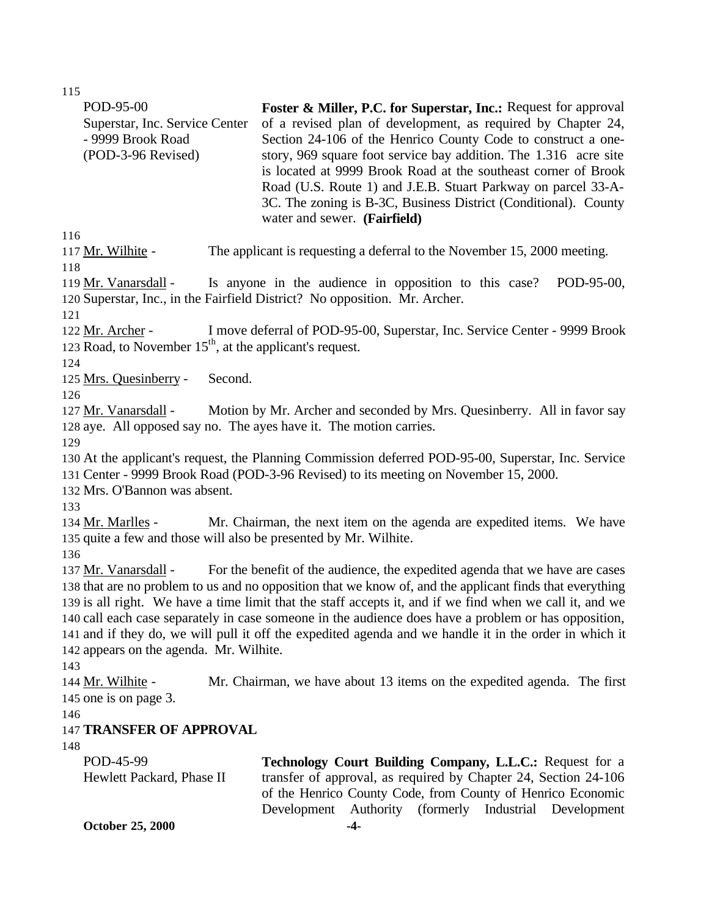| POD-95-00<br>Superstar, Inc. Service Center<br>- 9999 Brook Road<br>(POD-3-96 Revised)                   | Foster & Miller, P.C. for Superstar, Inc.: Request for approval<br>of a revised plan of development, as required by Chapter 24,<br>Section 24-106 of the Henrico County Code to construct a one-<br>story, 969 square foot service bay addition. The 1.316 acre site<br>is located at 9999 Brook Road at the southeast corner of Brook<br>Road (U.S. Route 1) and J.E.B. Stuart Parkway on parcel 33-A-<br>3C. The zoning is B-3C, Business District (Conditional). County<br>water and sewer. (Fairfield)             |
|----------------------------------------------------------------------------------------------------------|------------------------------------------------------------------------------------------------------------------------------------------------------------------------------------------------------------------------------------------------------------------------------------------------------------------------------------------------------------------------------------------------------------------------------------------------------------------------------------------------------------------------|
| 116<br>117 Mr. Wilhite -<br>118                                                                          | The applicant is requesting a deferral to the November 15, 2000 meeting.                                                                                                                                                                                                                                                                                                                                                                                                                                               |
| 119 Mr. Vanarsdall -<br>121                                                                              | Is anyone in the audience in opposition to this case?<br>POD-95-00,<br>120 Superstar, Inc., in the Fairfield District? No opposition. Mr. Archer.                                                                                                                                                                                                                                                                                                                                                                      |
| 122 Mr. Archer -<br>123 Road, to November $15th$ , at the applicant's request.<br>124                    | I move deferral of POD-95-00, Superstar, Inc. Service Center - 9999 Brook                                                                                                                                                                                                                                                                                                                                                                                                                                              |
| 125 Mrs. Quesinberry -<br>Second.                                                                        |                                                                                                                                                                                                                                                                                                                                                                                                                                                                                                                        |
| 126<br>127 Mr. Vanarsdall -<br>128 aye. All opposed say no. The ayes have it. The motion carries.<br>129 | Motion by Mr. Archer and seconded by Mrs. Quesinberry. All in favor say                                                                                                                                                                                                                                                                                                                                                                                                                                                |
| 132 Mrs. O'Bannon was absent.                                                                            | 130 At the applicant's request, the Planning Commission deferred POD-95-00, Superstar, Inc. Service<br>131 Center - 9999 Brook Road (POD-3-96 Revised) to its meeting on November 15, 2000.                                                                                                                                                                                                                                                                                                                            |
| 133<br>134 Mr. Marlles -<br>135 quite a few and those will also be presented by Mr. Wilhite.<br>136      | Mr. Chairman, the next item on the agenda are expedited items. We have                                                                                                                                                                                                                                                                                                                                                                                                                                                 |
| 137 Mr. Vanarsdall -<br>142 appears on the agenda. Mr. Wilhite.<br>143                                   | For the benefit of the audience, the expedited agenda that we have are cases<br>138 that are no problem to us and no opposition that we know of, and the applicant finds that everything<br>139 is all right. We have a time limit that the staff accepts it, and if we find when we call it, and we<br>140 call each case separately in case someone in the audience does have a problem or has opposition,<br>141 and if they do, we will pull it off the expedited agenda and we handle it in the order in which it |
| 144 Mr. Wilhite -<br>145 one is on page 3.<br>146                                                        | Mr. Chairman, we have about 13 items on the expedited agenda. The first                                                                                                                                                                                                                                                                                                                                                                                                                                                |
| <b>147 TRANSFER OF APPROVAL</b>                                                                          |                                                                                                                                                                                                                                                                                                                                                                                                                                                                                                                        |
| 148<br>POD-45-99<br>Hewlett Packard, Phase II                                                            | Technology Court Building Company, L.L.C.: Request for a<br>transfer of approval, as required by Chapter 24, Section 24-106<br>of the Henrico County Code, from County of Henrico Economic<br>Development<br>Authority (formerly<br>Industrial<br>Development                                                                                                                                                                                                                                                          |
| <b>October 25, 2000</b>                                                                                  | $-4-$                                                                                                                                                                                                                                                                                                                                                                                                                                                                                                                  |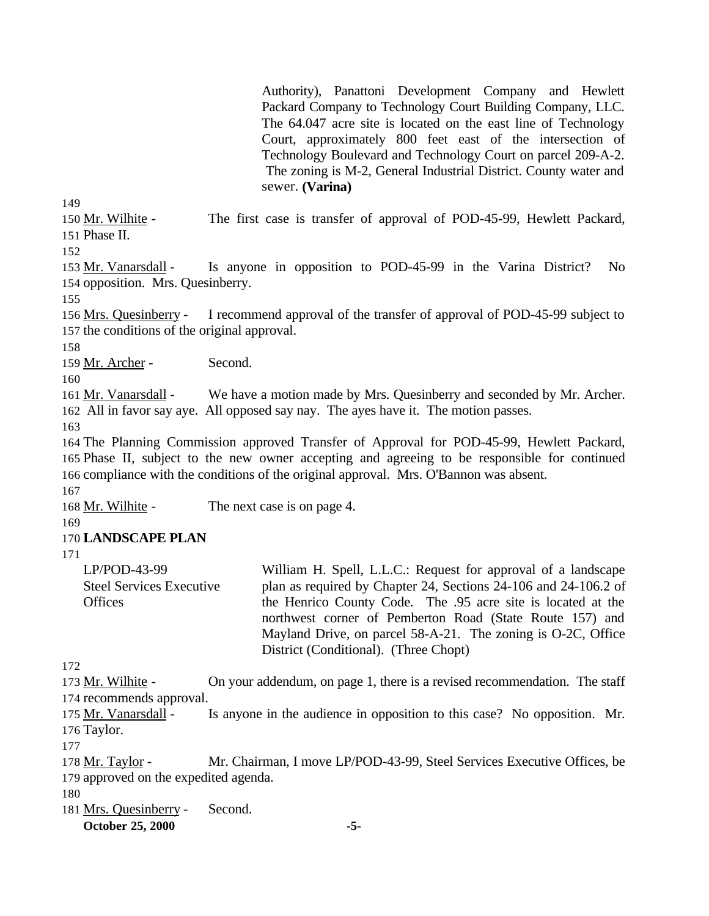Authority), Panattoni Development Company and Hewlett Packard Company to Technology Court Building Company, LLC. The 64.047 acre site is located on the east line of Technology Court, approximately 800 feet east of the intersection of Technology Boulevard and Technology Court on parcel 209-A-2. The zoning is M-2, General Industrial District. County water and sewer. **(Varina)** 

149

150 Mr. Wilhite - The first case is transfer of approval of POD-45-99, Hewlett Packard, 151 Phase II.

152

153 Mr. Vanarsdall - Is anyone in opposition to POD-45-99 in the Varina District? No 154 opposition. Mrs. Quesinberry.

155

156 Mrs. Quesinberry - I recommend approval of the transfer of approval of POD-45-99 subject to 157 the conditions of the original approval.

158

159 Mr. Archer - Second.

160

161 Mr. Vanarsdall - We have a motion made by Mrs. Quesinberry and seconded by Mr. Archer. 162 All in favor say aye. All opposed say nay. The ayes have it. The motion passes.

163

164 The Planning Commission approved Transfer of Approval for POD-45-99, Hewlett Packard, 165 Phase II, subject to the new owner accepting and agreeing to be responsible for continued 166 compliance with the conditions of the original approval. Mrs. O'Bannon was absent.

167

168 Mr. Wilhite - The next case is on page 4.

169

#### 170 **LANDSCAPE PLAN**

171

| $LP/POD-43-99$                  | William H. Spell, L.L.C.: Request for approval of a landscape   |
|---------------------------------|-----------------------------------------------------------------|
| <b>Steel Services Executive</b> | plan as required by Chapter 24, Sections 24-106 and 24-106.2 of |
| <b>Offices</b>                  | the Henrico County Code. The .95 acre site is located at the    |
|                                 | northwest corner of Pemberton Road (State Route 157) and        |
|                                 | Mayland Drive, on parcel 58-A-21. The zoning is O-2C, Office    |
|                                 | District (Conditional). (Three Chopt)                           |

172

173 Mr. Wilhite - On your addendum, on page 1, there is a revised recommendation. The staff 174 recommends approval.

175 Mr. Vanarsdall - Is anyone in the audience in opposition to this case? No opposition. Mr. 176 Taylor.

177

178 Mr. Taylor - Mr. Chairman, I move LP/POD-43-99, Steel Services Executive Offices, be 179 approved on the expedited agenda.

180

181 Mrs. Quesinberry - Second.

**October 25, 2000 -5-**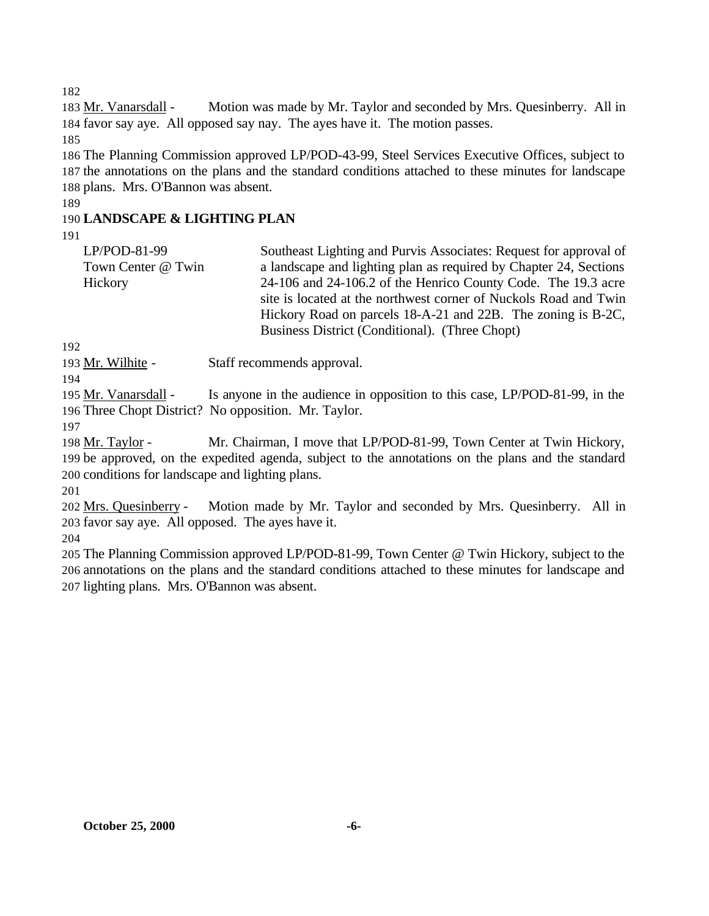183 Mr. Vanarsdall - Motion was made by Mr. Taylor and seconded by Mrs. Quesinberry. All in favor say aye. All opposed say nay. The ayes have it. The motion passes.

 The Planning Commission approved LP/POD-43-99, Steel Services Executive Offices, subject to the annotations on the plans and the standard conditions attached to these minutes for landscape plans. Mrs. O'Bannon was absent.

### **LANDSCAPE & LIGHTING PLAN**

| LP/POD-81-99       | Southeast Lighting and Purvis Associates: Request for approval of |
|--------------------|-------------------------------------------------------------------|
| Town Center @ Twin | a landscape and lighting plan as required by Chapter 24, Sections |
| Hickory            | 24-106 and 24-106.2 of the Henrico County Code. The 19.3 acre     |
|                    | site is located at the northwest corner of Nuckols Road and Twin  |
|                    | Hickory Road on parcels 18-A-21 and 22B. The zoning is B-2C,      |
|                    | Business District (Conditional). (Three Chopt)                    |

193 Mr. Wilhite - Staff recommends approval.

 Mr. Vanarsdall - Is anyone in the audience in opposition to this case, LP/POD-81-99, in the Three Chopt District? No opposition. Mr. Taylor.

198 Mr. Taylor - Mr. Chairman, I move that LP/POD-81-99, Town Center at Twin Hickory, be approved, on the expedited agenda, subject to the annotations on the plans and the standard conditions for landscape and lighting plans.

202 Mrs. Quesinberry - Motion made by Mr. Taylor and seconded by Mrs. Quesinberry. All in favor say aye. All opposed. The ayes have it.

 The Planning Commission approved LP/POD-81-99, Town Center @ Twin Hickory, subject to the annotations on the plans and the standard conditions attached to these minutes for landscape and lighting plans. Mrs. O'Bannon was absent.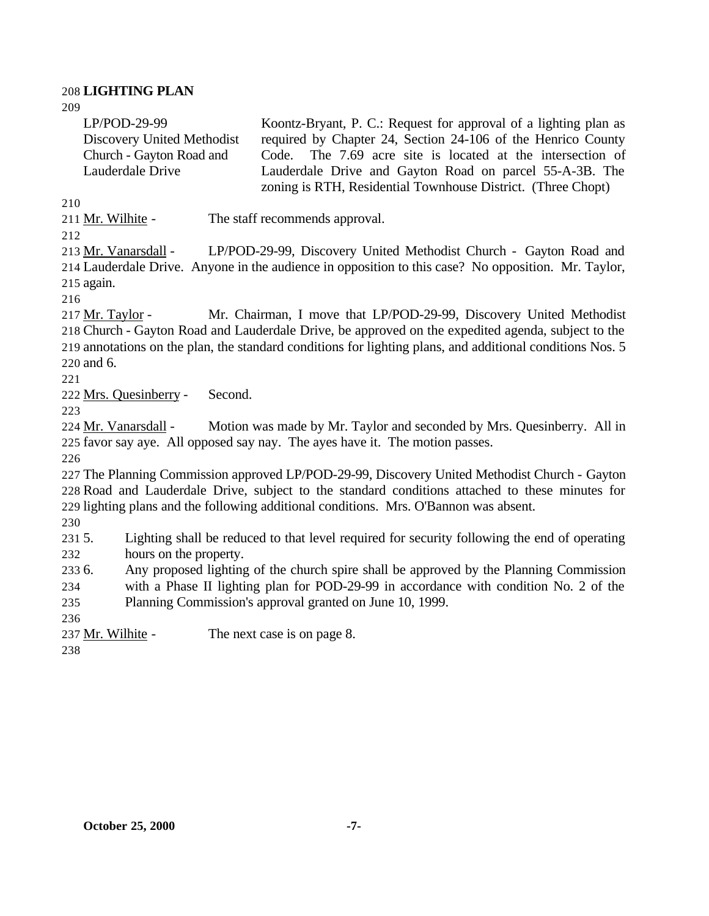#### **LIGHTING PLAN**

| $LP/POD-29-99$             | Koontz-Bryant, P. C.: Request for approval of a lighting plan as |
|----------------------------|------------------------------------------------------------------|
| Discovery United Methodist | required by Chapter 24, Section 24-106 of the Henrico County     |
| Church - Gayton Road and   | Code. The 7.69 acre site is located at the intersection of       |
| Lauderdale Drive           | Lauderdale Drive and Gayton Road on parcel 55-A-3B. The          |
|                            | zoning is RTH, Residential Townhouse District. (Three Chopt)     |

Mr. Wilhite - The staff recommends approval.

 Mr. Vanarsdall - LP/POD-29-99, Discovery United Methodist Church - Gayton Road and Lauderdale Drive. Anyone in the audience in opposition to this case? No opposition. Mr. Taylor, again.

 Mr. Taylor - Mr. Chairman, I move that LP/POD-29-99, Discovery United Methodist Church - Gayton Road and Lauderdale Drive, be approved on the expedited agenda, subject to the annotations on the plan, the standard conditions for lighting plans, and additional conditions Nos. 5 and 6.

Mrs. Quesinberry - Second.

 Mr. Vanarsdall - Motion was made by Mr. Taylor and seconded by Mrs. Quesinberry. All in favor say aye. All opposed say nay. The ayes have it. The motion passes.

 The Planning Commission approved LP/POD-29-99, Discovery United Methodist Church - Gayton Road and Lauderdale Drive, subject to the standard conditions attached to these minutes for lighting plans and the following additional conditions. Mrs. O'Bannon was absent.

 5. Lighting shall be reduced to that level required for security following the end of operating hours on the property.

 6. Any proposed lighting of the church spire shall be approved by the Planning Commission with a Phase II lighting plan for POD-29-99 in accordance with condition No. 2 of the

Planning Commission's approval granted on June 10, 1999.

237 Mr. Wilhite - The next case is on page 8.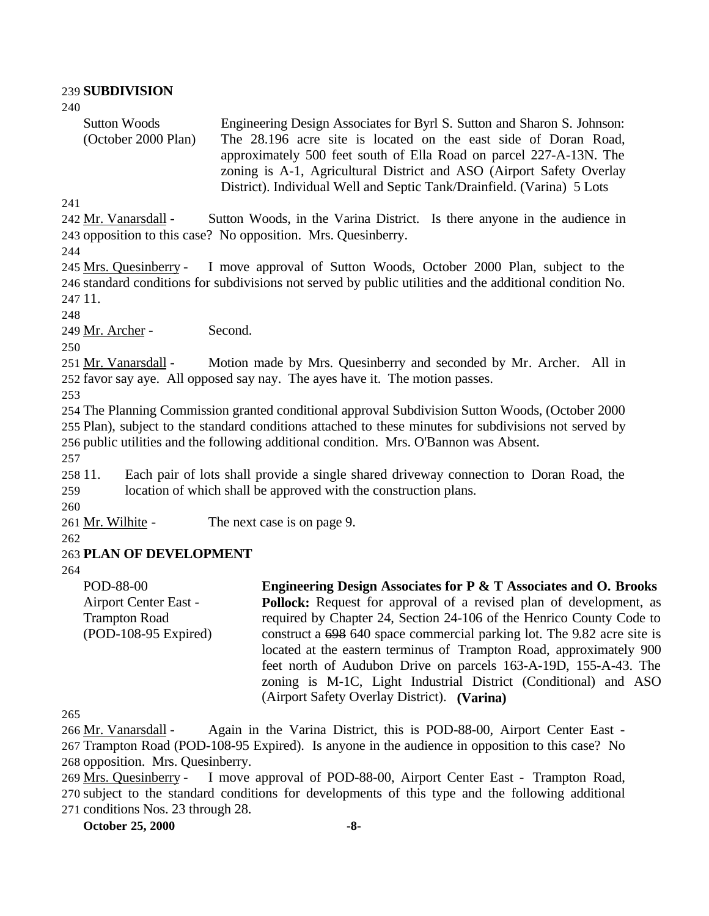#### 239 **SUBDIVISION** 240 Sutton Woods (October 2000 Plan) Engineering Design Associates for Byrl S. Sutton and Sharon S. Johnson: The 28.196 acre site is located on the east side of Doran Road, approximately 500 feet south of Ella Road on parcel 227-A-13N. The zoning is A-1, Agricultural District and ASO (Airport Safety Overlay District). Individual Well and Septic Tank/Drainfield. (Varina) 5 Lots 241 242 Mr. Vanarsdall - Sutton Woods, in the Varina District. Is there anyone in the audience in 243 opposition to this case? No opposition. Mrs. Quesinberry. 244 245 Mrs. Quesinberry - I move approval of Sutton Woods, October 2000 Plan, subject to the 246 standard conditions for subdivisions not served by public utilities and the additional condition No. 247 11. 248 249 Mr. Archer - Second. 250 251 Mr. Vanarsdall - Motion made by Mrs. Quesinberry and seconded by Mr. Archer. All in 252 favor say aye. All opposed say nay. The ayes have it. The motion passes. 253 254 The Planning Commission granted conditional approval Subdivision Sutton Woods, (October 2000 255 Plan), subject to the standard conditions attached to these minutes for subdivisions not served by 256 public utilities and the following additional condition. Mrs. O'Bannon was Absent. 257 258 11. Each pair of lots shall provide a single shared driveway connection to Doran Road, the 259 location of which shall be approved with the construction plans. 260 261 Mr. Wilhite - The next case is on page 9. 262 263 **PLAN OF DEVELOPMENT** 264 POD-88-00 Airport Center East - Trampton Road (POD-108-95 Expired) **Engineering Design Associates for P & T Associates and O. Brooks Pollock:** Request for approval of a revised plan of development, as required by Chapter 24, Section 24-106 of the Henrico County Code to construct a 698 640 space commercial parking lot. The 9.82 acre site is located at the eastern terminus of Trampton Road, approximately 900 feet north of Audubon Drive on parcels 163-A-19D, 155-A-43. The zoning is M-1C, Light Industrial District (Conditional) and ASO (Airport Safety Overlay District). **(Varina)**

265

266 Mr. Vanarsdall - Again in the Varina District, this is POD-88-00, Airport Center East - 267 Trampton Road (POD-108-95 Expired). Is anyone in the audience in opposition to this case? No 268 opposition. Mrs. Quesinberry.

269 Mrs. Quesinberry - I move approval of POD-88-00, Airport Center East - Trampton Road, 270 subject to the standard conditions for developments of this type and the following additional

271 conditions Nos. 23 through 28.

**October 25, 2000 -8-**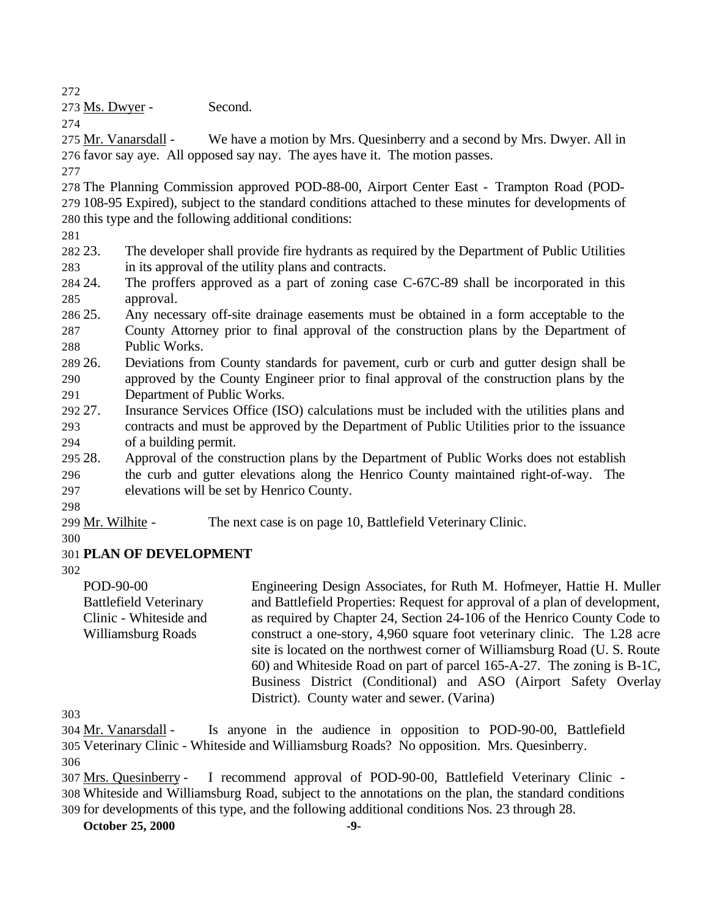273 Ms. Dwyer - Second.

275 Mr. Vanarsdall - We have a motion by Mrs. Quesinberry and a second by Mrs. Dwyer. All in favor say aye. All opposed say nay. The ayes have it. The motion passes. 

- The Planning Commission approved POD-88-00, Airport Center East Trampton Road (POD- 108-95 Expired), subject to the standard conditions attached to these minutes for developments of this type and the following additional conditions:
- 
- 23. The developer shall provide fire hydrants as required by the Department of Public Utilities in its approval of the utility plans and contracts.
- 24. The proffers approved as a part of zoning case C-67C-89 shall be incorporated in this approval.
- 25. Any necessary off-site drainage easements must be obtained in a form acceptable to the County Attorney prior to final approval of the construction plans by the Department of Public Works.
- 26. Deviations from County standards for pavement, curb or curb and gutter design shall be approved by the County Engineer prior to final approval of the construction plans by the Department of Public Works.
- 27. Insurance Services Office (ISO) calculations must be included with the utilities plans and contracts and must be approved by the Department of Public Utilities prior to the issuance of a building permit.
- 28. Approval of the construction plans by the Department of Public Works does not establish the curb and gutter elevations along the Henrico County maintained right-of-way. The elevations will be set by Henrico County.
- 

Mr. Wilhite - The next case is on page 10, Battlefield Veterinary Clinic.

# **PLAN OF DEVELOPMENT**

POD-90-00 Battlefield Veterinary Clinic - Whiteside and Williamsburg Roads Engineering Design Associates, for Ruth M. Hofmeyer, Hattie H. Muller and Battlefield Properties: Request for approval of a plan of development, as required by Chapter 24, Section 24-106 of the Henrico County Code to construct a one-story, 4,960 square foot veterinary clinic. The 1.28 acre site is located on the northwest corner of Williamsburg Road (U. S. Route 60) and Whiteside Road on part of parcel 165-A-27. The zoning is B-1C, Business District (Conditional) and ASO (Airport Safety Overlay District). County water and sewer. (Varina)

 Mr. Vanarsdall - Is anyone in the audience in opposition to POD-90-00, Battlefield Veterinary Clinic - Whiteside and Williamsburg Roads? No opposition. Mrs. Quesinberry.

for developments of this type, and the following additional conditions Nos. 23 through 28.

**October 25, 2000 -9-**

 Mrs. Quesinberry - I recommend approval of POD-90-00, Battlefield Veterinary Clinic - Whiteside and Williamsburg Road, subject to the annotations on the plan, the standard conditions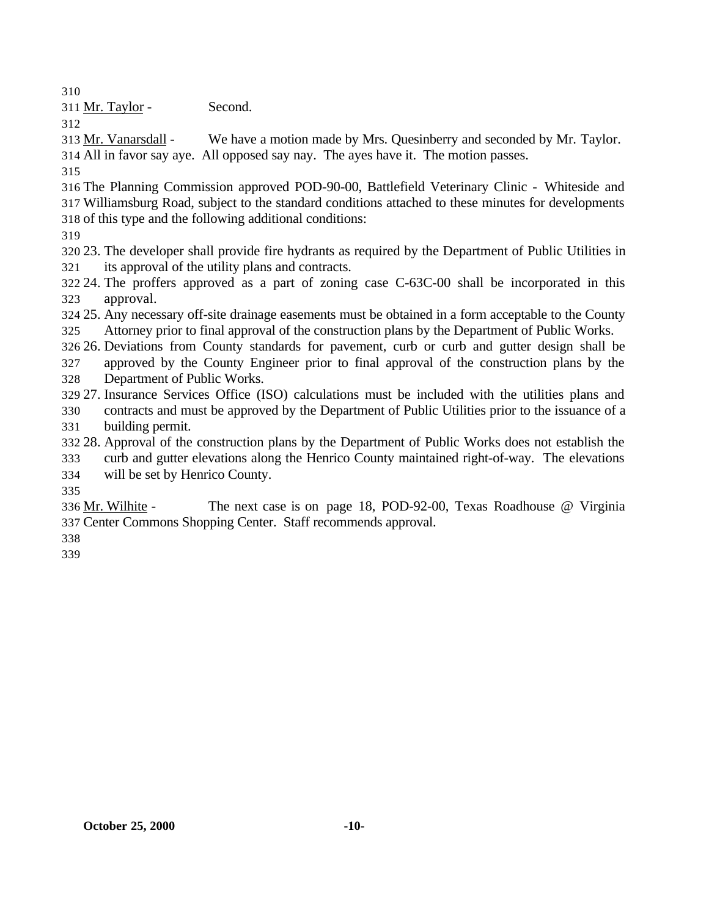311 Mr. Taylor - Second.

 Mr. Vanarsdall - We have a motion made by Mrs. Quesinberry and seconded by Mr. Taylor. All in favor say aye. All opposed say nay. The ayes have it. The motion passes.

- 
- The Planning Commission approved POD-90-00, Battlefield Veterinary Clinic Whiteside and Williamsburg Road, subject to the standard conditions attached to these minutes for developments of this type and the following additional conditions:
- 
- 23. The developer shall provide fire hydrants as required by the Department of Public Utilities in its approval of the utility plans and contracts.
- 24. The proffers approved as a part of zoning case C-63C-00 shall be incorporated in this approval.
- 25. Any necessary off-site drainage easements must be obtained in a form acceptable to the County Attorney prior to final approval of the construction plans by the Department of Public Works.
- 26. Deviations from County standards for pavement, curb or curb and gutter design shall be approved by the County Engineer prior to final approval of the construction plans by the
- Department of Public Works.
- 27. Insurance Services Office (ISO) calculations must be included with the utilities plans and
- contracts and must be approved by the Department of Public Utilities prior to the issuance of a building permit.
- 28. Approval of the construction plans by the Department of Public Works does not establish the
- curb and gutter elevations along the Henrico County maintained right-of-way. The elevations
- will be set by Henrico County.

 Mr. Wilhite - The next case is on page 18, POD-92-00, Texas Roadhouse @ Virginia Center Commons Shopping Center. Staff recommends approval.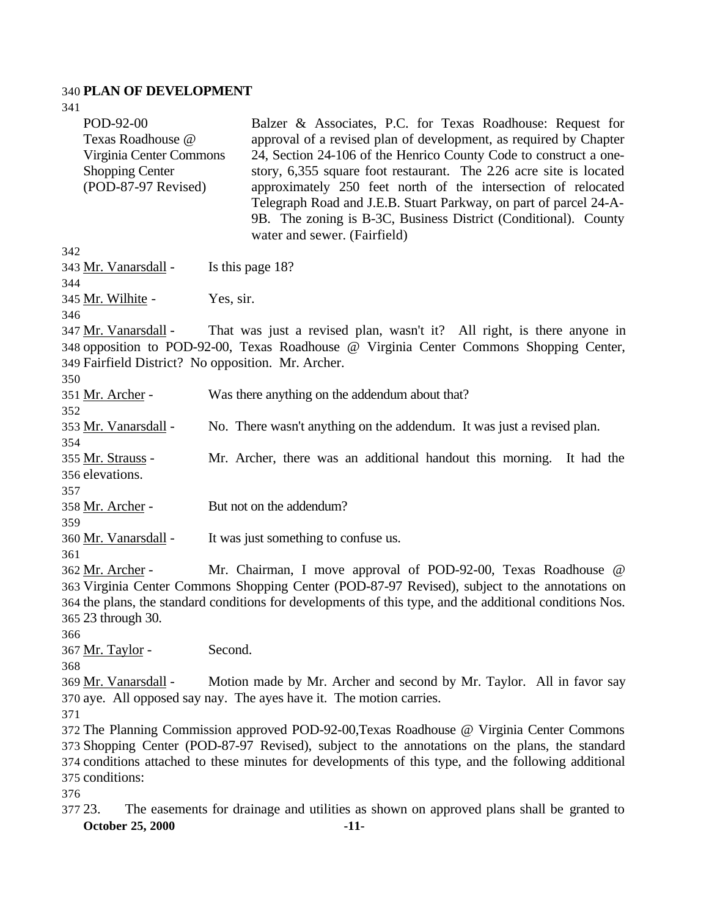# **PLAN OF DEVELOPMENT**

| 376<br>377 23.          | The easements for drainage and utilities as shown on approved plans shall be granted to                  |
|-------------------------|----------------------------------------------------------------------------------------------------------|
|                         |                                                                                                          |
|                         |                                                                                                          |
| 375 conditions:         |                                                                                                          |
|                         | 374 conditions attached to these minutes for developments of this type, and the following additional     |
|                         | 373 Shopping Center (POD-87-97 Revised), subject to the annotations on the plans, the standard           |
|                         | 372 The Planning Commission approved POD-92-00, Texas Roadhouse @ Virginia Center Commons                |
| 371                     |                                                                                                          |
|                         | 370 aye. All opposed say nay. The ayes have it. The motion carries.                                      |
| 369 Mr. Vanarsdall -    | Motion made by Mr. Archer and second by Mr. Taylor. All in favor say                                     |
| 368                     |                                                                                                          |
| 367 <u>Mr. Taylor</u> - |                                                                                                          |
|                         | Second.                                                                                                  |
| 366                     |                                                                                                          |
| 365 23 through 30.      |                                                                                                          |
|                         | 364 the plans, the standard conditions for developments of this type, and the additional conditions Nos. |
|                         | 363 Virginia Center Commons Shopping Center (POD-87-97 Revised), subject to the annotations on           |
| 362 Mr. Archer -        | Mr. Chairman, I move approval of POD-92-00, Texas Roadhouse @                                            |
| 361                     |                                                                                                          |
| 360 Mr. Vanarsdall -    | It was just something to confuse us.                                                                     |
| 359                     |                                                                                                          |
| 358 Mr. Archer -        | But not on the addendum?                                                                                 |
| 357                     |                                                                                                          |
| 356 elevations.         |                                                                                                          |
|                         |                                                                                                          |
| 355 Mr. Strauss -       | Mr. Archer, there was an additional handout this morning. It had the                                     |
| 354                     |                                                                                                          |
| 353 Mr. Vanarsdall -    | No. There wasn't anything on the addendum. It was just a revised plan.                                   |
| 352                     |                                                                                                          |
| 351 Mr. Archer -        | Was there anything on the addendum about that?                                                           |
| 350                     |                                                                                                          |
|                         | 349 Fairfield District? No opposition. Mr. Archer.                                                       |
|                         | 348 opposition to POD-92-00, Texas Roadhouse @ Virginia Center Commons Shopping Center,                  |
| 347 Mr. Vanarsdall -    | That was just a revised plan, wasn't it? All right, is there anyone in                                   |
| 346                     |                                                                                                          |
| 345 Mr. Wilhite -       | Yes, sir.                                                                                                |
| 344                     |                                                                                                          |
| 343 Mr. Vanarsdall -    | Is this page 18?                                                                                         |
| 342                     |                                                                                                          |
|                         |                                                                                                          |
|                         | water and sewer. (Fairfield)                                                                             |
|                         | 9B. The zoning is B-3C, Business District (Conditional). County                                          |
|                         | Telegraph Road and J.E.B. Stuart Parkway, on part of parcel 24-A-                                        |
| (POD-87-97 Revised)     | approximately 250 feet north of the intersection of relocated                                            |
| <b>Shopping Center</b>  | story, 6,355 square foot restaurant. The 226 acre site is located                                        |
| Virginia Center Commons | 24, Section 24-106 of the Henrico County Code to construct a one-                                        |
| Texas Roadhouse @       | approval of a revised plan of development, as required by Chapter                                        |
| POD-92-00               | Balzer & Associates, P.C. for Texas Roadhouse: Request for                                               |
|                         |                                                                                                          |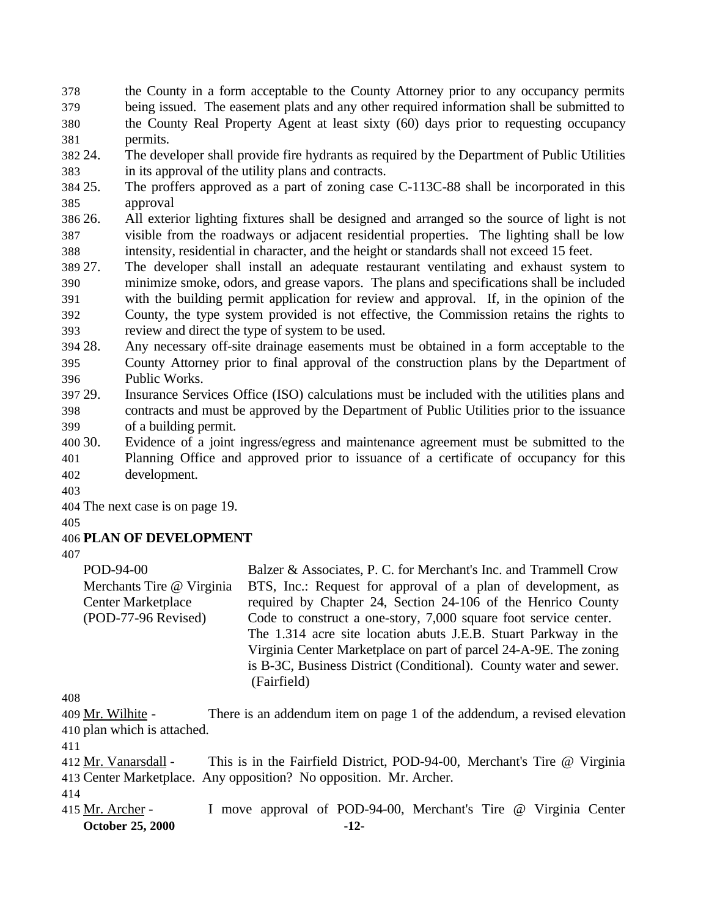the County in a form acceptable to the County Attorney prior to any occupancy permits being issued. The easement plats and any other required information shall be submitted to the County Real Property Agent at least sixty (60) days prior to requesting occupancy permits.

 24. The developer shall provide fire hydrants as required by the Department of Public Utilities in its approval of the utility plans and contracts.

 25. The proffers approved as a part of zoning case C-113C-88 shall be incorporated in this approval

 26. All exterior lighting fixtures shall be designed and arranged so the source of light is not visible from the roadways or adjacent residential properties. The lighting shall be low intensity, residential in character, and the height or standards shall not exceed 15 feet.

- 27. The developer shall install an adequate restaurant ventilating and exhaust system to minimize smoke, odors, and grease vapors. The plans and specifications shall be included with the building permit application for review and approval. If, in the opinion of the County, the type system provided is not effective, the Commission retains the rights to
- review and direct the type of system to be used.
- 28. Any necessary off-site drainage easements must be obtained in a form acceptable to the County Attorney prior to final approval of the construction plans by the Department of Public Works.
- 29. Insurance Services Office (ISO) calculations must be included with the utilities plans and contracts and must be approved by the Department of Public Utilities prior to the issuance of a building permit.
- 30. Evidence of a joint ingress/egress and maintenance agreement must be submitted to the Planning Office and approved prior to issuance of a certificate of occupancy for this development.
- 

The next case is on page 19.

# **PLAN OF DEVELOPMENT**

POD-94-00 Merchants Tire @ Virginia Center Marketplace (POD-77-96 Revised) Balzer & Associates, P. C. for Merchant's Inc. and Trammell Crow BTS, Inc.: Request for approval of a plan of development, as required by Chapter 24, Section 24-106 of the Henrico County Code to construct a one-story, 7,000 square foot service center. The 1.314 acre site location abuts J.E.B. Stuart Parkway in the Virginia Center Marketplace on part of parcel 24-A-9E. The zoning is B-3C, Business District (Conditional). County water and sewer. (Fairfield)

 Mr. Wilhite - There is an addendum item on page 1 of the addendum, a revised elevation plan which is attached.

412 Mr. Vanarsdall - This is in the Fairfield District, POD-94-00, Merchant's Tire @ Virginia Center Marketplace. Any opposition? No opposition. Mr. Archer.

**October 25, 2000 -12-** 415 Mr. Archer - I move approval of POD-94-00, Merchant's Tire @ Virginia Center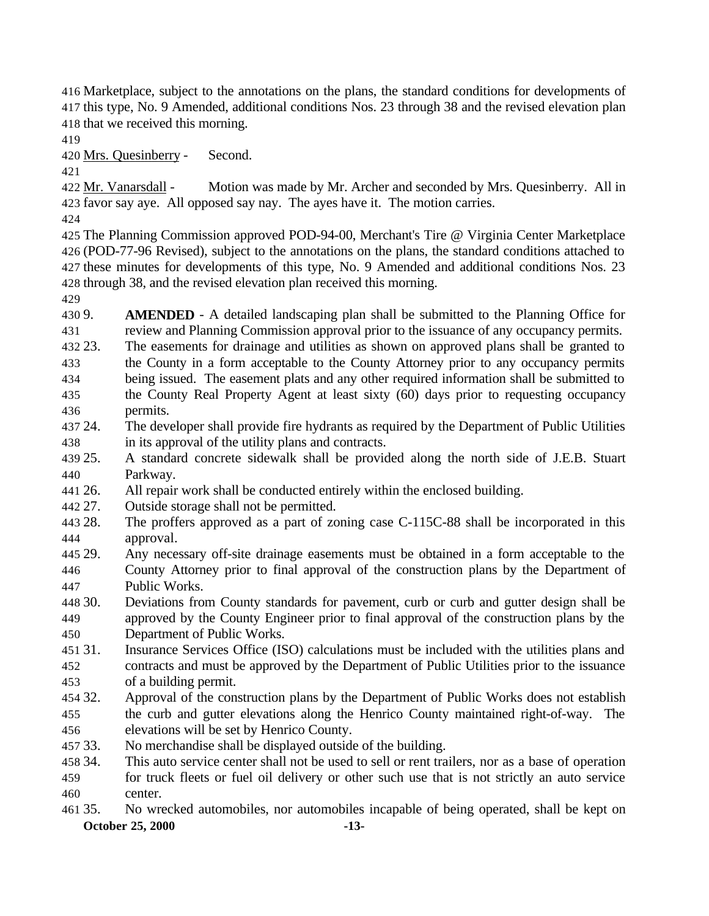Marketplace, subject to the annotations on the plans, the standard conditions for developments of this type, No. 9 Amended, additional conditions Nos. 23 through 38 and the revised elevation plan that we received this morning.

Mrs. Quesinberry - Second.

 Mr. Vanarsdall - Motion was made by Mr. Archer and seconded by Mrs. Quesinberry. All in favor say aye. All opposed say nay. The ayes have it. The motion carries.

 The Planning Commission approved POD-94-00, Merchant's Tire @ Virginia Center Marketplace (POD-77-96 Revised), subject to the annotations on the plans, the standard conditions attached to these minutes for developments of this type, No. 9 Amended and additional conditions Nos. 23 through 38, and the revised elevation plan received this morning.

 9. **AMENDED** - A detailed landscaping plan shall be submitted to the Planning Office for review and Planning Commission approval prior to the issuance of any occupancy permits.

- 23. The easements for drainage and utilities as shown on approved plans shall be granted to the County in a form acceptable to the County Attorney prior to any occupancy permits being issued. The easement plats and any other required information shall be submitted to the County Real Property Agent at least sixty (60) days prior to requesting occupancy permits.
- 24. The developer shall provide fire hydrants as required by the Department of Public Utilities in its approval of the utility plans and contracts.
- 25. A standard concrete sidewalk shall be provided along the north side of J.E.B. Stuart Parkway.
- 26. All repair work shall be conducted entirely within the enclosed building.
- 27. Outside storage shall not be permitted.
- 28. The proffers approved as a part of zoning case C-115C-88 shall be incorporated in this approval.
- 29. Any necessary off-site drainage easements must be obtained in a form acceptable to the County Attorney prior to final approval of the construction plans by the Department of Public Works.
- 30. Deviations from County standards for pavement, curb or curb and gutter design shall be approved by the County Engineer prior to final approval of the construction plans by the Department of Public Works.
- 31. Insurance Services Office (ISO) calculations must be included with the utilities plans and contracts and must be approved by the Department of Public Utilities prior to the issuance of a building permit.
- 32. Approval of the construction plans by the Department of Public Works does not establish the curb and gutter elevations along the Henrico County maintained right-of-way. The elevations will be set by Henrico County.
- 33. No merchandise shall be displayed outside of the building.
- 34. This auto service center shall not be used to sell or rent trailers, nor as a base of operation for truck fleets or fuel oil delivery or other such use that is not strictly an auto service center.
- **October 25, 2000 -13-** 35. No wrecked automobiles, nor automobiles incapable of being operated, shall be kept on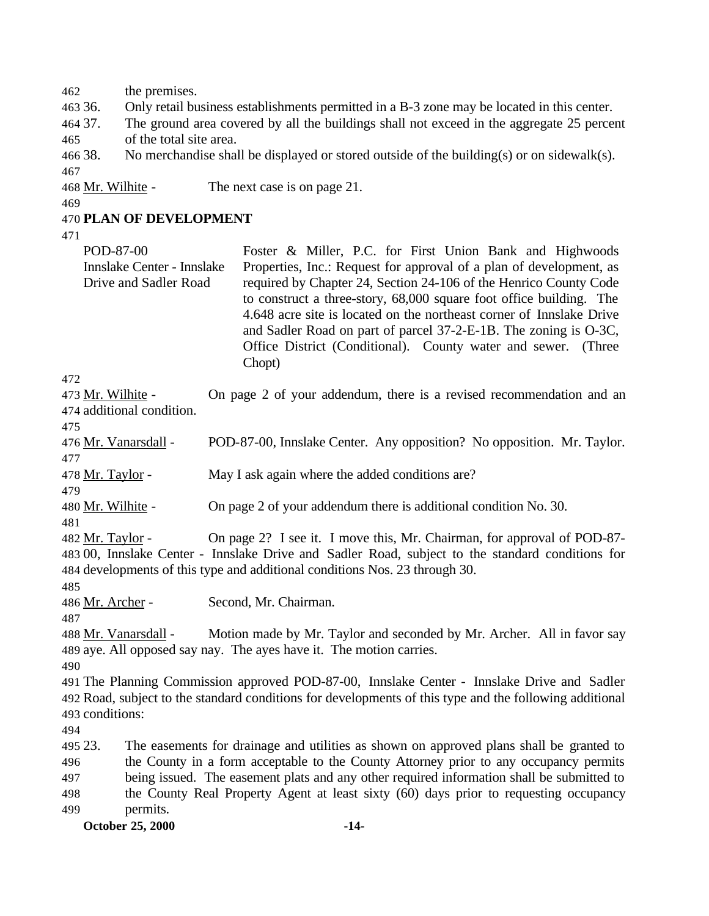the premises.

- 36. Only retail business establishments permitted in a B-3 zone may be located in this center.
- 37. The ground area covered by all the buildings shall not exceed in the aggregate 25 percent of the total site area.
- 466 38. No merchandise shall be displayed or stored outside of the building(s) or on sidewalk(s).
- Mr. Wilhite The next case is on page 21.
- 

#### **PLAN OF DEVELOPMENT**

- POD-87-00 Innslake Center - Innslake Drive and Sadler Road Foster & Miller, P.C. for First Union Bank and Highwoods Properties, Inc.: Request for approval of a plan of development, as required by Chapter 24, Section 24-106 of the Henrico County Code to construct a three-story, 68,000 square foot office building. The 4.648 acre site is located on the northeast corner of Innslake Drive and Sadler Road on part of parcel 37-2-E-1B. The zoning is O-3C, Office District (Conditional). County water and sewer. (Three Chopt)
- 

473 Mr. Wilhite - On page 2 of your addendum, there is a revised recommendation and an additional condition.

 Mr. Vanarsdall - POD-87-00, Innslake Center. Any opposition? No opposition. Mr. Taylor. 

478 Mr. Taylor - May I ask again where the added conditions are?

- Mr. Wilhite On page 2 of your addendum there is additional condition No. 30.
- 

 Mr. Taylor - On page 2? I see it. I move this, Mr. Chairman, for approval of POD-87- 00, Innslake Center - Innslake Drive and Sadler Road, subject to the standard conditions for developments of this type and additional conditions Nos. 23 through 30.

486 Mr. Archer - Second, Mr. Chairman.

```
488 Mr. Vanarsdall - Motion made by Mr. Taylor and seconded by Mr. Archer. All in favor say
489 aye. All opposed say nay. The ayes have it. The motion carries.
```
 The Planning Commission approved POD-87-00, Innslake Center - Innslake Drive and Sadler Road, subject to the standard conditions for developments of this type and the following additional conditions:

 23. The easements for drainage and utilities as shown on approved plans shall be granted to the County in a form acceptable to the County Attorney prior to any occupancy permits being issued. The easement plats and any other required information shall be submitted to the County Real Property Agent at least sixty (60) days prior to requesting occupancy permits.

**October 25, 2000 -14-**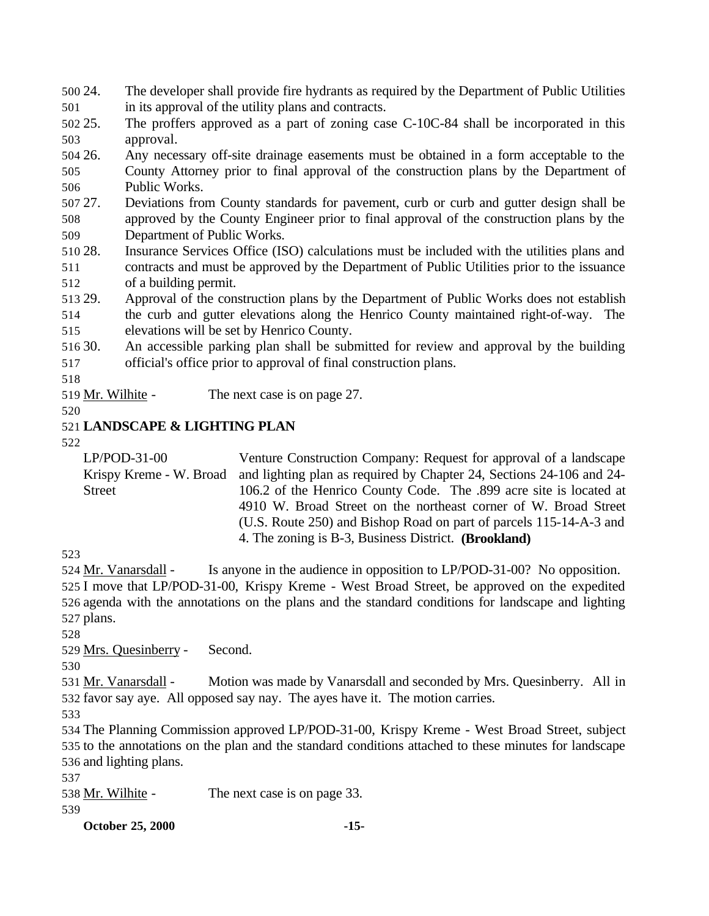24. The developer shall provide fire hydrants as required by the Department of Public Utilities in its approval of the utility plans and contracts.

 25. The proffers approved as a part of zoning case C-10C-84 shall be incorporated in this approval.

 26. Any necessary off-site drainage easements must be obtained in a form acceptable to the County Attorney prior to final approval of the construction plans by the Department of Public Works.

 27. Deviations from County standards for pavement, curb or curb and gutter design shall be approved by the County Engineer prior to final approval of the construction plans by the Department of Public Works.

 28. Insurance Services Office (ISO) calculations must be included with the utilities plans and contracts and must be approved by the Department of Public Utilities prior to the issuance of a building permit.

 29. Approval of the construction plans by the Department of Public Works does not establish the curb and gutter elevations along the Henrico County maintained right-of-way. The elevations will be set by Henrico County.

 30. An accessible parking plan shall be submitted for review and approval by the building official's office prior to approval of final construction plans.

519 Mr. Wilhite - The next case is on page 27.

### **LANDSCAPE & LIGHTING PLAN**

LP/POD-31-00 Krispy Kreme - W. Broad Street Venture Construction Company: Request for approval of a landscape and lighting plan as required by Chapter 24, Sections 24-106 and 24- 106.2 of the Henrico County Code. The .899 acre site is located at 4910 W. Broad Street on the northeast corner of W. Broad Street (U.S. Route 250) and Bishop Road on part of parcels 115-14-A-3 and 4. The zoning is B-3, Business District. **(Brookland)**

 Mr. Vanarsdall - Is anyone in the audience in opposition to LP/POD-31-00? No opposition. I move that LP/POD-31-00, Krispy Kreme - West Broad Street, be approved on the expedited agenda with the annotations on the plans and the standard conditions for landscape and lighting plans.

Mrs. Quesinberry - Second.

 Mr. Vanarsdall - Motion was made by Vanarsdall and seconded by Mrs. Quesinberry. All in favor say aye. All opposed say nay. The ayes have it. The motion carries.

 The Planning Commission approved LP/POD-31-00, Krispy Kreme - West Broad Street, subject to the annotations on the plan and the standard conditions attached to these minutes for landscape and lighting plans.

538 Mr. Wilhite - The next case is on page 33.

**October 25, 2000 -15-**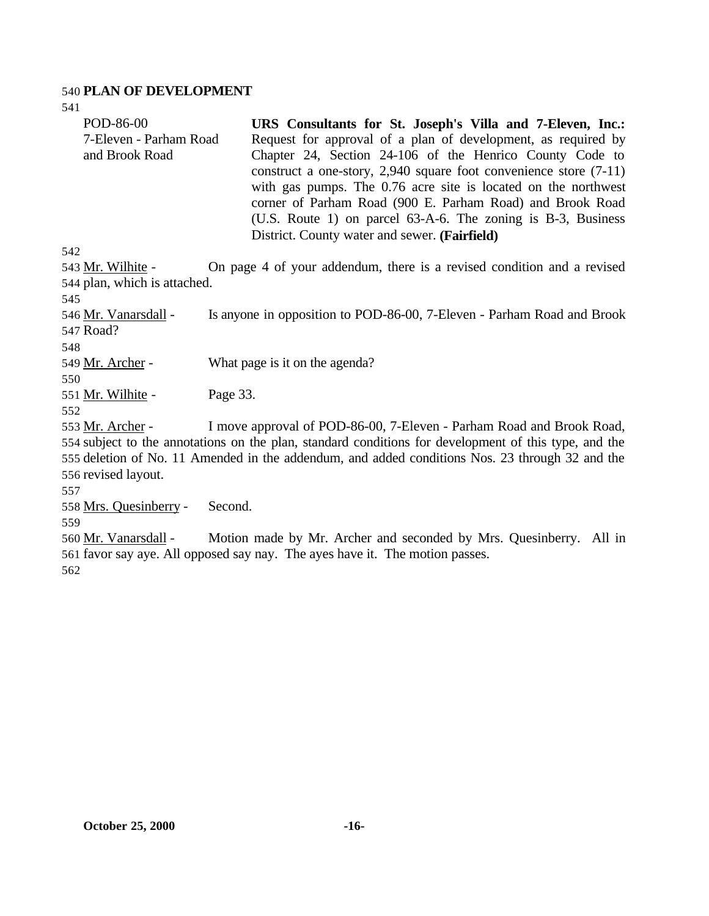#### 540 **PLAN OF DEVELOPMENT**

541

| POD-86-00                    | URS Consultants for St. Joseph's Villa and 7-Eleven, Inc.:             |
|------------------------------|------------------------------------------------------------------------|
| 7-Eleven - Parham Road       | Request for approval of a plan of development, as required by          |
| and Brook Road               | Chapter 24, Section 24-106 of the Henrico County Code to               |
|                              | construct a one-story, $2,940$ square foot convenience store $(7-11)$  |
|                              | with gas pumps. The 0.76 acre site is located on the northwest         |
|                              | corner of Parham Road (900 E. Parham Road) and Brook Road              |
|                              | (U.S. Route 1) on parcel 63-A-6. The zoning is B-3, Business           |
|                              | District. County water and sewer. (Fairfield)                          |
| 542                          |                                                                        |
| 543 Mr. Wilhite -            | On page 4 of your addendum, there is a revised condition and a revised |
| 544 plan, which is attached. |                                                                        |
| 545                          |                                                                        |

546 Mr. Vanarsdall - Is anyone in opposition to POD-86-00, 7-Eleven - Parham Road and Brook 547 Road?

548

550

549 Mr. Archer - What page is it on the agenda?

551 Mr. Wilhite - Page 33.

552

553 Mr. Archer - I move approval of POD-86-00, 7-Eleven - Parham Road and Brook Road, subject to the annotations on the plan, standard conditions for development of this type, and the deletion of No. 11 Amended in the addendum, and added conditions Nos. 23 through 32 and the revised layout.

557

558 Mrs. Quesinberry - Second.

559

560 Mr. Vanarsdall - Motion made by Mr. Archer and seconded by Mrs. Quesinberry. All in 561 favor say aye. All opposed say nay. The ayes have it. The motion passes. 562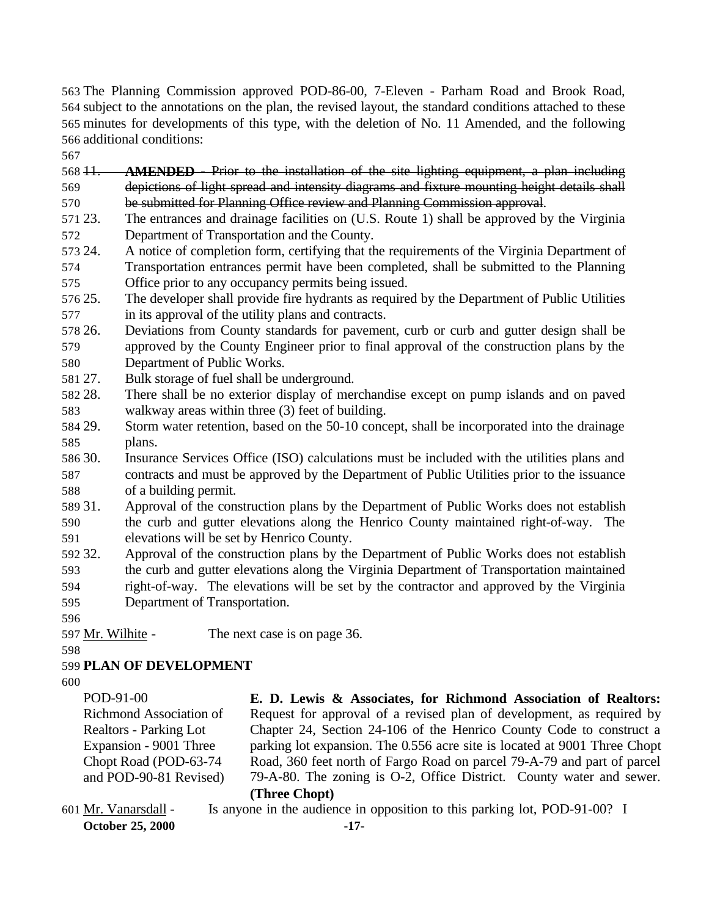The Planning Commission approved POD-86-00, 7-Eleven - Parham Road and Brook Road, subject to the annotations on the plan, the revised layout, the standard conditions attached to these minutes for developments of this type, with the deletion of No. 11 Amended, and the following additional conditions:

11.  **AMENDED** - Prior to the installation of the site lighting equipment, a plan including depictions of light spread and intensity diagrams and fixture mounting height details shall be submitted for Planning Office review and Planning Commission approval.

- 23. The entrances and drainage facilities on (U.S. Route 1) shall be approved by the Virginia Department of Transportation and the County.
- 24. A notice of completion form, certifying that the requirements of the Virginia Department of Transportation entrances permit have been completed, shall be submitted to the Planning Office prior to any occupancy permits being issued.
- 25. The developer shall provide fire hydrants as required by the Department of Public Utilities in its approval of the utility plans and contracts.
- 26. Deviations from County standards for pavement, curb or curb and gutter design shall be approved by the County Engineer prior to final approval of the construction plans by the Department of Public Works.
- 27. Bulk storage of fuel shall be underground.
- 28. There shall be no exterior display of merchandise except on pump islands and on paved walkway areas within three (3) feet of building.
- 29. Storm water retention, based on the 50-10 concept, shall be incorporated into the drainage plans.
- 30. Insurance Services Office (ISO) calculations must be included with the utilities plans and contracts and must be approved by the Department of Public Utilities prior to the issuance of a building permit.
- 31. Approval of the construction plans by the Department of Public Works does not establish the curb and gutter elevations along the Henrico County maintained right-of-way. The elevations will be set by Henrico County.
- 32. Approval of the construction plans by the Department of Public Works does not establish the curb and gutter elevations along the Virginia Department of Transportation maintained right-of-way. The elevations will be set by the contractor and approved by the Virginia Department of Transportation.
- 
- 597 Mr. Wilhite The next case is on page 36.

# **PLAN OF DEVELOPMENT**

POD-91-00 Richmond Association of Realtors - Parking Lot Expansion - 9001 Three Chopt Road (POD-63-74 and POD-90-81 Revised) **E. D. Lewis & Associates, for Richmond Association of Realtors:** Request for approval of a revised plan of development, as required by Chapter 24, Section 24-106 of the Henrico County Code to construct a parking lot expansion. The 0.556 acre site is located at 9001 Three Chopt Road, 360 feet north of Fargo Road on parcel 79-A-79 and part of parcel 79-A-80. The zoning is O-2, Office District. County water and sewer.

#### **(Three Chopt)**

**October 25, 2000 -17-** Mr. Vanarsdall - Is anyone in the audience in opposition to this parking lot, POD-91-00? I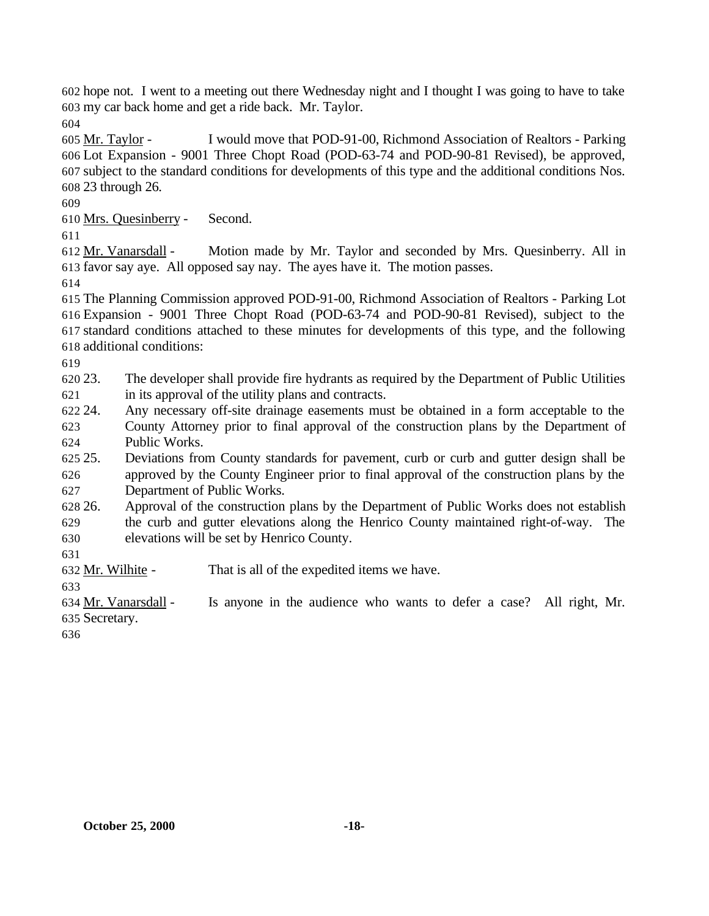hope not. I went to a meeting out there Wednesday night and I thought I was going to have to take my car back home and get a ride back. Mr. Taylor.

 Mr. Taylor - I would move that POD-91-00, Richmond Association of Realtors - Parking Lot Expansion - 9001 Three Chopt Road (POD-63-74 and POD-90-81 Revised), be approved, subject to the standard conditions for developments of this type and the additional conditions Nos. 23 through 26.

Mrs. Quesinberry - Second.

 Mr. Vanarsdall - Motion made by Mr. Taylor and seconded by Mrs. Quesinberry. All in favor say aye. All opposed say nay. The ayes have it. The motion passes.

 The Planning Commission approved POD-91-00, Richmond Association of Realtors - Parking Lot Expansion - 9001 Three Chopt Road (POD-63-74 and POD-90-81 Revised), subject to the standard conditions attached to these minutes for developments of this type, and the following additional conditions:

 23. The developer shall provide fire hydrants as required by the Department of Public Utilities in its approval of the utility plans and contracts.

 24. Any necessary off-site drainage easements must be obtained in a form acceptable to the County Attorney prior to final approval of the construction plans by the Department of Public Works.

 25. Deviations from County standards for pavement, curb or curb and gutter design shall be approved by the County Engineer prior to final approval of the construction plans by the Department of Public Works.

 26. Approval of the construction plans by the Department of Public Works does not establish the curb and gutter elevations along the Henrico County maintained right-of-way. The elevations will be set by Henrico County.

Mr. Wilhite - That is all of the expedited items we have.

 Mr. Vanarsdall - Is anyone in the audience who wants to defer a case? All right, Mr. Secretary.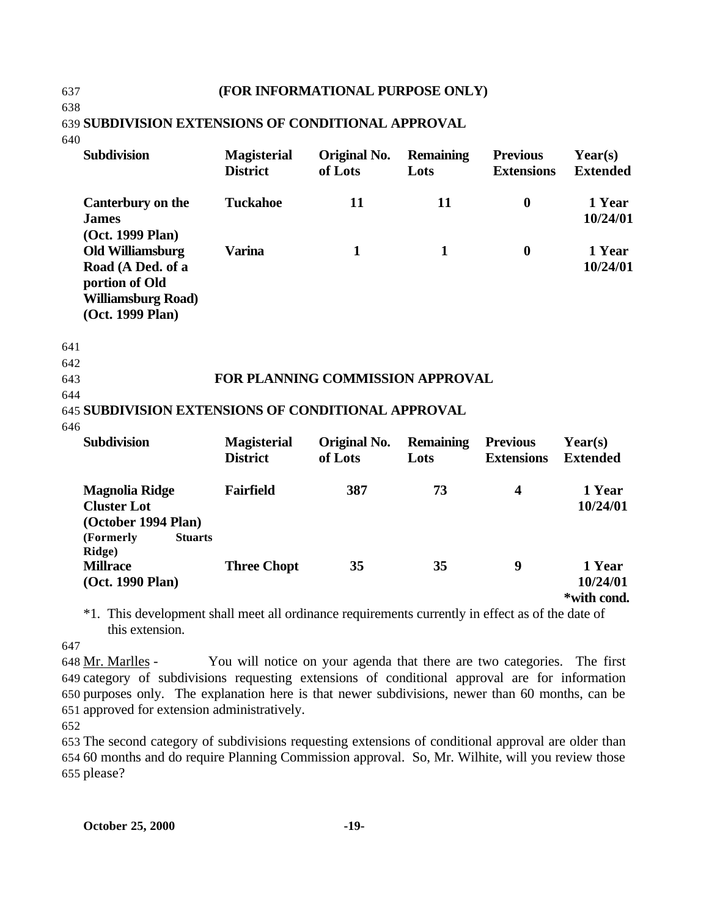#### 637 **(FOR INFORMATIONAL PURPOSE ONLY)**

639 **SUBDIVISION EXTENSIONS OF CONDITIONAL APPROVAL**

640

638

| <b>Subdivision</b>                                                                                                                  | <b>Magisterial</b><br><b>District</b> | <b>Original No.</b><br>of Lots | <b>Remaining</b><br>Lots | <b>Previous</b><br><b>Extensions</b> | Year(s)<br><b>Extended</b>        |
|-------------------------------------------------------------------------------------------------------------------------------------|---------------------------------------|--------------------------------|--------------------------|--------------------------------------|-----------------------------------|
| Canterbury on the<br><b>James</b>                                                                                                   | <b>Tuckahoe</b>                       | 11                             | 11                       | $\boldsymbol{0}$                     | 1 Year<br>10/24/01                |
| (Oct. 1999 Plan)<br><b>Old Williamsburg</b><br>Road (A Ded. of a<br>portion of Old<br><b>Williamsburg Road)</b><br>(Oct. 1999 Plan) | <b>Varina</b>                         | $\mathbf{1}$                   | $\mathbf{1}$             | $\bf{0}$                             | 1 Year<br>10/24/01                |
| 641                                                                                                                                 |                                       |                                |                          |                                      |                                   |
| 642                                                                                                                                 |                                       |                                |                          |                                      |                                   |
| 643                                                                                                                                 | FOR PLANNING COMMISSION APPROVAL      |                                |                          |                                      |                                   |
| 644<br>645 SUBDIVISION EXTENSIONS OF CONDITIONAL APPROVAL                                                                           |                                       |                                |                          |                                      |                                   |
| 646                                                                                                                                 |                                       |                                |                          |                                      |                                   |
| <b>Subdivision</b>                                                                                                                  | <b>Magisterial</b><br><b>District</b> | Original No.<br>of Lots        | <b>Remaining</b><br>Lots | <b>Previous</b><br><b>Extensions</b> | Year(s)<br><b>Extended</b>        |
| <b>Magnolia Ridge</b><br><b>Cluster Lot</b><br>(October 1994 Plan)<br>(Formerly<br><b>Stuarts</b>                                   | <b>Fairfield</b>                      | 387                            | 73                       | $\overline{\mathbf{4}}$              | 1 Year<br>10/24/01                |
| Ridge)<br><b>Millrace</b><br>(Oct. 1990 Plan)                                                                                       | <b>Three Chopt</b>                    | 35                             | 35                       | 9                                    | 1 Year<br>10/24/01<br>*with cond. |

\*1. This development shall meet all ordinance requirements currently in effect as of the date of this extension.

647

 Mr. Marlles - You will notice on your agenda that there are two categories. The first category of subdivisions requesting extensions of conditional approval are for information purposes only. The explanation here is that newer subdivisions, newer than 60 months, can be approved for extension administratively.

652

653 The second category of subdivisions requesting extensions of conditional approval are older than 654 60 months and do require Planning Commission approval. So, Mr. Wilhite, will you review those 655 please?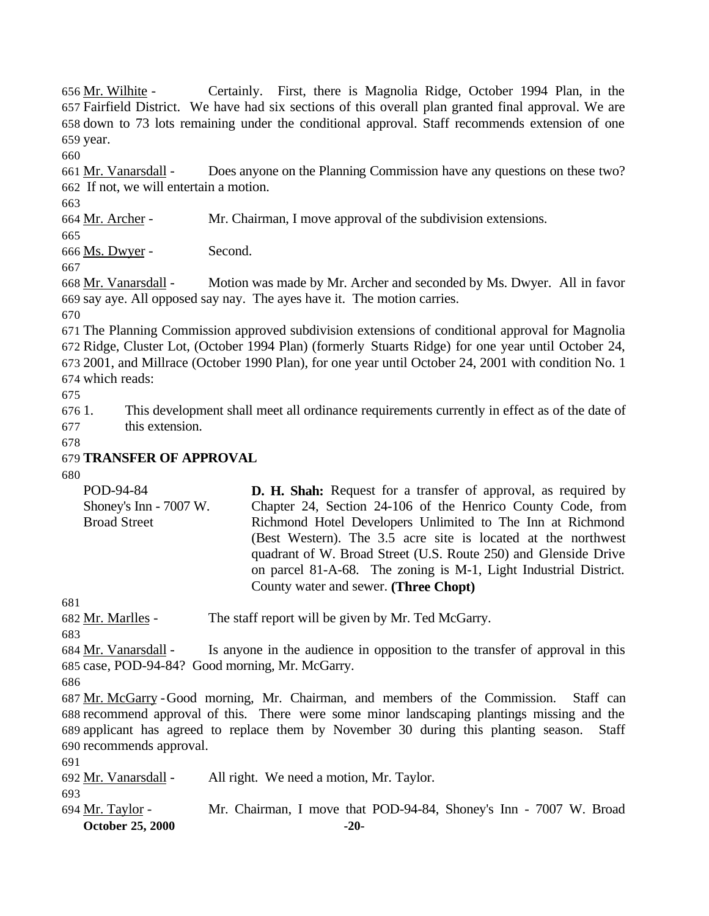Mr. Wilhite - Certainly. First, there is Magnolia Ridge, October 1994 Plan, in the Fairfield District. We have had six sections of this overall plan granted final approval. We are down to 73 lots remaining under the conditional approval. Staff recommends extension of one year.

 Mr. Vanarsdall - Does anyone on the Planning Commission have any questions on these two? If not, we will entertain a motion.

Mr. Archer - Mr. Chairman, I move approval of the subdivision extensions.

Ms. Dwyer - Second.

 Mr. Vanarsdall - Motion was made by Mr. Archer and seconded by Ms. Dwyer. All in favor say aye. All opposed say nay. The ayes have it. The motion carries.

 The Planning Commission approved subdivision extensions of conditional approval for Magnolia Ridge, Cluster Lot, (October 1994 Plan) (formerly Stuarts Ridge) for one year until October 24, 2001, and Millrace (October 1990 Plan), for one year until October 24, 2001 with condition No. 1 which reads:

 1. This development shall meet all ordinance requirements currently in effect as of the date of this extension.

## **TRANSFER OF APPROVAL**

| POD-94-84              | <b>D. H. Shah:</b> Request for a transfer of approval, as required by |
|------------------------|-----------------------------------------------------------------------|
| Shoney's Inn - 7007 W. | Chapter 24, Section 24-106 of the Henrico County Code, from           |
| <b>Broad Street</b>    | Richmond Hotel Developers Unlimited to The Inn at Richmond            |
|                        | (Best Western). The 3.5 acre site is located at the northwest         |
|                        | quadrant of W. Broad Street (U.S. Route 250) and Glenside Drive       |
|                        | on parcel 81-A-68. The zoning is M-1, Light Industrial District.      |
|                        | County water and sewer. (Three Chopt)                                 |

Mr. Marlles - The staff report will be given by Mr. Ted McGarry.

 Mr. Vanarsdall - Is anyone in the audience in opposition to the transfer of approval in this case, POD-94-84? Good morning, Mr. McGarry.

 Mr. McGarry -Good morning, Mr. Chairman, and members of the Commission. Staff can recommend approval of this. There were some minor landscaping plantings missing and the applicant has agreed to replace them by November 30 during this planting season. Staff recommends approval.

Mr. Vanarsdall - All right. We need a motion, Mr. Taylor.

**October 25, 2000 -20-** Mr. Taylor - Mr. Chairman, I move that POD-94-84, Shoney's Inn - 7007 W. Broad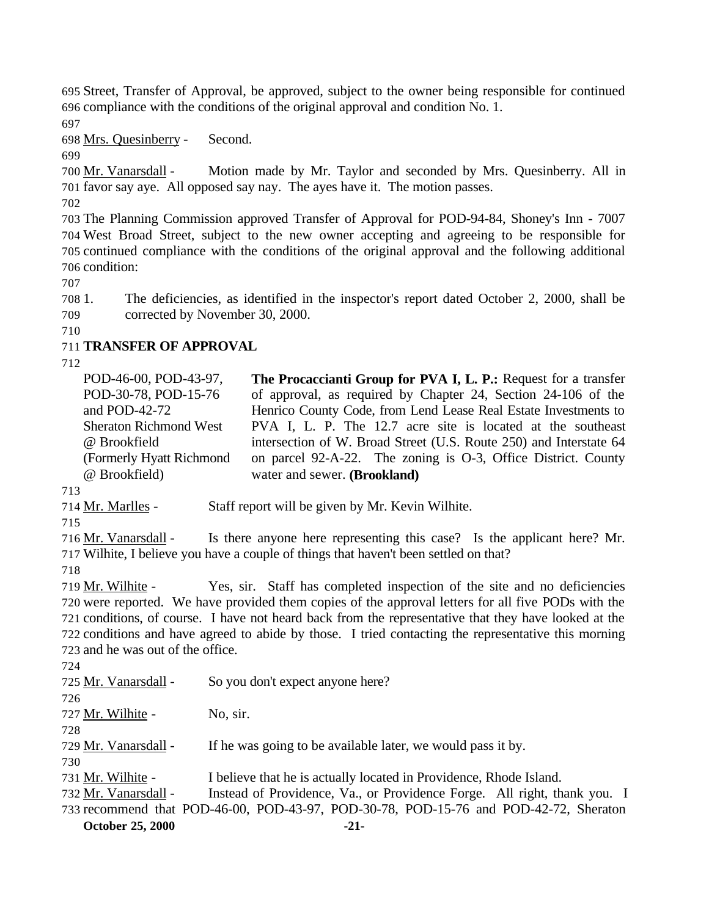Street, Transfer of Approval, be approved, subject to the owner being responsible for continued compliance with the conditions of the original approval and condition No. 1.

Mrs. Quesinberry - Second.

 Mr. Vanarsdall - Motion made by Mr. Taylor and seconded by Mrs. Quesinberry. All in favor say aye. All opposed say nay. The ayes have it. The motion passes.

 The Planning Commission approved Transfer of Approval for POD-94-84, Shoney's Inn - 7007 West Broad Street, subject to the new owner accepting and agreeing to be responsible for continued compliance with the conditions of the original approval and the following additional condition:

 1. The deficiencies, as identified in the inspector's report dated October 2, 2000, shall be corrected by November 30, 2000.

# **TRANSFER OF APPROVAL**

POD-46-00, POD-43-97, POD-30-78, POD-15-76 and POD-42-72 Sheraton Richmond West @ Brookfield (Formerly Hyatt Richmond @ Brookfield) **The Procaccianti Group for PVA I, L. P.:** Request for a transfer of approval, as required by Chapter 24, Section 24-106 of the Henrico County Code, from Lend Lease Real Estate Investments to PVA I, L. P. The 12.7 acre site is located at the southeast intersection of W. Broad Street (U.S. Route 250) and Interstate 64 on parcel 92-A-22. The zoning is O-3, Office District. County water and sewer. **(Brookland)**

714 Mr. Marlles - Staff report will be given by Mr. Kevin Wilhite.

716 Mr. Vanarsdall - Is there anyone here representing this case? Is the applicant here? Mr. Wilhite, I believe you have a couple of things that haven't been settled on that?

 Mr. Wilhite - Yes, sir. Staff has completed inspection of the site and no deficiencies were reported. We have provided them copies of the approval letters for all five PODs with the conditions, of course. I have not heard back from the representative that they have looked at the conditions and have agreed to abide by those. I tried contacting the representative this morning and he was out of the office.

**October 25, 2000 -21-** Mr. Vanarsdall - So you don't expect anyone here? 727 Mr. Wilhite - No, sir. 729 Mr. Vanarsdall - If he was going to be available later, we would pass it by. Mr. Wilhite - I believe that he is actually located in Providence, Rhode Island. Mr. Vanarsdall - Instead of Providence, Va., or Providence Forge. All right, thank you. I recommend that POD-46-00, POD-43-97, POD-30-78, POD-15-76 and POD-42-72, Sheraton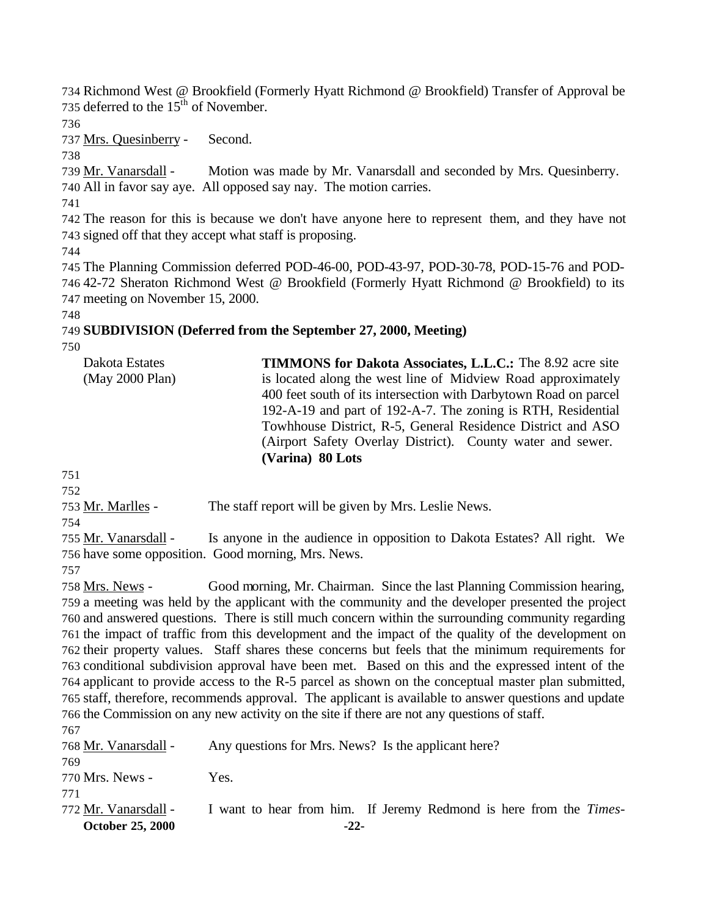Richmond West @ Brookfield (Formerly Hyatt Richmond @ Brookfield) Transfer of Approval be 735 deferred to the  $15<sup>th</sup>$  of November.

Mrs. Quesinberry - Second.

 Mr. Vanarsdall - Motion was made by Mr. Vanarsdall and seconded by Mrs. Quesinberry. All in favor say aye. All opposed say nay. The motion carries.

 The reason for this is because we don't have anyone here to represent them, and they have not signed off that they accept what staff is proposing.

 The Planning Commission deferred POD-46-00, POD-43-97, POD-30-78, POD-15-76 and POD- 42-72 Sheraton Richmond West @ Brookfield (Formerly Hyatt Richmond @ Brookfield) to its meeting on November 15, 2000.

# **SUBDIVISION (Deferred from the September 27, 2000, Meeting)**

| Dakota Estates  | <b>TIMMONS for Dakota Associates, L.L.C.:</b> The 8.92 acre site |
|-----------------|------------------------------------------------------------------|
| (May 2000 Plan) | is located along the west line of Midview Road approximately     |
|                 | 400 feet south of its intersection with Darbytown Road on parcel |
|                 | 192-A-19 and part of 192-A-7. The zoning is RTH, Residential     |
|                 | Towhhouse District, R-5, General Residence District and ASO      |
|                 | (Airport Safety Overlay District). County water and sewer.       |
|                 | (Varina) 80 Lots                                                 |

 

753 Mr. Marlles - The staff report will be given by Mrs. Leslie News.

755 Mr. Vanarsdall - Is anyone in the audience in opposition to Dakota Estates? All right. We have some opposition. Good morning, Mrs. News.

 Mrs. News - Good morning, Mr. Chairman. Since the last Planning Commission hearing, a meeting was held by the applicant with the community and the developer presented the project and answered questions. There is still much concern within the surrounding community regarding the impact of traffic from this development and the impact of the quality of the development on their property values. Staff shares these concerns but feels that the minimum requirements for conditional subdivision approval have been met. Based on this and the expressed intent of the applicant to provide access to the R-5 parcel as shown on the conceptual master plan submitted, staff, therefore, recommends approval. The applicant is available to answer questions and update the Commission on any new activity on the site if there are not any questions of staff.  $7<sub>67</sub>$ 

| <b>October 25, 2000</b>     | $-22-$                                                                     |
|-----------------------------|----------------------------------------------------------------------------|
| 771<br>772 Mr. Vanarsdall - | I want to hear from him. If Jeremy Redmond is here from the <i>Times</i> - |
| 770 Mrs. News -             | Yes.                                                                       |
| 768 Mr. Vanarsdall -<br>769 | Any questions for Mrs. News? Is the applicant here?                        |
| 101                         |                                                                            |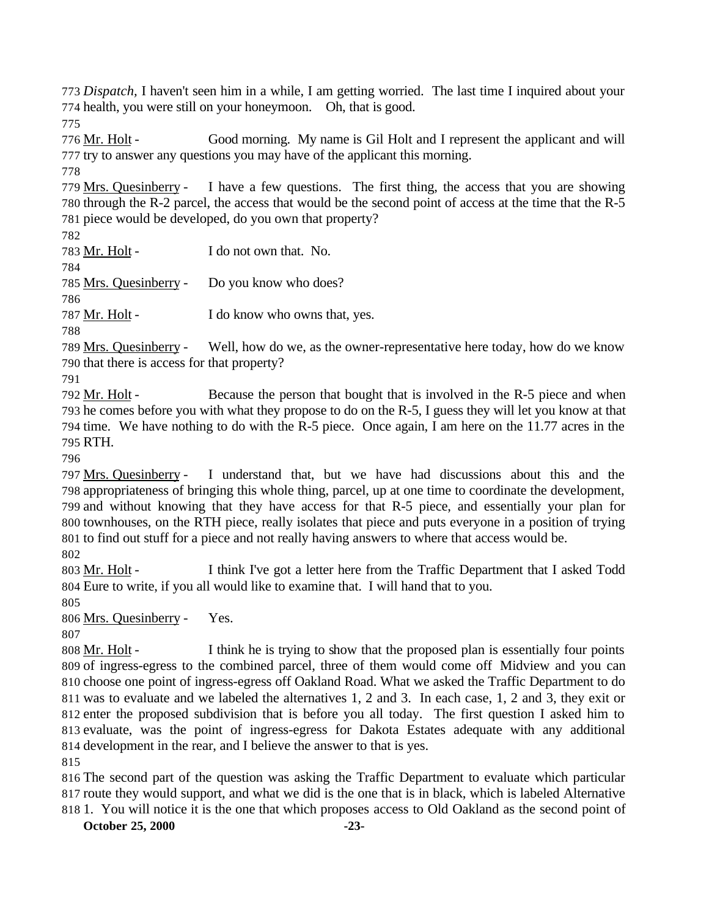*Dispatch,* I haven't seen him in a while, I am getting worried. The last time I inquired about your health, you were still on your honeymoon. Oh, that is good.

776 Mr. Holt - Good morning. My name is Gil Holt and I represent the applicant and will try to answer any questions you may have of the applicant this morning.

 Mrs. Quesinberry - I have a few questions. The first thing, the access that you are showing through the R-2 parcel, the access that would be the second point of access at the time that the R-5 piece would be developed, do you own that property?

783 Mr. Holt - I do not own that. No.

Mrs. Quesinberry - Do you know who does?

787 Mr. Holt - I do know who owns that, yes.

 Mrs. Quesinberry - Well, how do we, as the owner-representative here today, how do we know that there is access for that property?

792 Mr. Holt - Because the person that bought that is involved in the R-5 piece and when he comes before you with what they propose to do on the R-5, I guess they will let you know at that time. We have nothing to do with the R-5 piece. Once again, I am here on the 11.77 acres in the RTH.

 Mrs. Quesinberry - I understand that, but we have had discussions about this and the appropriateness of bringing this whole thing, parcel, up at one time to coordinate the development, and without knowing that they have access for that R-5 piece, and essentially your plan for townhouses, on the RTH piece, really isolates that piece and puts everyone in a position of trying to find out stuff for a piece and not really having answers to where that access would be.

 Mr. Holt - I think I've got a letter here from the Traffic Department that I asked Todd Eure to write, if you all would like to examine that. I will hand that to you.

Mrs. Quesinberry - Yes.

808 Mr. Holt - I think he is trying to show that the proposed plan is essentially four points of ingress-egress to the combined parcel, three of them would come off Midview and you can choose one point of ingress-egress off Oakland Road. What we asked the Traffic Department to do was to evaluate and we labeled the alternatives 1, 2 and 3. In each case, 1, 2 and 3, they exit or enter the proposed subdivision that is before you all today. The first question I asked him to evaluate, was the point of ingress-egress for Dakota Estates adequate with any additional development in the rear, and I believe the answer to that is yes.

 The second part of the question was asking the Traffic Department to evaluate which particular route they would support, and what we did is the one that is in black, which is labeled Alternative 1. You will notice it is the one that which proposes access to Old Oakland as the second point of

**October 25, 2000 -23-**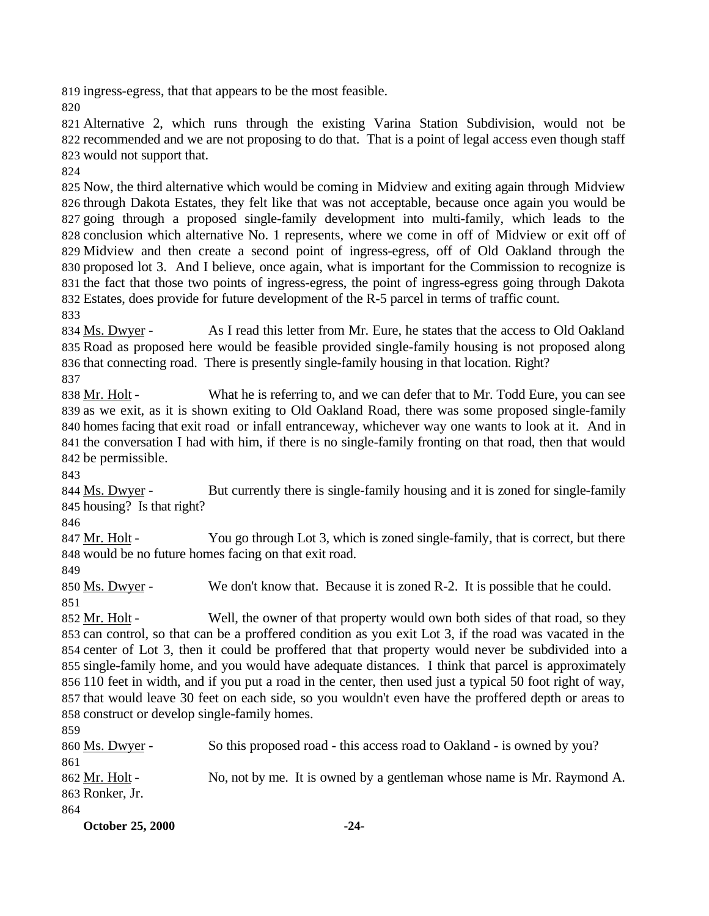ingress-egress, that that appears to be the most feasible.

 Alternative 2, which runs through the existing Varina Station Subdivision, would not be recommended and we are not proposing to do that. That is a point of legal access even though staff would not support that.

 Now, the third alternative which would be coming in Midview and exiting again through Midview through Dakota Estates, they felt like that was not acceptable, because once again you would be going through a proposed single-family development into multi-family, which leads to the conclusion which alternative No. 1 represents, where we come in off of Midview or exit off of Midview and then create a second point of ingress-egress, off of Old Oakland through the proposed lot 3. And I believe, once again, what is important for the Commission to recognize is the fact that those two points of ingress-egress, the point of ingress-egress going through Dakota Estates, does provide for future development of the R-5 parcel in terms of traffic count.

834 Ms. Dwyer - As I read this letter from Mr. Eure, he states that the access to Old Oakland Road as proposed here would be feasible provided single-family housing is not proposed along that connecting road. There is presently single-family housing in that location. Right?

838 Mr. Holt - What he is referring to, and we can defer that to Mr. Todd Eure, you can see as we exit, as it is shown exiting to Old Oakland Road, there was some proposed single-family homes facing that exit road or infall entranceway, whichever way one wants to look at it. And in the conversation I had with him, if there is no single-family fronting on that road, then that would be permissible.

844 Ms. Dwyer - But currently there is single-family housing and it is zoned for single-family housing? Is that right?

847 Mr. Holt - You go through Lot 3, which is zoned single-family, that is correct, but there would be no future homes facing on that exit road.

 Ms. Dwyer - We don't know that. Because it is zoned R-2. It is possible that he could. 

 Mr. Holt - Well, the owner of that property would own both sides of that road, so they can control, so that can be a proffered condition as you exit Lot 3, if the road was vacated in the center of Lot 3, then it could be proffered that that property would never be subdivided into a single-family home, and you would have adequate distances. I think that parcel is approximately 110 feet in width, and if you put a road in the center, then used just a typical 50 foot right of way, that would leave 30 feet on each side, so you wouldn't even have the proffered depth or areas to construct or develop single-family homes.

 Ms. Dwyer - So this proposed road - this access road to Oakland - is owned by you? Mr. Holt - No, not by me. It is owned by a gentleman whose name is Mr. Raymond A. Ronker, Jr.

**October 25, 2000 -24-**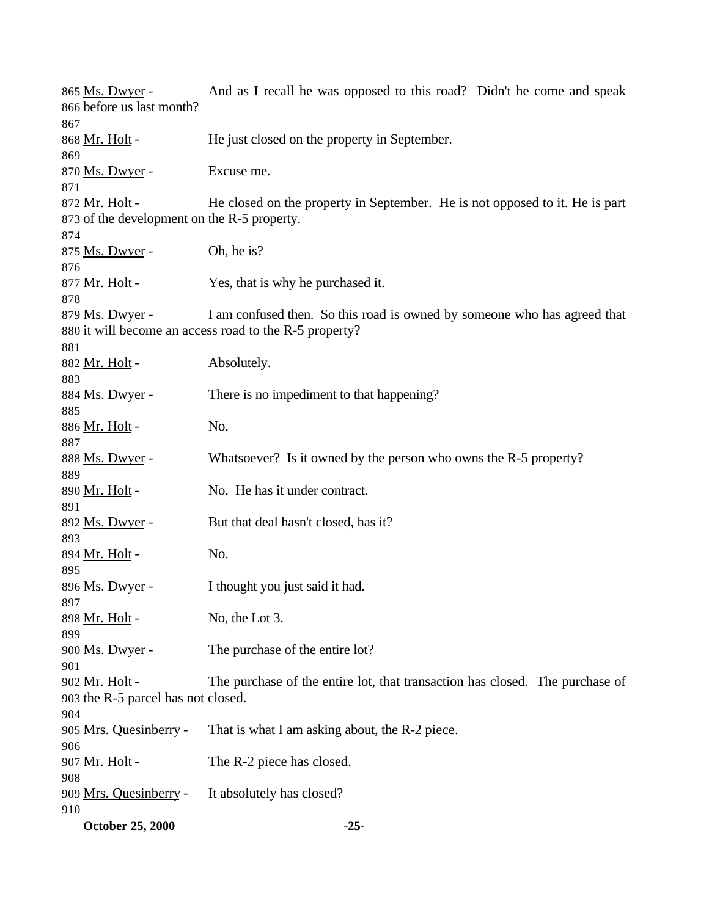| October 25, 2000                            | $-25-$                                                                       |
|---------------------------------------------|------------------------------------------------------------------------------|
| 910                                         |                                                                              |
| 909 Mrs. Quesinberry -                      | It absolutely has closed?                                                    |
| 908                                         |                                                                              |
| 907 Mr. Holt -                              | The R-2 piece has closed.                                                    |
| 906                                         |                                                                              |
| 905 Mrs. Quesinberry -                      | That is what I am asking about, the R-2 piece.                               |
| 904                                         |                                                                              |
| 903 the R-5 parcel has not closed.          |                                                                              |
| 901<br>902 Mr. Holt -                       | The purchase of the entire lot, that transaction has closed. The purchase of |
|                                             |                                                                              |
| 900 Ms. Dwyer -                             | The purchase of the entire lot?                                              |
| 899                                         |                                                                              |
| 898 Mr. Holt -                              | No, the Lot 3.                                                               |
| 897                                         |                                                                              |
| 896 Ms. Dwyer -                             | I thought you just said it had.                                              |
| 895                                         |                                                                              |
| 894 Mr. Holt -                              | No.                                                                          |
| 893                                         |                                                                              |
| 892 Ms. Dwyer -                             | But that deal hasn't closed, has it?                                         |
| 891                                         |                                                                              |
| 890 Mr. Holt -                              | No. He has it under contract.                                                |
| 889                                         |                                                                              |
| 888 Ms. Dwyer -                             | Whatsoever? Is it owned by the person who owns the R-5 property?             |
| 887                                         |                                                                              |
| 886 <u>Mr. Holt</u> -                       | No.                                                                          |
| 885                                         |                                                                              |
| 884 Ms. Dwyer -                             | There is no impediment to that happening?                                    |
| 883                                         |                                                                              |
| 881<br>882 Mr. Holt -                       | Absolutely.                                                                  |
|                                             | 880 it will become an access road to the R-5 property?                       |
| 879 Ms. Dwyer -                             | I am confused then. So this road is owned by someone who has agreed that     |
| 878                                         |                                                                              |
| 877 Mr. Holt -                              | Yes, that is why he purchased it.                                            |
| 876                                         |                                                                              |
| 875 Ms. Dwyer -                             | Oh, he is?                                                                   |
| 874                                         |                                                                              |
| 873 of the development on the R-5 property. |                                                                              |
| 872 Mr. Holt -                              | He closed on the property in September. He is not opposed to it. He is part  |
| 871                                         |                                                                              |
| 870 Ms. Dwyer -                             | Excuse me.                                                                   |
| 869                                         |                                                                              |
| 868 Mr. Holt -                              | He just closed on the property in September.                                 |
| 867                                         |                                                                              |
| 866 before us last month?                   |                                                                              |
| 865 Ms. Dwyer -                             | And as I recall he was opposed to this road? Didn't he come and speak        |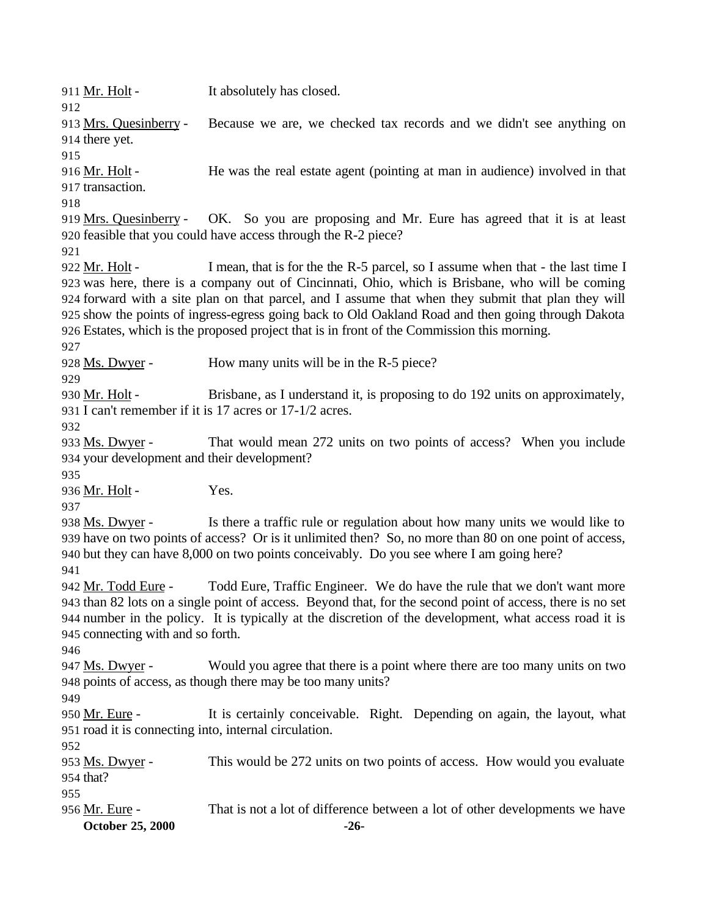**October 25, 2000 -26-** 911 Mr. Holt - It absolutely has closed. Mrs. Quesinberry - Because we are, we checked tax records and we didn't see anything on there yet. Mr. Holt - He was the real estate agent (pointing at man in audience) involved in that transaction. Mrs. Quesinberry - OK. So you are proposing and Mr. Eure has agreed that it is at least feasible that you could have access through the R-2 piece? 922 Mr. Holt - I mean, that is for the the R-5 parcel, so I assume when that - the last time I was here, there is a company out of Cincinnati, Ohio, which is Brisbane, who will be coming forward with a site plan on that parcel, and I assume that when they submit that plan they will show the points of ingress-egress going back to Old Oakland Road and then going through Dakota Estates, which is the proposed project that is in front of the Commission this morning. 928 Ms. Dwyer - How many units will be in the R-5 piece? 930 Mr. Holt - Brisbane, as I understand it, is proposing to do 192 units on approximately, I can't remember if it is 17 acres or 17-1/2 acres. 933 Ms. Dwyer - That would mean 272 units on two points of access? When you include your development and their development? 936 Mr. Holt - Yes. Ms. Dwyer - Is there a traffic rule or regulation about how many units we would like to have on two points of access? Or is it unlimited then? So, no more than 80 on one point of access, but they can have 8,000 on two points conceivably. Do you see where I am going here? 942 Mr. Todd Eure - Todd Eure, Traffic Engineer. We do have the rule that we don't want more than 82 lots on a single point of access. Beyond that, for the second point of access, there is no set number in the policy. It is typically at the discretion of the development, what access road it is connecting with and so forth. 947 Ms. Dwyer - Would you agree that there is a point where there are too many units on two points of access, as though there may be too many units? 950 Mr. Eure - It is certainly conceivable. Right. Depending on again, the layout, what road it is connecting into, internal circulation. 953 Ms. Dwyer - This would be 272 units on two points of access. How would you evaluate that? Mr. Eure - That is not a lot of difference between a lot of other developments we have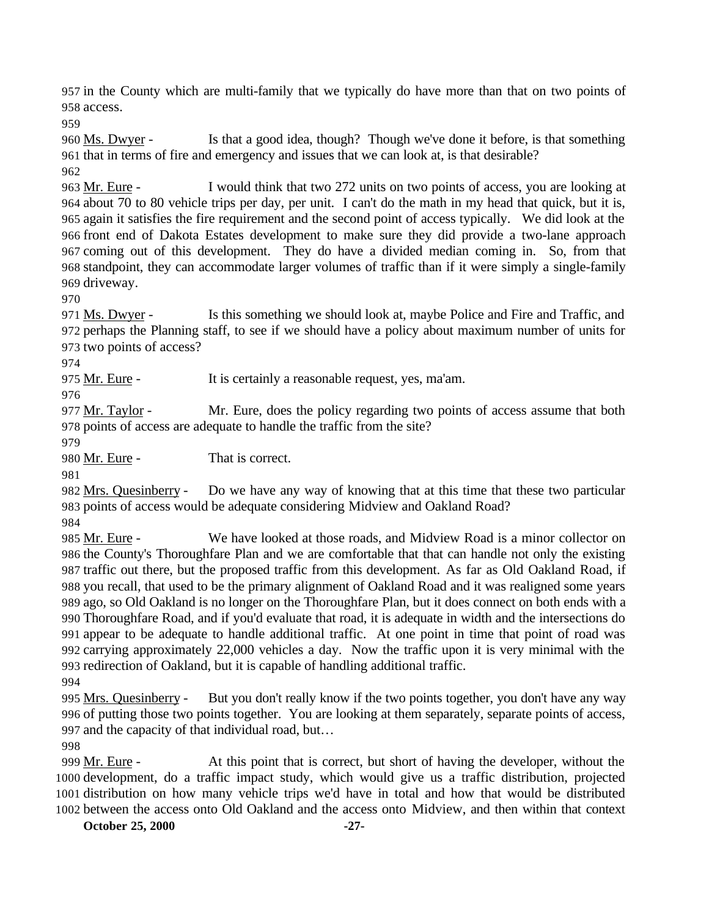in the County which are multi-family that we typically do have more than that on two points of access.

960 Ms. Dwyer - Is that a good idea, though? Though we've done it before, is that something that in terms of fire and emergency and issues that we can look at, is that desirable?

 Mr. Eure - I would think that two 272 units on two points of access, you are looking at about 70 to 80 vehicle trips per day, per unit. I can't do the math in my head that quick, but it is, again it satisfies the fire requirement and the second point of access typically. We did look at the front end of Dakota Estates development to make sure they did provide a two-lane approach coming out of this development. They do have a divided median coming in. So, from that standpoint, they can accommodate larger volumes of traffic than if it were simply a single-family driveway.

 Ms. Dwyer - Is this something we should look at, maybe Police and Fire and Traffic, and perhaps the Planning staff, to see if we should have a policy about maximum number of units for two points of access?

Mr. Eure - It is certainly a reasonable request, yes, ma'am.

 Mr. Taylor - Mr. Eure, does the policy regarding two points of access assume that both points of access are adequate to handle the traffic from the site?

980 Mr. Eure - That is correct.

 Mrs. Quesinberry - Do we have any way of knowing that at this time that these two particular points of access would be adequate considering Midview and Oakland Road?

 Mr. Eure - We have looked at those roads, and Midview Road is a minor collector on the County's Thoroughfare Plan and we are comfortable that that can handle not only the existing traffic out there, but the proposed traffic from this development. As far as Old Oakland Road, if you recall, that used to be the primary alignment of Oakland Road and it was realigned some years ago, so Old Oakland is no longer on the Thoroughfare Plan, but it does connect on both ends with a Thoroughfare Road, and if you'd evaluate that road, it is adequate in width and the intersections do appear to be adequate to handle additional traffic. At one point in time that point of road was carrying approximately 22,000 vehicles a day. Now the traffic upon it is very minimal with the redirection of Oakland, but it is capable of handling additional traffic. 

 Mrs. Quesinberry - But you don't really know if the two points together, you don't have any way of putting those two points together. You are looking at them separately, separate points of access, and the capacity of that individual road, but…

999 Mr. Eure - At this point that is correct, but short of having the developer, without the development, do a traffic impact study, which would give us a traffic distribution, projected distribution on how many vehicle trips we'd have in total and how that would be distributed between the access onto Old Oakland and the access onto Midview, and then within that context

**October 25, 2000 -27-**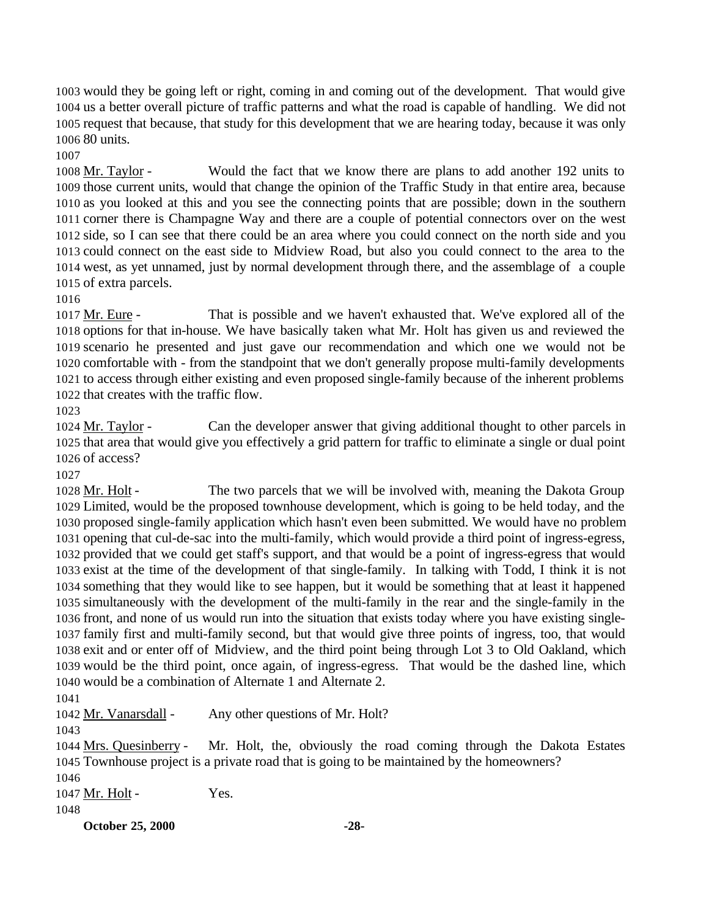would they be going left or right, coming in and coming out of the development. That would give us a better overall picture of traffic patterns and what the road is capable of handling. We did not request that because, that study for this development that we are hearing today, because it was only 80 units.

 Mr. Taylor - Would the fact that we know there are plans to add another 192 units to those current units, would that change the opinion of the Traffic Study in that entire area, because as you looked at this and you see the connecting points that are possible; down in the southern corner there is Champagne Way and there are a couple of potential connectors over on the west side, so I can see that there could be an area where you could connect on the north side and you could connect on the east side to Midview Road, but also you could connect to the area to the west, as yet unnamed, just by normal development through there, and the assemblage of a couple of extra parcels.

 Mr. Eure - That is possible and we haven't exhausted that. We've explored all of the options for that in-house. We have basically taken what Mr. Holt has given us and reviewed the scenario he presented and just gave our recommendation and which one we would not be comfortable with - from the standpoint that we don't generally propose multi-family developments to access through either existing and even proposed single-family because of the inherent problems that creates with the traffic flow.

 Mr. Taylor - Can the developer answer that giving additional thought to other parcels in that area that would give you effectively a grid pattern for traffic to eliminate a single or dual point of access?

 Mr. Holt - The two parcels that we will be involved with, meaning the Dakota Group Limited, would be the proposed townhouse development, which is going to be held today, and the proposed single-family application which hasn't even been submitted. We would have no problem opening that cul-de-sac into the multi-family, which would provide a third point of ingress-egress, provided that we could get staff's support, and that would be a point of ingress-egress that would exist at the time of the development of that single-family. In talking with Todd, I think it is not something that they would like to see happen, but it would be something that at least it happened simultaneously with the development of the multi-family in the rear and the single-family in the front, and none of us would run into the situation that exists today where you have existing single- family first and multi-family second, but that would give three points of ingress, too, that would exit and or enter off of Midview, and the third point being through Lot 3 to Old Oakland, which would be the third point, once again, of ingress-egress. That would be the dashed line, which would be a combination of Alternate 1 and Alternate 2.

1042 Mr. Vanarsdall - Any other questions of Mr. Holt?

 Mrs. Quesinberry - Mr. Holt, the, obviously the road coming through the Dakota Estates Townhouse project is a private road that is going to be maintained by the homeowners?

1047 Mr. Holt - Yes.

**October 25, 2000 -28-**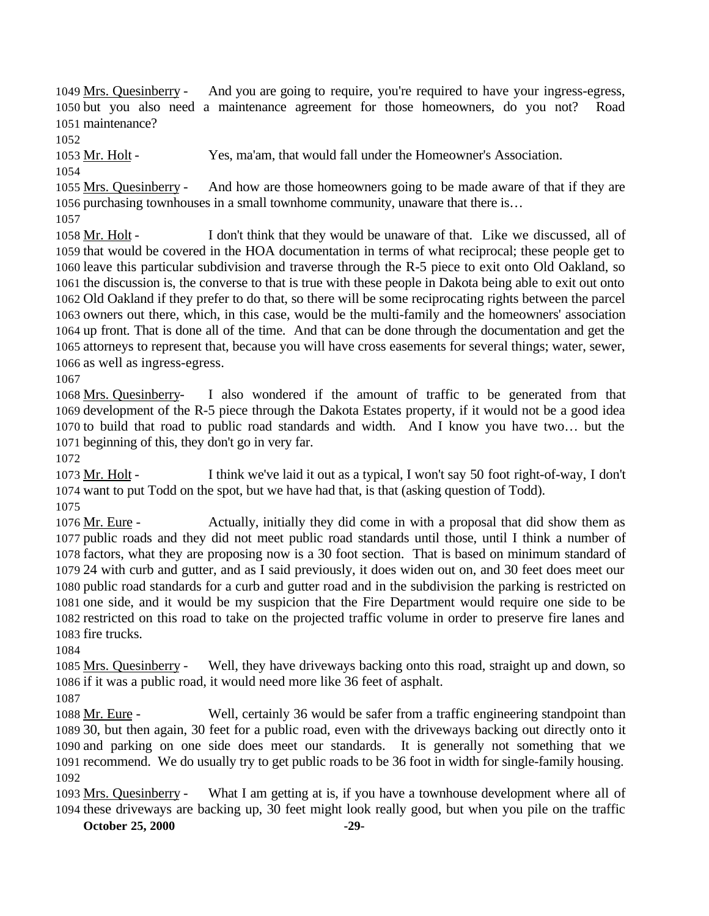Mrs. Quesinberry - And you are going to require, you're required to have your ingress-egress, but you also need a maintenance agreement for those homeowners, do you not? Road maintenance?

Mr. Holt - Yes, ma'am, that would fall under the Homeowner's Association.

 Mrs. Quesinberry - And how are those homeowners going to be made aware of that if they are purchasing townhouses in a small townhome community, unaware that there is…

1058 Mr. Holt - I don't think that they would be unaware of that. Like we discussed, all of that would be covered in the HOA documentation in terms of what reciprocal; these people get to leave this particular subdivision and traverse through the R-5 piece to exit onto Old Oakland, so the discussion is, the converse to that is true with these people in Dakota being able to exit out onto Old Oakland if they prefer to do that, so there will be some reciprocating rights between the parcel owners out there, which, in this case, would be the multi-family and the homeowners' association up front. That is done all of the time. And that can be done through the documentation and get the attorneys to represent that, because you will have cross easements for several things; water, sewer, as well as ingress-egress.

 Mrs. Quesinberry- I also wondered if the amount of traffic to be generated from that development of the R-5 piece through the Dakota Estates property, if it would not be a good idea to build that road to public road standards and width. And I know you have two… but the beginning of this, they don't go in very far.

1073 Mr. Holt - I think we've laid it out as a typical, I won't say 50 foot right-of-way, I don't want to put Todd on the spot, but we have had that, is that (asking question of Todd).

1076 Mr. Eure - Actually, initially they did come in with a proposal that did show them as public roads and they did not meet public road standards until those, until I think a number of factors, what they are proposing now is a 30 foot section. That is based on minimum standard of 24 with curb and gutter, and as I said previously, it does widen out on, and 30 feet does meet our public road standards for a curb and gutter road and in the subdivision the parking is restricted on one side, and it would be my suspicion that the Fire Department would require one side to be restricted on this road to take on the projected traffic volume in order to preserve fire lanes and fire trucks.

 Mrs. Quesinberry - Well, they have driveways backing onto this road, straight up and down, so if it was a public road, it would need more like 36 feet of asphalt.

1088 Mr. Eure - Well, certainly 36 would be safer from a traffic engineering standpoint than 30, but then again, 30 feet for a public road, even with the driveways backing out directly onto it and parking on one side does meet our standards. It is generally not something that we recommend. We do usually try to get public roads to be 36 foot in width for single-family housing. 

1093 Mrs. Quesinberry - What I am getting at is, if you have a townhouse development where all of these driveways are backing up, 30 feet might look really good, but when you pile on the traffic

**October 25, 2000 -29-**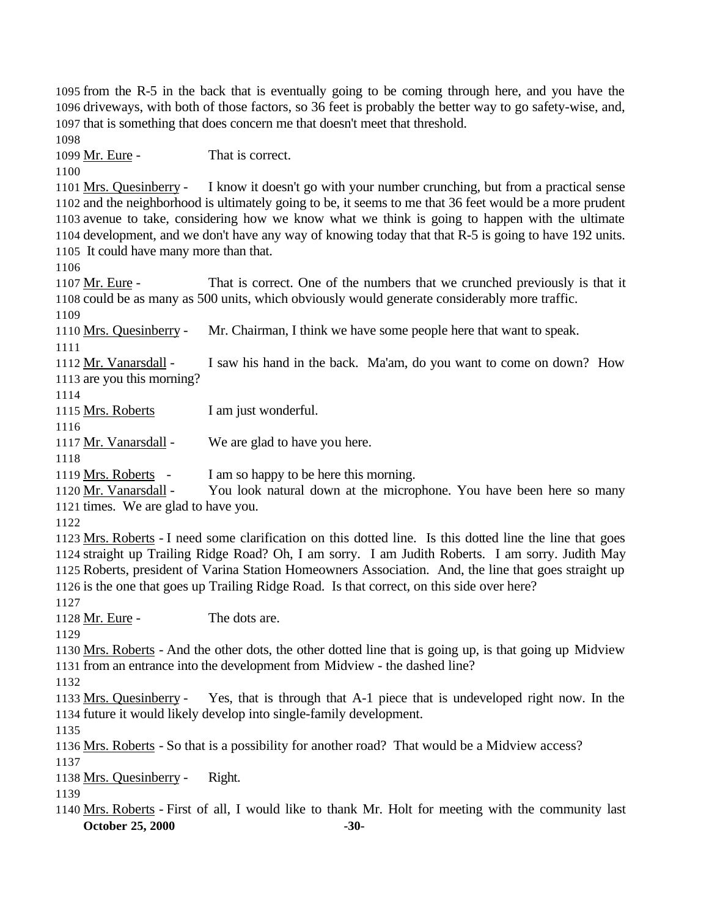from the R-5 in the back that is eventually going to be coming through here, and you have the driveways, with both of those factors, so 36 feet is probably the better way to go safety-wise, and, that is something that does concern me that doesn't meet that threshold. Mr. Eure - That is correct. Mrs. Quesinberry - I know it doesn't go with your number crunching, but from a practical sense and the neighborhood is ultimately going to be, it seems to me that 36 feet would be a more prudent avenue to take, considering how we know what we think is going to happen with the ultimate development, and we don't have any way of knowing today that that R-5 is going to have 192 units. It could have many more than that. 1107 Mr. Eure - That is correct. One of the numbers that we crunched previously is that it could be as many as 500 units, which obviously would generate considerably more traffic. Mrs. Quesinberry - Mr. Chairman, I think we have some people here that want to speak. 1112 Mr. Vanarsdall - I saw his hand in the back. Ma'am, do you want to come on down? How are you this morning? 1115 Mrs. Roberts I am just wonderful. Mr. Vanarsdall - We are glad to have you here. 1119 Mrs. Roberts - I am so happy to be here this morning. Mr. Vanarsdall - You look natural down at the microphone. You have been here so many times. We are glad to have you. Mrs. Roberts - I need some clarification on this dotted line. Is this dotted line the line that goes straight up Trailing Ridge Road? Oh, I am sorry. I am Judith Roberts. I am sorry. Judith May Roberts, president of Varina Station Homeowners Association. And, the line that goes straight up is the one that goes up Trailing Ridge Road. Is that correct, on this side over here? 1128 Mr. Eure - The dots are. Mrs. Roberts - And the other dots, the other dotted line that is going up, is that going up Midview from an entrance into the development from Midview - the dashed line? Mrs. Quesinberry - Yes, that is through that A-1 piece that is undeveloped right now. In the future it would likely develop into single-family development. Mrs. Roberts - So that is a possibility for another road? That would be a Midview access? Mrs. Quesinberry - Right.

**October 25, 2000 -30-** Mrs. Roberts - First of all, I would like to thank Mr. Holt for meeting with the community last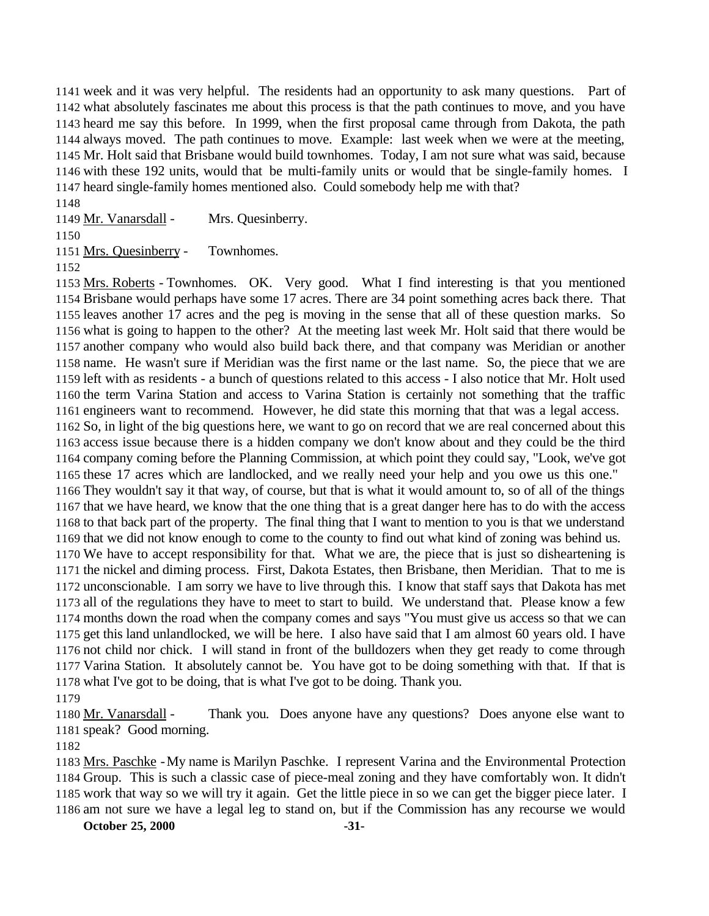week and it was very helpful. The residents had an opportunity to ask many questions. Part of what absolutely fascinates me about this process is that the path continues to move, and you have heard me say this before. In 1999, when the first proposal came through from Dakota, the path always moved. The path continues to move. Example: last week when we were at the meeting, Mr. Holt said that Brisbane would build townhomes. Today, I am not sure what was said, because with these 192 units, would that be multi-family units or would that be single-family homes. I heard single-family homes mentioned also. Could somebody help me with that?

Mr. Vanarsdall - Mrs. Quesinberry.

Mrs. Quesinberry - Townhomes.

 Mrs. Roberts - Townhomes. OK. Very good. What I find interesting is that you mentioned Brisbane would perhaps have some 17 acres. There are 34 point something acres back there. That leaves another 17 acres and the peg is moving in the sense that all of these question marks. So what is going to happen to the other? At the meeting last week Mr. Holt said that there would be another company who would also build back there, and that company was Meridian or another name. He wasn't sure if Meridian was the first name or the last name. So, the piece that we are left with as residents - a bunch of questions related to this access - I also notice that Mr. Holt used the term Varina Station and access to Varina Station is certainly not something that the traffic engineers want to recommend. However, he did state this morning that that was a legal access. So, in light of the big questions here, we want to go on record that we are real concerned about this access issue because there is a hidden company we don't know about and they could be the third company coming before the Planning Commission, at which point they could say, "Look, we've got these 17 acres which are landlocked, and we really need your help and you owe us this one." They wouldn't say it that way, of course, but that is what it would amount to, so of all of the things that we have heard, we know that the one thing that is a great danger here has to do with the access to that back part of the property. The final thing that I want to mention to you is that we understand that we did not know enough to come to the county to find out what kind of zoning was behind us. We have to accept responsibility for that. What we are, the piece that is just so disheartening is the nickel and diming process. First, Dakota Estates, then Brisbane, then Meridian. That to me is unconscionable. I am sorry we have to live through this. I know that staff says that Dakota has met all of the regulations they have to meet to start to build. We understand that. Please know a few months down the road when the company comes and says "You must give us access so that we can get this land unlandlocked, we will be here. I also have said that I am almost 60 years old. I have not child nor chick. I will stand in front of the bulldozers when they get ready to come through Varina Station. It absolutely cannot be. You have got to be doing something with that. If that is what I've got to be doing, that is what I've got to be doing. Thank you.

 Mr. Vanarsdall - Thank you. Does anyone have any questions? Does anyone else want to speak? Good morning.

 Mrs. Paschke -My name is Marilyn Paschke. I represent Varina and the Environmental Protection Group. This is such a classic case of piece-meal zoning and they have comfortably won. It didn't work that way so we will try it again. Get the little piece in so we can get the bigger piece later. I am not sure we have a legal leg to stand on, but if the Commission has any recourse we would

**October 25, 2000 -31-**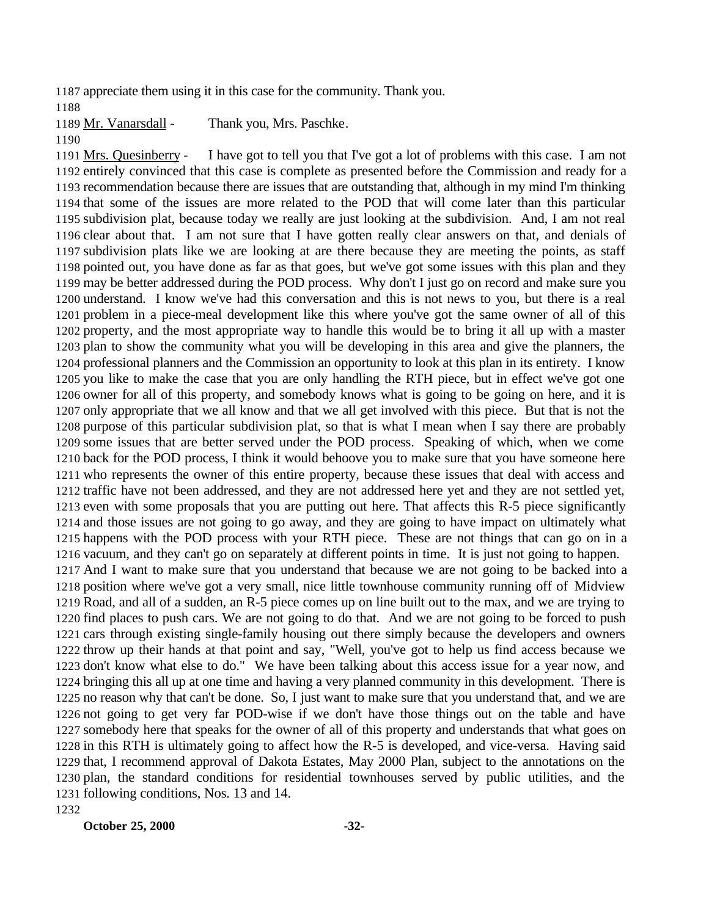appreciate them using it in this case for the community. Thank you.

Mr. Vanarsdall - Thank you, Mrs. Paschke.

 Mrs. Quesinberry - I have got to tell you that I've got a lot of problems with this case. I am not entirely convinced that this case is complete as presented before the Commission and ready for a recommendation because there are issues that are outstanding that, although in my mind I'm thinking that some of the issues are more related to the POD that will come later than this particular subdivision plat, because today we really are just looking at the subdivision. And, I am not real clear about that. I am not sure that I have gotten really clear answers on that, and denials of subdivision plats like we are looking at are there because they are meeting the points, as staff pointed out, you have done as far as that goes, but we've got some issues with this plan and they may be better addressed during the POD process. Why don't I just go on record and make sure you understand. I know we've had this conversation and this is not news to you, but there is a real problem in a piece-meal development like this where you've got the same owner of all of this property, and the most appropriate way to handle this would be to bring it all up with a master plan to show the community what you will be developing in this area and give the planners, the professional planners and the Commission an opportunity to look at this plan in its entirety. I know you like to make the case that you are only handling the RTH piece, but in effect we've got one owner for all of this property, and somebody knows what is going to be going on here, and it is only appropriate that we all know and that we all get involved with this piece. But that is not the purpose of this particular subdivision plat, so that is what I mean when I say there are probably some issues that are better served under the POD process. Speaking of which, when we come back for the POD process, I think it would behoove you to make sure that you have someone here who represents the owner of this entire property, because these issues that deal with access and traffic have not been addressed, and they are not addressed here yet and they are not settled yet, even with some proposals that you are putting out here. That affects this R-5 piece significantly and those issues are not going to go away, and they are going to have impact on ultimately what happens with the POD process with your RTH piece. These are not things that can go on in a vacuum, and they can't go on separately at different points in time. It is just not going to happen. And I want to make sure that you understand that because we are not going to be backed into a position where we've got a very small, nice little townhouse community running off of Midview Road, and all of a sudden, an R-5 piece comes up on line built out to the max, and we are trying to find places to push cars. We are not going to do that. And we are not going to be forced to push cars through existing single-family housing out there simply because the developers and owners throw up their hands at that point and say, "Well, you've got to help us find access because we don't know what else to do." We have been talking about this access issue for a year now, and bringing this all up at one time and having a very planned community in this development. There is no reason why that can't be done. So, I just want to make sure that you understand that, and we are not going to get very far POD-wise if we don't have those things out on the table and have somebody here that speaks for the owner of all of this property and understands that what goes on in this RTH is ultimately going to affect how the R-5 is developed, and vice-versa. Having said that, I recommend approval of Dakota Estates, May 2000 Plan, subject to the annotations on the plan, the standard conditions for residential townhouses served by public utilities, and the following conditions, Nos. 13 and 14.

**October 25, 2000 -32-**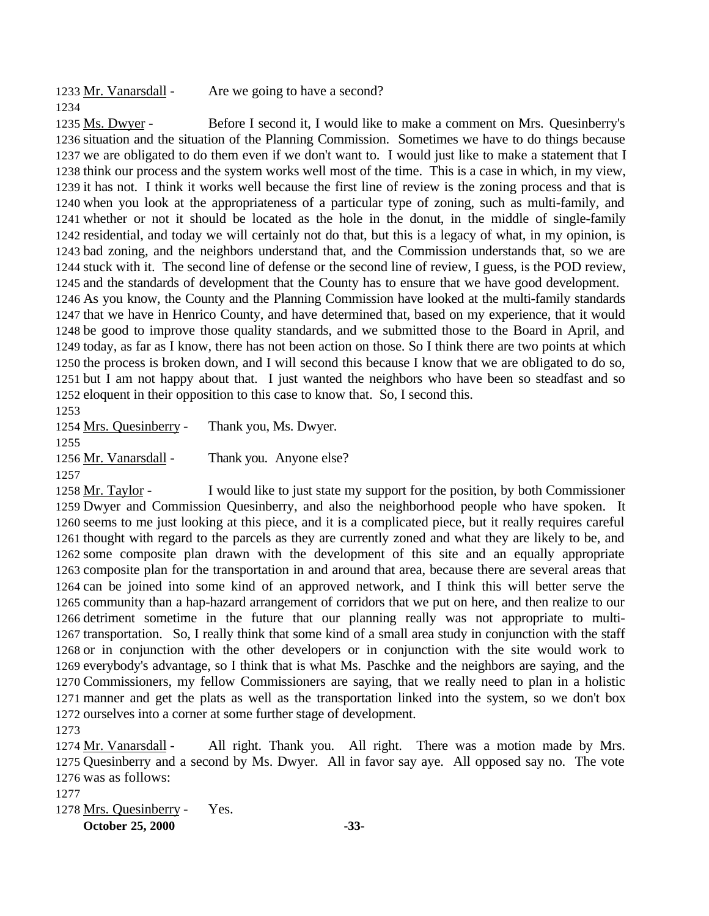1233 Mr. Vanarsdall - Are we going to have a second? 

 Ms. Dwyer - Before I second it, I would like to make a comment on Mrs. Quesinberry's situation and the situation of the Planning Commission. Sometimes we have to do things because we are obligated to do them even if we don't want to. I would just like to make a statement that I think our process and the system works well most of the time. This is a case in which, in my view, it has not. I think it works well because the first line of review is the zoning process and that is when you look at the appropriateness of a particular type of zoning, such as multi-family, and whether or not it should be located as the hole in the donut, in the middle of single-family residential, and today we will certainly not do that, but this is a legacy of what, in my opinion, is bad zoning, and the neighbors understand that, and the Commission understands that, so we are stuck with it. The second line of defense or the second line of review, I guess, is the POD review, and the standards of development that the County has to ensure that we have good development. As you know, the County and the Planning Commission have looked at the multi-family standards that we have in Henrico County, and have determined that, based on my experience, that it would be good to improve those quality standards, and we submitted those to the Board in April, and today, as far as I know, there has not been action on those. So I think there are two points at which the process is broken down, and I will second this because I know that we are obligated to do so, but I am not happy about that. I just wanted the neighbors who have been so steadfast and so eloquent in their opposition to this case to know that. So, I second this.

 Mrs. Quesinberry - Thank you, Ms. Dwyer. 

1256 Mr. Vanarsdall - Thank you. Anyone else?

 Mr. Taylor - I would like to just state my support for the position, by both Commissioner Dwyer and Commission Quesinberry, and also the neighborhood people who have spoken. It seems to me just looking at this piece, and it is a complicated piece, but it really requires careful thought with regard to the parcels as they are currently zoned and what they are likely to be, and some composite plan drawn with the development of this site and an equally appropriate composite plan for the transportation in and around that area, because there are several areas that can be joined into some kind of an approved network, and I think this will better serve the community than a hap-hazard arrangement of corridors that we put on here, and then realize to our detriment sometime in the future that our planning really was not appropriate to multi- transportation. So, I really think that some kind of a small area study in conjunction with the staff or in conjunction with the other developers or in conjunction with the site would work to everybody's advantage, so I think that is what Ms. Paschke and the neighbors are saying, and the Commissioners, my fellow Commissioners are saying, that we really need to plan in a holistic manner and get the plats as well as the transportation linked into the system, so we don't box ourselves into a corner at some further stage of development.

1274 Mr. Vanarsdall - All right. Thank you. All right. There was a motion made by Mrs. Quesinberry and a second by Ms. Dwyer. All in favor say aye. All opposed say no. The vote was as follows:

Mrs. Quesinberry - Yes.

**October 25, 2000 -33-**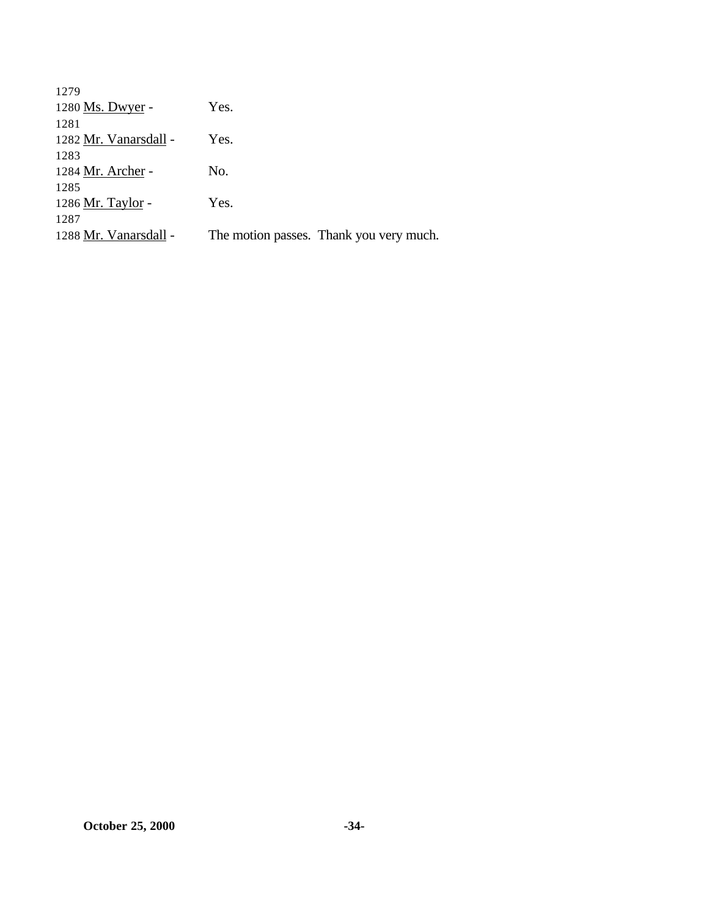| 1279                  |                                         |
|-----------------------|-----------------------------------------|
| 1280 Ms. Dwyer -      | Yes.                                    |
| 1281                  |                                         |
| 1282 Mr. Vanarsdall - | Yes.                                    |
| 1283                  |                                         |
| 1284 Mr. Archer -     | No.                                     |
| 1285                  |                                         |
| 1286 Mr. Taylor -     | Yes.                                    |
| 1287                  |                                         |
| 1288 Mr. Vanarsdall - | The motion passes. Thank you very much. |
|                       |                                         |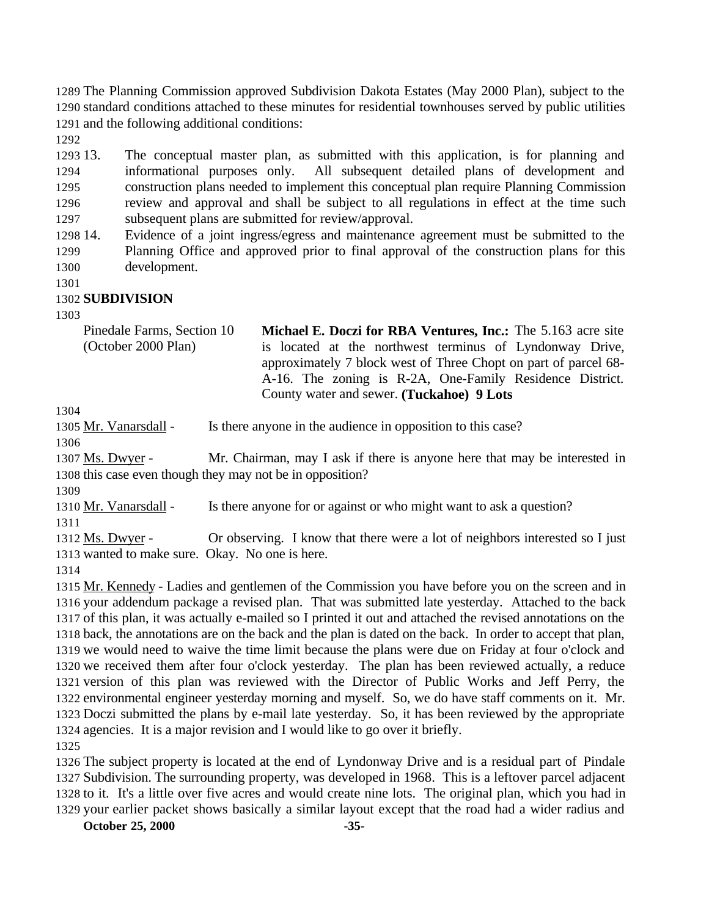The Planning Commission approved Subdivision Dakota Estates (May 2000 Plan), subject to the standard conditions attached to these minutes for residential townhouses served by public utilities and the following additional conditions:

 13. The conceptual master plan, as submitted with this application, is for planning and informational purposes only. All subsequent detailed plans of development and construction plans needed to implement this conceptual plan require Planning Commission review and approval and shall be subject to all regulations in effect at the time such subsequent plans are submitted for review/approval.

 14. Evidence of a joint ingress/egress and maintenance agreement must be submitted to the Planning Office and approved prior to final approval of the construction plans for this development.

### **SUBDIVISION**

Pinedale Farms, Section 10 (October 2000 Plan) **Michael E. Doczi for RBA Ventures, Inc.:** The 5.163 acre site is located at the northwest terminus of Lyndonway Drive, approximately 7 block west of Three Chopt on part of parcel 68- A-16. The zoning is R-2A, One-Family Residence District. County water and sewer. **(Tuckahoe) 9 Lots** 

Mr. Vanarsdall - Is there anyone in the audience in opposition to this case?

 Ms. Dwyer - Mr. Chairman, may I ask if there is anyone here that may be interested in this case even though they may not be in opposition?

Mr. Vanarsdall - Is there anyone for or against or who might want to ask a question?

1312 Ms. Dwyer - Or observing. I know that there were a lot of neighbors interested so I just wanted to make sure. Okay. No one is here.

 Mr. Kennedy - Ladies and gentlemen of the Commission you have before you on the screen and in your addendum package a revised plan. That was submitted late yesterday. Attached to the back of this plan, it was actually e-mailed so I printed it out and attached the revised annotations on the back, the annotations are on the back and the plan is dated on the back. In order to accept that plan, we would need to waive the time limit because the plans were due on Friday at four o'clock and we received them after four o'clock yesterday. The plan has been reviewed actually, a reduce version of this plan was reviewed with the Director of Public Works and Jeff Perry, the environmental engineer yesterday morning and myself. So, we do have staff comments on it. Mr. Doczi submitted the plans by e-mail late yesterday. So, it has been reviewed by the appropriate agencies. It is a major revision and I would like to go over it briefly. 

 The subject property is located at the end of Lyndonway Drive and is a residual part of Pindale Subdivision. The surrounding property, was developed in 1968. This is a leftover parcel adjacent to it. It's a little over five acres and would create nine lots. The original plan, which you had in your earlier packet shows basically a similar layout except that the road had a wider radius and

**October 25, 2000 -35-**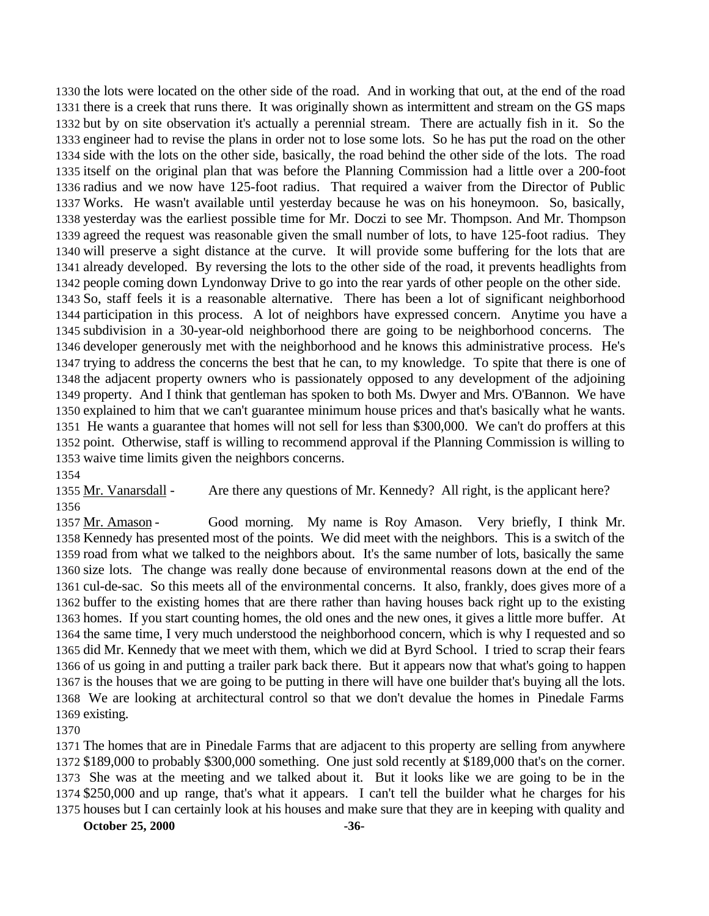the lots were located on the other side of the road. And in working that out, at the end of the road there is a creek that runs there. It was originally shown as intermittent and stream on the GS maps but by on site observation it's actually a perennial stream. There are actually fish in it. So the engineer had to revise the plans in order not to lose some lots. So he has put the road on the other side with the lots on the other side, basically, the road behind the other side of the lots. The road itself on the original plan that was before the Planning Commission had a little over a 200-foot radius and we now have 125-foot radius. That required a waiver from the Director of Public Works. He wasn't available until yesterday because he was on his honeymoon. So, basically, yesterday was the earliest possible time for Mr. Doczi to see Mr. Thompson. And Mr. Thompson agreed the request was reasonable given the small number of lots, to have 125-foot radius. They will preserve a sight distance at the curve. It will provide some buffering for the lots that are already developed. By reversing the lots to the other side of the road, it prevents headlights from people coming down Lyndonway Drive to go into the rear yards of other people on the other side. So, staff feels it is a reasonable alternative. There has been a lot of significant neighborhood participation in this process. A lot of neighbors have expressed concern. Anytime you have a subdivision in a 30-year-old neighborhood there are going to be neighborhood concerns. The developer generously met with the neighborhood and he knows this administrative process. He's trying to address the concerns the best that he can, to my knowledge. To spite that there is one of the adjacent property owners who is passionately opposed to any development of the adjoining property. And I think that gentleman has spoken to both Ms. Dwyer and Mrs. O'Bannon. We have explained to him that we can't guarantee minimum house prices and that's basically what he wants. He wants a guarantee that homes will not sell for less than \$300,000. We can't do proffers at this point. Otherwise, staff is willing to recommend approval if the Planning Commission is willing to waive time limits given the neighbors concerns.

 Mr. Vanarsdall - Are there any questions of Mr. Kennedy? All right, is the applicant here? 

1357 Mr. Amason - Good morning. My name is Roy Amason. Very briefly, I think Mr. Kennedy has presented most of the points. We did meet with the neighbors. This is a switch of the road from what we talked to the neighbors about. It's the same number of lots, basically the same size lots. The change was really done because of environmental reasons down at the end of the cul-de-sac. So this meets all of the environmental concerns. It also, frankly, does gives more of a buffer to the existing homes that are there rather than having houses back right up to the existing homes. If you start counting homes, the old ones and the new ones, it gives a little more buffer. At the same time, I very much understood the neighborhood concern, which is why I requested and so did Mr. Kennedy that we meet with them, which we did at Byrd School. I tried to scrap their fears of us going in and putting a trailer park back there. But it appears now that what's going to happen is the houses that we are going to be putting in there will have one builder that's buying all the lots. We are looking at architectural control so that we don't devalue the homes in Pinedale Farms existing.

 The homes that are in Pinedale Farms that are adjacent to this property are selling from anywhere \$189,000 to probably \$300,000 something. One just sold recently at \$189,000 that's on the corner. She was at the meeting and we talked about it. But it looks like we are going to be in the \$250,000 and up range, that's what it appears. I can't tell the builder what he charges for his houses but I can certainly look at his houses and make sure that they are in keeping with quality and

**October 25, 2000 -36-**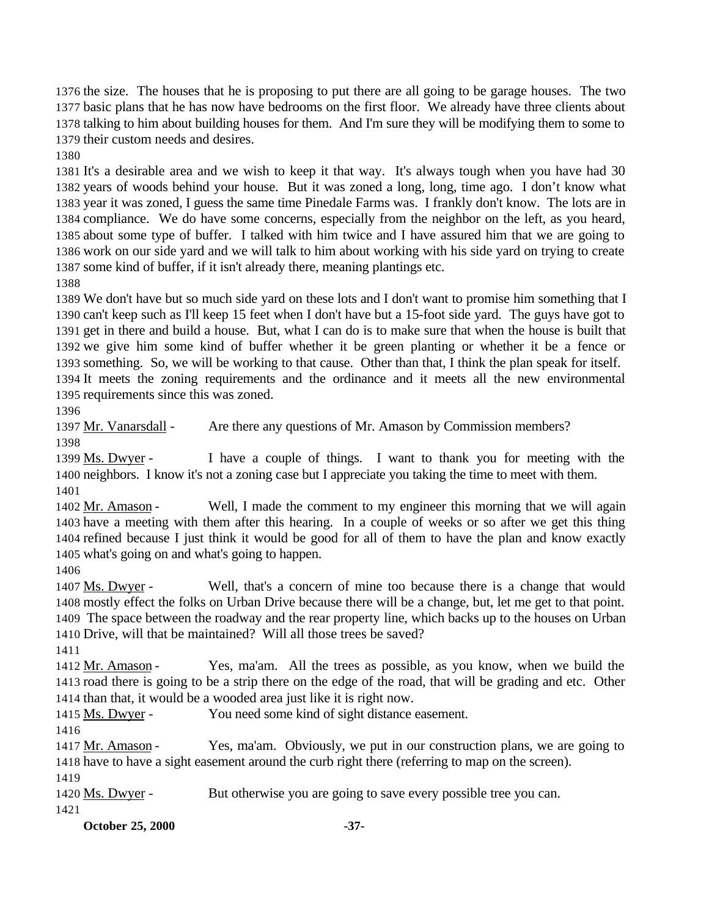the size. The houses that he is proposing to put there are all going to be garage houses. The two basic plans that he has now have bedrooms on the first floor. We already have three clients about talking to him about building houses for them. And I'm sure they will be modifying them to some to their custom needs and desires.

 It's a desirable area and we wish to keep it that way. It's always tough when you have had 30 years of woods behind your house. But it was zoned a long, long, time ago. I don't know what year it was zoned, I guess the same time Pinedale Farms was. I frankly don't know. The lots are in compliance. We do have some concerns, especially from the neighbor on the left, as you heard, about some type of buffer. I talked with him twice and I have assured him that we are going to work on our side yard and we will talk to him about working with his side yard on trying to create some kind of buffer, if it isn't already there, meaning plantings etc.

 We don't have but so much side yard on these lots and I don't want to promise him something that I can't keep such as I'll keep 15 feet when I don't have but a 15-foot side yard. The guys have got to get in there and build a house. But, what I can do is to make sure that when the house is built that we give him some kind of buffer whether it be green planting or whether it be a fence or something. So, we will be working to that cause. Other than that, I think the plan speak for itself. It meets the zoning requirements and the ordinance and it meets all the new environmental requirements since this was zoned.

Mr. Vanarsdall - Are there any questions of Mr. Amason by Commission members?

 Ms. Dwyer - I have a couple of things. I want to thank you for meeting with the neighbors. I know it's not a zoning case but I appreciate you taking the time to meet with them. 

 Mr. Amason - Well, I made the comment to my engineer this morning that we will again have a meeting with them after this hearing. In a couple of weeks or so after we get this thing refined because I just think it would be good for all of them to have the plan and know exactly what's going on and what's going to happen.

 Ms. Dwyer - Well, that's a concern of mine too because there is a change that would mostly effect the folks on Urban Drive because there will be a change, but, let me get to that point. The space between the roadway and the rear property line, which backs up to the houses on Urban Drive, will that be maintained? Will all those trees be saved?

1412 Mr. Amason - Yes, ma'am. All the trees as possible, as you know, when we build the road there is going to be a strip there on the edge of the road, that will be grading and etc. Other than that, it would be a wooded area just like it is right now.

Ms. Dwyer - You need some kind of sight distance easement.

1417 Mr. Amason - Yes, ma'am. Obviously, we put in our construction plans, we are going to have to have a sight easement around the curb right there (referring to map on the screen).

1420 Ms. Dwyer - But otherwise you are going to save every possible tree you can.

**October 25, 2000 -37-**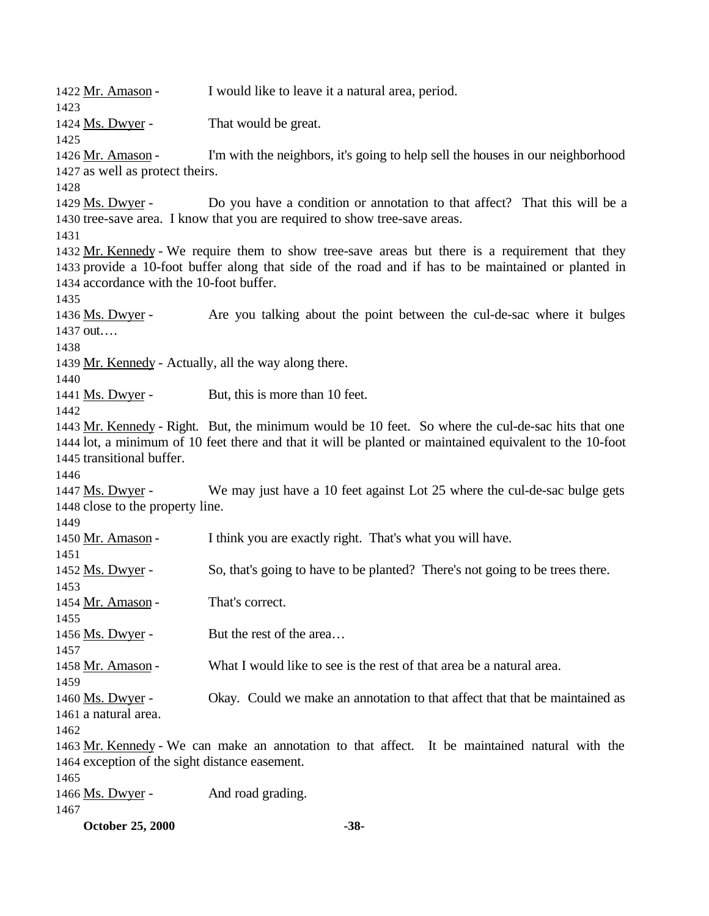Mr. Amason - I would like to leave it a natural area, period. 1424 Ms. Dwyer - That would be great. Mr. Amason - I'm with the neighbors, it's going to help sell the houses in our neighborhood as well as protect theirs. 1429 Ms. Dwyer - Do you have a condition or annotation to that affect? That this will be a tree-save area. I know that you are required to show tree-save areas. 1432 Mr. Kennedy - We require them to show tree-save areas but there is a requirement that they provide a 10-foot buffer along that side of the road and if has to be maintained or planted in accordance with the 10-foot buffer. Ms. Dwyer - Are you talking about the point between the cul-de-sac where it bulges out…. Mr. Kennedy - Actually, all the way along there. 1441 Ms. Dwyer - But, this is more than 10 feet. Mr. Kennedy - Right. But, the minimum would be 10 feet. So where the cul-de-sac hits that one lot, a minimum of 10 feet there and that it will be planted or maintained equivalent to the 10-foot transitional buffer. Ms. Dwyer - We may just have a 10 feet against Lot 25 where the cul-de-sac bulge gets close to the property line. 1450 Mr. Amason - I think you are exactly right. That's what you will have. Ms. Dwyer - So, that's going to have to be planted? There's not going to be trees there. 1454 Mr. Amason - That's correct. 1456 Ms. Dwyer - But the rest of the area... 1458 Mr. Amason - What I would like to see is the rest of that area be a natural area. Ms. Dwyer - Okay. Could we make an annotation to that affect that that be maintained as a natural area. Mr. Kennedy - We can make an annotation to that affect. It be maintained natural with the exception of the sight distance easement. 1466 Ms. Dwyer - And road grading. 

**October 25, 2000 -38-**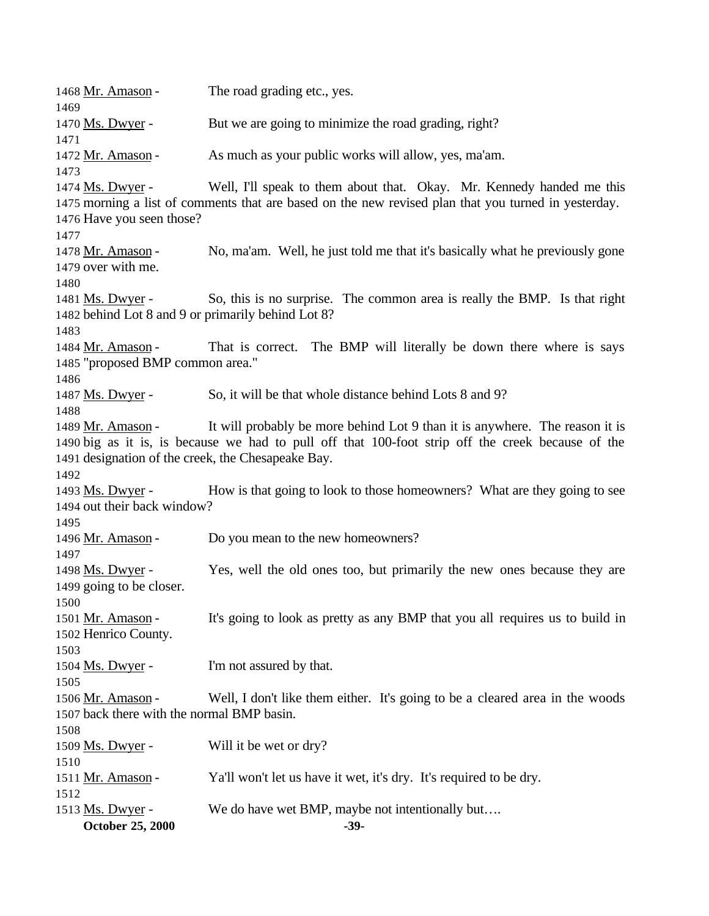**October 25, 2000 -39-** 1468 Mr. Amason - The road grading etc., yes. Ms. Dwyer - But we are going to minimize the road grading, right? Mr. Amason - As much as your public works will allow, yes, ma'am. Ms. Dwyer - Well, I'll speak to them about that. Okay. Mr. Kennedy handed me this morning a list of comments that are based on the new revised plan that you turned in yesterday. Have you seen those? Mr. Amason - No, ma'am. Well, he just told me that it's basically what he previously gone over with me. 1481 Ms. Dwyer - So, this is no surprise. The common area is really the BMP. Is that right behind Lot 8 and 9 or primarily behind Lot 8? 1484 Mr. Amason - That is correct. The BMP will literally be down there where is says "proposed BMP common area." 1487 Ms. Dwyer - So, it will be that whole distance behind Lots 8 and 9? Mr. Amason - It will probably be more behind Lot 9 than it is anywhere. The reason it is big as it is, is because we had to pull off that 100-foot strip off the creek because of the designation of the creek, the Chesapeake Bay. Ms. Dwyer - How is that going to look to those homeowners? What are they going to see out their back window? 1496 Mr. Amason - Do you mean to the new homeowners? Ms. Dwyer - Yes, well the old ones too, but primarily the new ones because they are 1499 going to be closer. Mr. Amason - It's going to look as pretty as any BMP that you all requires us to build in Henrico County. 1504 Ms. Dwyer - I'm not assured by that. 1506 Mr. Amason - Well, I don't like them either. It's going to be a cleared area in the woods back there with the normal BMP basin. Ms. Dwyer - Will it be wet or dry? Mr. Amason - Ya'll won't let us have it wet, it's dry. It's required to be dry. Ms. Dwyer - We do have wet BMP, maybe not intentionally but….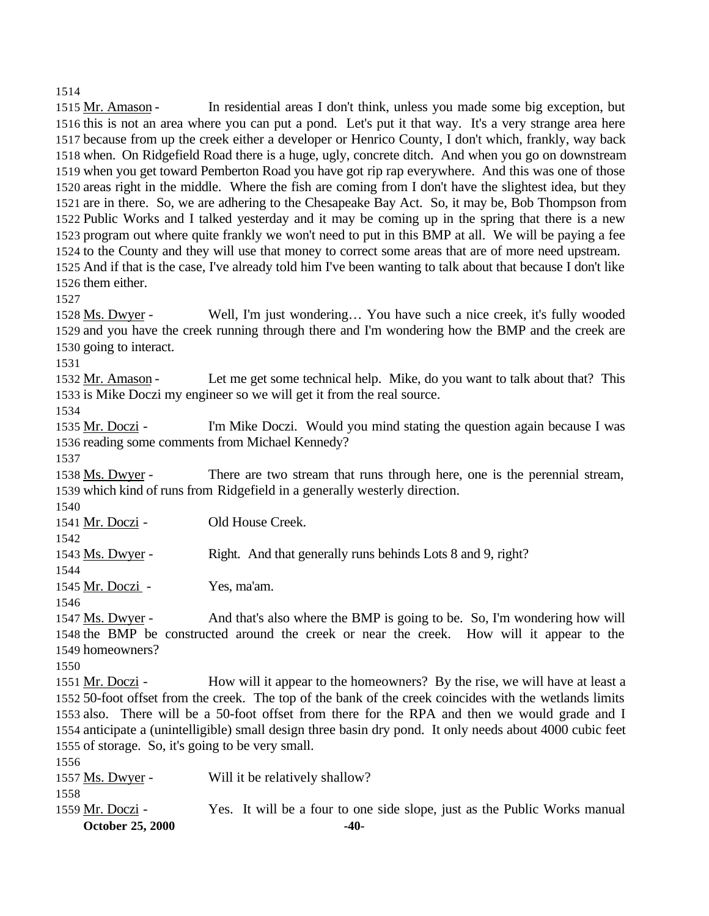Mr. Amason - In residential areas I don't think, unless you made some big exception, but this is not an area where you can put a pond. Let's put it that way. It's a very strange area here because from up the creek either a developer or Henrico County, I don't which, frankly, way back when. On Ridgefield Road there is a huge, ugly, concrete ditch. And when you go on downstream when you get toward Pemberton Road you have got rip rap everywhere. And this was one of those areas right in the middle. Where the fish are coming from I don't have the slightest idea, but they are in there. So, we are adhering to the Chesapeake Bay Act. So, it may be, Bob Thompson from Public Works and I talked yesterday and it may be coming up in the spring that there is a new program out where quite frankly we won't need to put in this BMP at all. We will be paying a fee to the County and they will use that money to correct some areas that are of more need upstream. And if that is the case, I've already told him I've been wanting to talk about that because I don't like them either.

 Ms. Dwyer - Well, I'm just wondering… You have such a nice creek, it's fully wooded and you have the creek running through there and I'm wondering how the BMP and the creek are going to interact.

1532 Mr. Amason - Let me get some technical help. Mike, do you want to talk about that? This is Mike Doczi my engineer so we will get it from the real source.

 Mr. Doczi - I'm Mike Doczi. Would you mind stating the question again because I was reading some comments from Michael Kennedy?

1538 Ms. Dwyer - There are two stream that runs through here, one is the perennial stream, which kind of runs from Ridgefield in a generally westerly direction.

Mr. Doczi - Old House Creek.

1543 Ms. Dwyer - Right. And that generally runs behinds Lots 8 and 9, right? 

Mr. Doczi - Yes, ma'am.

 Ms. Dwyer - And that's also where the BMP is going to be. So, I'm wondering how will the BMP be constructed around the creek or near the creek. How will it appear to the homeowners?

1551 Mr. Doczi - How will it appear to the homeowners? By the rise, we will have at least a 50-foot offset from the creek. The top of the bank of the creek coincides with the wetlands limits also. There will be a 50-foot offset from there for the RPA and then we would grade and I anticipate a (unintelligible) small design three basin dry pond. It only needs about 4000 cubic feet of storage. So, it's going to be very small.

| <b>October 25, 2000</b> | $-40-$                                                                    |
|-------------------------|---------------------------------------------------------------------------|
| 1559 Mr. Doczi -        | Yes. It will be a four to one side slope, just as the Public Works manual |
| 1558                    |                                                                           |
| 1557 Ms. Dwyer -        | Will it be relatively shallow?                                            |
|                         |                                                                           |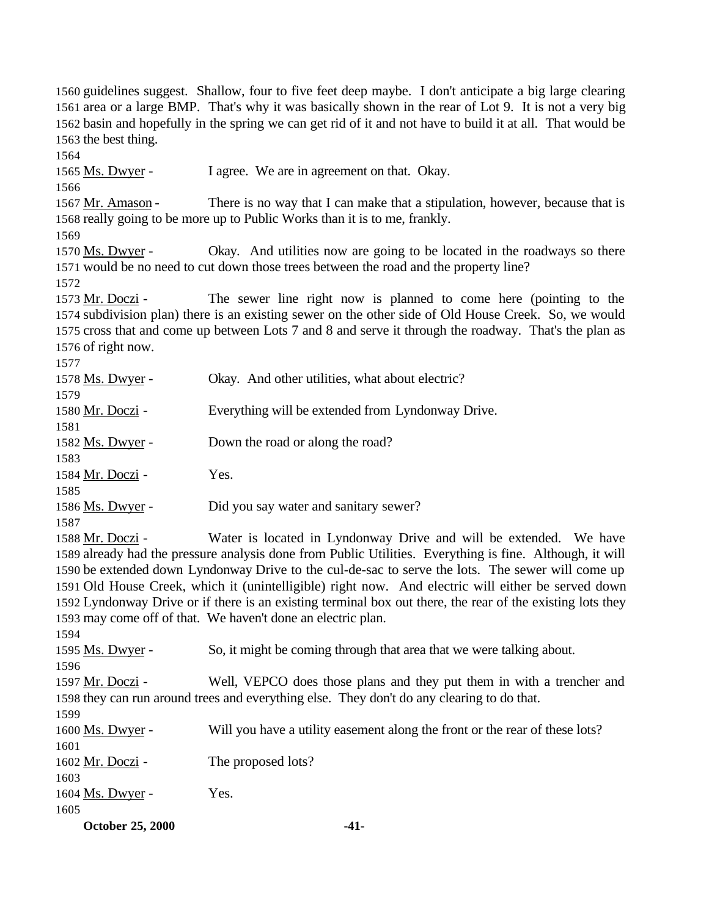guidelines suggest. Shallow, four to five feet deep maybe. I don't anticipate a big large clearing area or a large BMP. That's why it was basically shown in the rear of Lot 9. It is not a very big basin and hopefully in the spring we can get rid of it and not have to build it at all. That would be the best thing. 1565 Ms. Dwyer - I agree. We are in agreement on that. Okay. 1567 Mr. Amason - There is no way that I can make that a stipulation, however, because that is really going to be more up to Public Works than it is to me, frankly. Ms. Dwyer - Okay. And utilities now are going to be located in the roadways so there would be no need to cut down those trees between the road and the property line? 1573 Mr. Doczi - The sewer line right now is planned to come here (pointing to the subdivision plan) there is an existing sewer on the other side of Old House Creek. So, we would cross that and come up between Lots 7 and 8 and serve it through the roadway. That's the plan as of right now. 1578 Ms. Dwyer - Okay. And other utilities, what about electric? Mr. Doczi - Everything will be extended from Lyndonway Drive. 1582 Ms. Dwyer - Down the road or along the road? Mr. Doczi - Yes. 1586 Ms. Dwyer - Did you say water and sanitary sewer? Mr. Doczi - Water is located in Lyndonway Drive and will be extended. We have already had the pressure analysis done from Public Utilities. Everything is fine. Although, it will be extended down Lyndonway Drive to the cul-de-sac to serve the lots. The sewer will come up Old House Creek, which it (unintelligible) right now. And electric will either be served down Lyndonway Drive or if there is an existing terminal box out there, the rear of the existing lots they may come off of that. We haven't done an electric plan. Ms. Dwyer - So, it might be coming through that area that we were talking about. Mr. Doczi - Well, VEPCO does those plans and they put them in with a trencher and they can run around trees and everything else. They don't do any clearing to do that. Ms. Dwyer - Will you have a utility easement along the front or the rear of these lots? 1602 Mr. Doczi - The proposed lots? 1604 Ms. Dwyer - Yes. 

**October 25, 2000 -41-**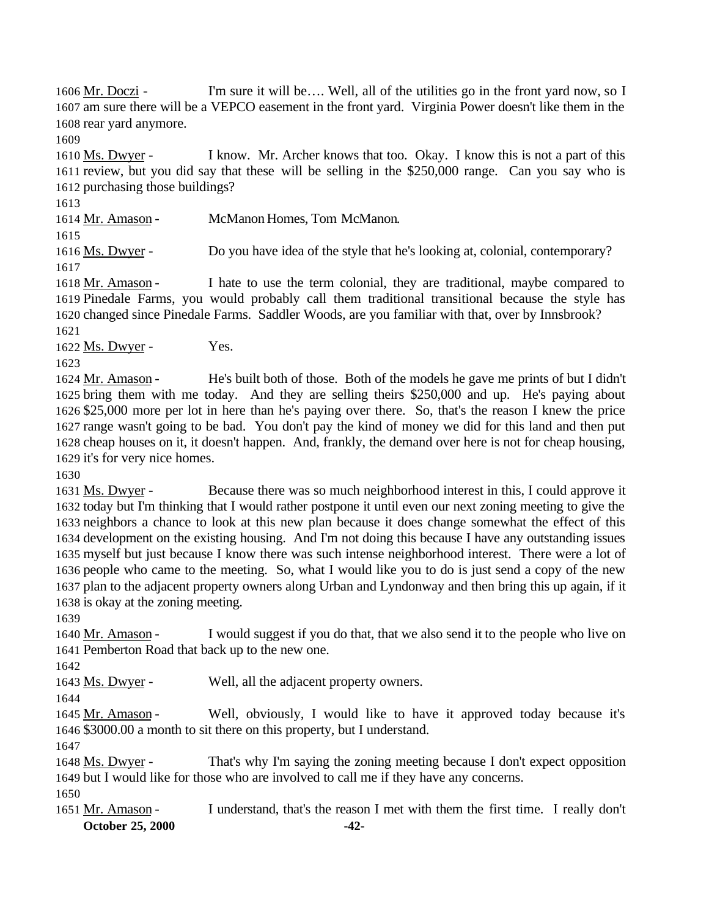Mr. Doczi - I'm sure it will be…. Well, all of the utilities go in the front yard now, so I am sure there will be a VEPCO easement in the front yard. Virginia Power doesn't like them in the rear yard anymore.

 Ms. Dwyer - I know. Mr. Archer knows that too. Okay. I know this is not a part of this review, but you did say that these will be selling in the \$250,000 range. Can you say who is purchasing those buildings?

Mr. Amason - McManon Homes, Tom McManon.

1616 Ms. Dwyer - Do you have idea of the style that he's looking at, colonial, contemporary? 

1618 Mr. Amason - I hate to use the term colonial, they are traditional, maybe compared to Pinedale Farms, you would probably call them traditional transitional because the style has changed since Pinedale Farms. Saddler Woods, are you familiar with that, over by Innsbrook? 

1622 Ms. Dwyer - Yes.

1624 Mr. Amason - He's built both of those. Both of the models he gave me prints of but I didn't bring them with me today. And they are selling theirs \$250,000 and up. He's paying about \$25,000 more per lot in here than he's paying over there. So, that's the reason I knew the price range wasn't going to be bad. You don't pay the kind of money we did for this land and then put cheap houses on it, it doesn't happen. And, frankly, the demand over here is not for cheap housing, it's for very nice homes.

 Ms. Dwyer - Because there was so much neighborhood interest in this, I could approve it today but I'm thinking that I would rather postpone it until even our next zoning meeting to give the neighbors a chance to look at this new plan because it does change somewhat the effect of this development on the existing housing. And I'm not doing this because I have any outstanding issues myself but just because I know there was such intense neighborhood interest. There were a lot of people who came to the meeting. So, what I would like you to do is just send a copy of the new plan to the adjacent property owners along Urban and Lyndonway and then bring this up again, if it is okay at the zoning meeting.

1640 Mr. Amason - I would suggest if you do that, that we also send it to the people who live on Pemberton Road that back up to the new one.

1643 Ms. Dwyer - Well, all the adjacent property owners.

 Mr. Amason - Well, obviously, I would like to have it approved today because it's \$3000.00 a month to sit there on this property, but I understand.

 Ms. Dwyer - That's why I'm saying the zoning meeting because I don't expect opposition but I would like for those who are involved to call me if they have any concerns.

**October 25, 2000 -42-** Mr. Amason - I understand, that's the reason I met with them the first time. I really don't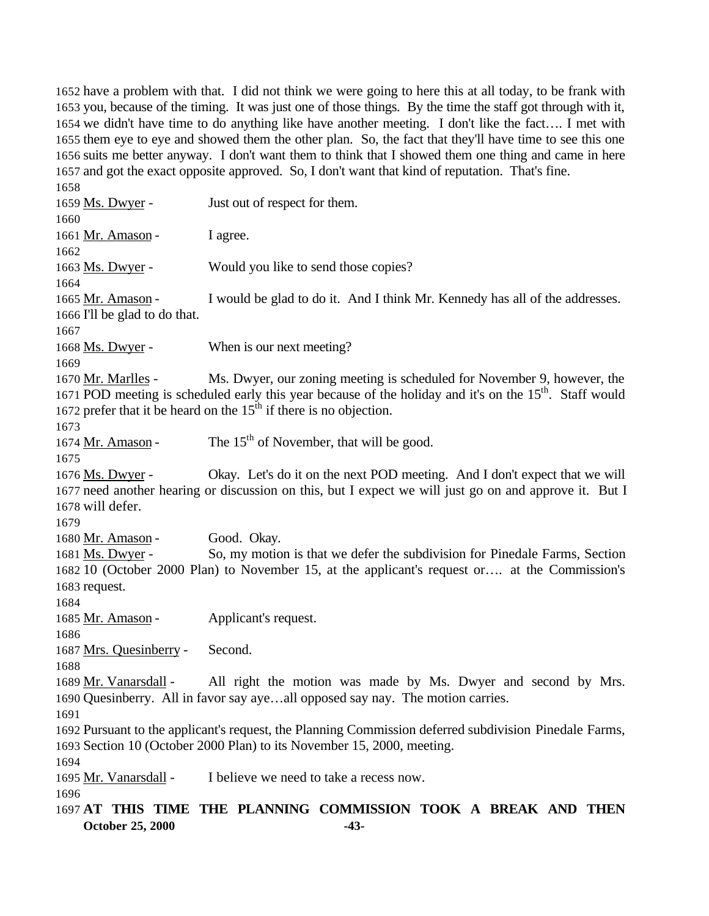have a problem with that. I did not think we were going to here this at all today, to be frank with you, because of the timing. It was just one of those things. By the time the staff got through with it, we didn't have time to do anything like have another meeting. I don't like the fact…. I met with them eye to eye and showed them the other plan. So, the fact that they'll have time to see this one suits me better anyway. I don't want them to think that I showed them one thing and came in here and got the exact opposite approved. So, I don't want that kind of reputation. That's fine.

**October 25, 2000 -43-** 1659 Ms. Dwyer - Just out of respect for them. 1661 Mr. Amason - I agree. 1663 Ms. Dwyer - Would you like to send those copies? 1665 Mr. Amason - I would be glad to do it. And I think Mr. Kennedy has all of the addresses. I'll be glad to do that. Ms. Dwyer - When is our next meeting? Mr. Marlles - Ms. Dwyer, our zoning meeting is scheduled for November 9, however, the 1671 POD meeting is scheduled early this year because of the holiday and it's on the  $15<sup>th</sup>$ . Staff would 1672 prefer that it be heard on the  $15<sup>th</sup>$  if there is no objection. 1674 Mr. Amason - The  $15<sup>th</sup>$  of November, that will be good. Ms. Dwyer - Okay. Let's do it on the next POD meeting. And I don't expect that we will need another hearing or discussion on this, but I expect we will just go on and approve it. But I will defer. Mr. Amason - Good. Okay. Ms. Dwyer - So, my motion is that we defer the subdivision for Pinedale Farms, Section 10 (October 2000 Plan) to November 15, at the applicant's request or…. at the Commission's request. 1685 Mr. Amason - Applicant's request. Mrs. Quesinberry - Second. Mr. Vanarsdall - All right the motion was made by Ms. Dwyer and second by Mrs. Quesinberry. All in favor say aye…all opposed say nay. The motion carries. Pursuant to the applicant's request, the Planning Commission deferred subdivision Pinedale Farms, Section 10 (October 2000 Plan) to its November 15, 2000, meeting. Mr. Vanarsdall - I believe we need to take a recess now. **AT THIS TIME THE PLANNING COMMISSION TOOK A BREAK AND THEN**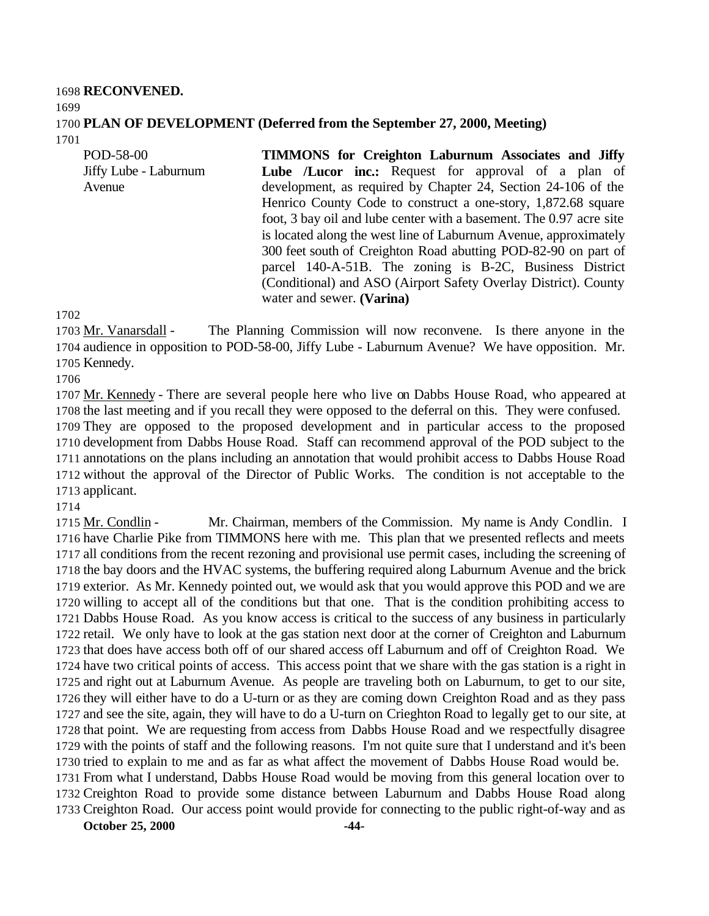**RECONVENED. PLAN OF DEVELOPMENT (Deferred from the September 27, 2000, Meeting)** 

POD-58-00 Jiffy Lube - Laburnum Avenue **TIMMONS for Creighton Laburnum Associates and Jiffy** Lube */Lucor* inc.: Request for approval of a plan of development, as required by Chapter 24, Section 24-106 of the Henrico County Code to construct a one-story, 1,872.68 square foot, 3 bay oil and lube center with a basement. The 0.97 acre site is located along the west line of Laburnum Avenue, approximately 300 feet south of Creighton Road abutting POD-82-90 on part of parcel 140-A-51B. The zoning is B-2C, Business District (Conditional) and ASO (Airport Safety Overlay District). County water and sewer. **(Varina)**

 Mr. Vanarsdall - The Planning Commission will now reconvene. Is there anyone in the audience in opposition to POD-58-00, Jiffy Lube - Laburnum Avenue? We have opposition. Mr. Kennedy.

1707 Mr. Kennedy - There are several people here who live on Dabbs House Road, who appeared at the last meeting and if you recall they were opposed to the deferral on this. They were confused. They are opposed to the proposed development and in particular access to the proposed development from Dabbs House Road. Staff can recommend approval of the POD subject to the annotations on the plans including an annotation that would prohibit access to Dabbs House Road without the approval of the Director of Public Works. The condition is not acceptable to the applicant.

 Mr. Condlin - Mr. Chairman, members of the Commission. My name is Andy Condlin. I have Charlie Pike from TIMMONS here with me. This plan that we presented reflects and meets all conditions from the recent rezoning and provisional use permit cases, including the screening of the bay doors and the HVAC systems, the buffering required along Laburnum Avenue and the brick exterior. As Mr. Kennedy pointed out, we would ask that you would approve this POD and we are willing to accept all of the conditions but that one. That is the condition prohibiting access to Dabbs House Road. As you know access is critical to the success of any business in particularly retail. We only have to look at the gas station next door at the corner of Creighton and Laburnum that does have access both off of our shared access off Laburnum and off of Creighton Road. We have two critical points of access. This access point that we share with the gas station is a right in and right out at Laburnum Avenue. As people are traveling both on Laburnum, to get to our site, they will either have to do a U-turn or as they are coming down Creighton Road and as they pass and see the site, again, they will have to do a U-turn on Crieghton Road to legally get to our site, at that point. We are requesting from access from Dabbs House Road and we respectfully disagree with the points of staff and the following reasons. I'm not quite sure that I understand and it's been tried to explain to me and as far as what affect the movement of Dabbs House Road would be. From what I understand, Dabbs House Road would be moving from this general location over to

 Creighton Road to provide some distance between Laburnum and Dabbs House Road along Creighton Road. Our access point would provide for connecting to the public right-of-way and as

**October 25, 2000 -44-**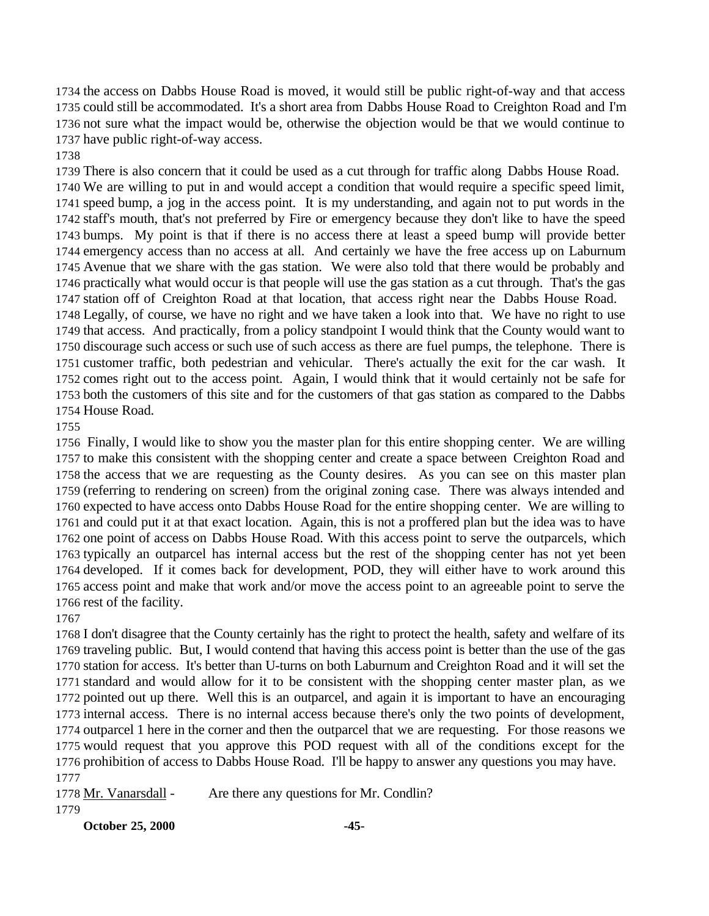the access on Dabbs House Road is moved, it would still be public right-of-way and that access could still be accommodated. It's a short area from Dabbs House Road to Creighton Road and I'm not sure what the impact would be, otherwise the objection would be that we would continue to have public right-of-way access.

There is also concern that it could be used as a cut through for traffic along Dabbs House Road.

 We are willing to put in and would accept a condition that would require a specific speed limit, speed bump, a jog in the access point. It is my understanding, and again not to put words in the staff's mouth, that's not preferred by Fire or emergency because they don't like to have the speed bumps. My point is that if there is no access there at least a speed bump will provide better emergency access than no access at all. And certainly we have the free access up on Laburnum Avenue that we share with the gas station. We were also told that there would be probably and practically what would occur is that people will use the gas station as a cut through. That's the gas station off of Creighton Road at that location, that access right near the Dabbs House Road.

 Legally, of course, we have no right and we have taken a look into that. We have no right to use that access. And practically, from a policy standpoint I would think that the County would want to discourage such access or such use of such access as there are fuel pumps, the telephone. There is customer traffic, both pedestrian and vehicular. There's actually the exit for the car wash. It comes right out to the access point. Again, I would think that it would certainly not be safe for both the customers of this site and for the customers of that gas station as compared to the Dabbs House Road.

 Finally, I would like to show you the master plan for this entire shopping center. We are willing to make this consistent with the shopping center and create a space between Creighton Road and the access that we are requesting as the County desires. As you can see on this master plan (referring to rendering on screen) from the original zoning case. There was always intended and expected to have access onto Dabbs House Road for the entire shopping center. We are willing to and could put it at that exact location. Again, this is not a proffered plan but the idea was to have one point of access on Dabbs House Road. With this access point to serve the outparcels, which typically an outparcel has internal access but the rest of the shopping center has not yet been developed. If it comes back for development, POD, they will either have to work around this access point and make that work and/or move the access point to an agreeable point to serve the rest of the facility.

 I don't disagree that the County certainly has the right to protect the health, safety and welfare of its traveling public. But, I would contend that having this access point is better than the use of the gas station for access. It's better than U-turns on both Laburnum and Creighton Road and it will set the standard and would allow for it to be consistent with the shopping center master plan, as we pointed out up there. Well this is an outparcel, and again it is important to have an encouraging internal access. There is no internal access because there's only the two points of development, outparcel 1 here in the corner and then the outparcel that we are requesting. For those reasons we would request that you approve this POD request with all of the conditions except for the prohibition of access to Dabbs House Road. I'll be happy to answer any questions you may have. 

1778 Mr. Vanarsdall - Are there any questions for Mr. Condlin? 

**October 25, 2000 -45-**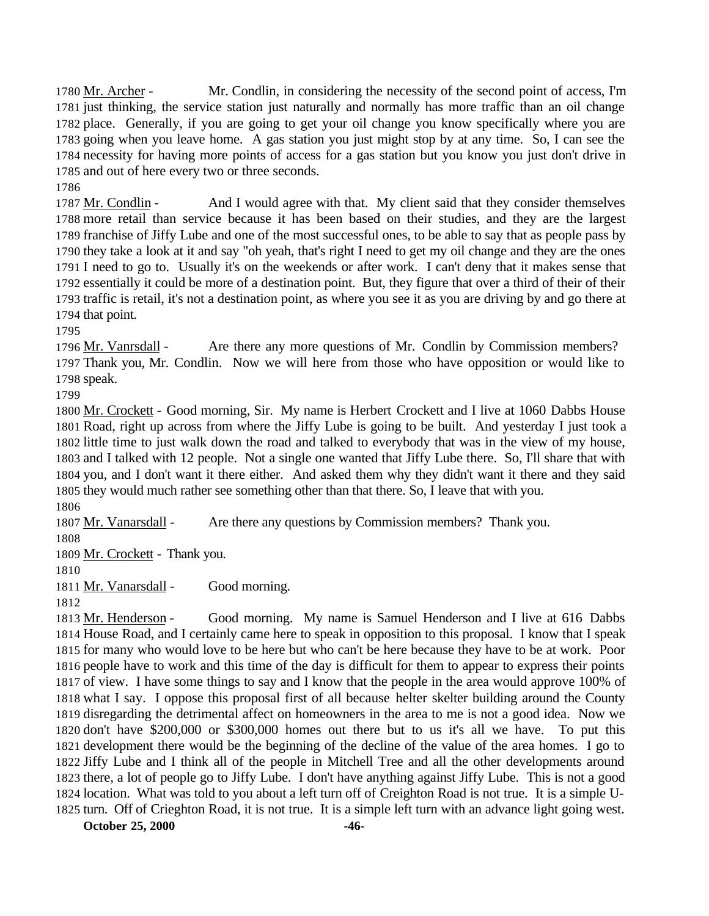Mr. Archer - Mr. Condlin, in considering the necessity of the second point of access, I'm just thinking, the service station just naturally and normally has more traffic than an oil change place. Generally, if you are going to get your oil change you know specifically where you are going when you leave home. A gas station you just might stop by at any time. So, I can see the necessity for having more points of access for a gas station but you know you just don't drive in and out of here every two or three seconds.

1787 Mr. Condlin - And I would agree with that. My client said that they consider themselves more retail than service because it has been based on their studies, and they are the largest franchise of Jiffy Lube and one of the most successful ones, to be able to say that as people pass by they take a look at it and say "oh yeah, that's right I need to get my oil change and they are the ones I need to go to. Usually it's on the weekends or after work. I can't deny that it makes sense that essentially it could be more of a destination point. But, they figure that over a third of their of their traffic is retail, it's not a destination point, as where you see it as you are driving by and go there at that point.

 Mr. Vanrsdall - Are there any more questions of Mr. Condlin by Commission members? Thank you, Mr. Condlin. Now we will here from those who have opposition or would like to speak.

 Mr. Crockett - Good morning, Sir. My name is Herbert Crockett and I live at 1060 Dabbs House Road, right up across from where the Jiffy Lube is going to be built. And yesterday I just took a little time to just walk down the road and talked to everybody that was in the view of my house, and I talked with 12 people. Not a single one wanted that Jiffy Lube there. So, I'll share that with you, and I don't want it there either. And asked them why they didn't want it there and they said they would much rather see something other than that there. So, I leave that with you.

Mr. Vanarsdall - Are there any questions by Commission members? Thank you.

Mr. Crockett - Thank you.

1811 Mr. Vanarsdall - Good morning.

 Mr. Henderson - Good morning. My name is Samuel Henderson and I live at 616 Dabbs House Road, and I certainly came here to speak in opposition to this proposal. I know that I speak for many who would love to be here but who can't be here because they have to be at work. Poor people have to work and this time of the day is difficult for them to appear to express their points of view. I have some things to say and I know that the people in the area would approve 100% of what I say. I oppose this proposal first of all because helter skelter building around the County disregarding the detrimental affect on homeowners in the area to me is not a good idea. Now we don't have \$200,000 or \$300,000 homes out there but to us it's all we have. To put this development there would be the beginning of the decline of the value of the area homes. I go to Jiffy Lube and I think all of the people in Mitchell Tree and all the other developments around there, a lot of people go to Jiffy Lube. I don't have anything against Jiffy Lube. This is not a good location. What was told to you about a left turn off of Creighton Road is not true. It is a simple U-turn. Off of Crieghton Road, it is not true. It is a simple left turn with an advance light going west.

**October 25, 2000 -46-**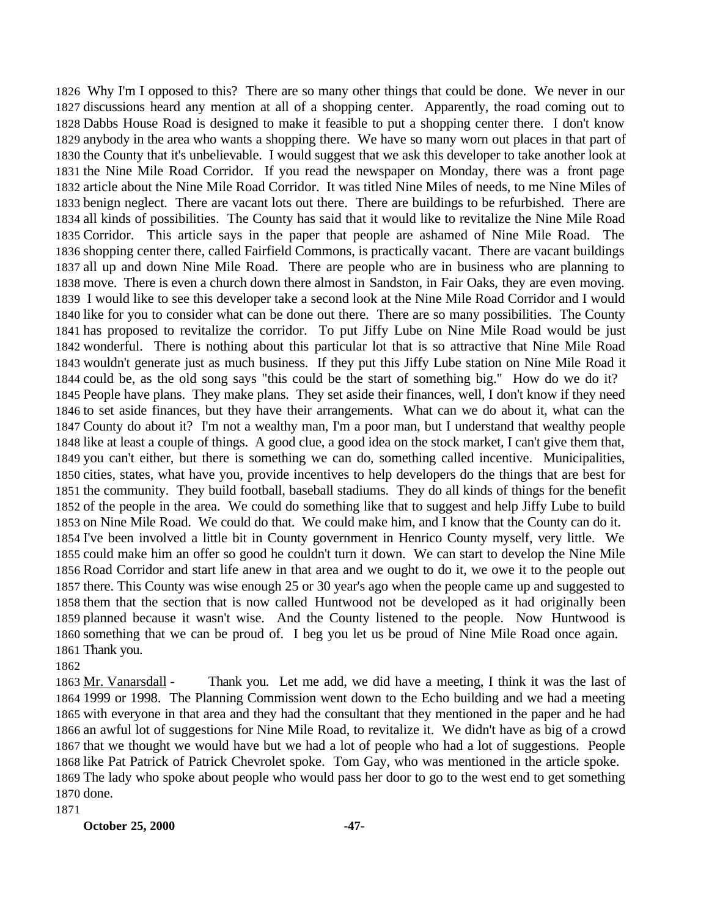Why I'm I opposed to this? There are so many other things that could be done. We never in our discussions heard any mention at all of a shopping center. Apparently, the road coming out to Dabbs House Road is designed to make it feasible to put a shopping center there. I don't know anybody in the area who wants a shopping there. We have so many worn out places in that part of the County that it's unbelievable. I would suggest that we ask this developer to take another look at the Nine Mile Road Corridor. If you read the newspaper on Monday, there was a front page article about the Nine Mile Road Corridor. It was titled Nine Miles of needs, to me Nine Miles of benign neglect. There are vacant lots out there. There are buildings to be refurbished. There are all kinds of possibilities. The County has said that it would like to revitalize the Nine Mile Road Corridor. This article says in the paper that people are ashamed of Nine Mile Road. The shopping center there, called Fairfield Commons, is practically vacant. There are vacant buildings all up and down Nine Mile Road. There are people who are in business who are planning to move. There is even a church down there almost in Sandston, in Fair Oaks, they are even moving. I would like to see this developer take a second look at the Nine Mile Road Corridor and I would like for you to consider what can be done out there. There are so many possibilities. The County has proposed to revitalize the corridor. To put Jiffy Lube on Nine Mile Road would be just wonderful. There is nothing about this particular lot that is so attractive that Nine Mile Road wouldn't generate just as much business. If they put this Jiffy Lube station on Nine Mile Road it could be, as the old song says "this could be the start of something big." How do we do it? People have plans. They make plans. They set aside their finances, well, I don't know if they need to set aside finances, but they have their arrangements. What can we do about it, what can the County do about it? I'm not a wealthy man, I'm a poor man, but I understand that wealthy people like at least a couple of things. A good clue, a good idea on the stock market, I can't give them that, you can't either, but there is something we can do, something called incentive. Municipalities, cities, states, what have you, provide incentives to help developers do the things that are best for the community. They build football, baseball stadiums. They do all kinds of things for the benefit of the people in the area. We could do something like that to suggest and help Jiffy Lube to build on Nine Mile Road. We could do that. We could make him, and I know that the County can do it. I've been involved a little bit in County government in Henrico County myself, very little. We could make him an offer so good he couldn't turn it down. We can start to develop the Nine Mile Road Corridor and start life anew in that area and we ought to do it, we owe it to the people out there. This County was wise enough 25 or 30 year's ago when the people came up and suggested to them that the section that is now called Huntwood not be developed as it had originally been planned because it wasn't wise. And the County listened to the people. Now Huntwood is something that we can be proud of. I beg you let us be proud of Nine Mile Road once again. Thank you.

1863 Mr. Vanarsdall - Thank you. Let me add, we did have a meeting, I think it was the last of 1999 or 1998. The Planning Commission went down to the Echo building and we had a meeting with everyone in that area and they had the consultant that they mentioned in the paper and he had an awful lot of suggestions for Nine Mile Road, to revitalize it. We didn't have as big of a crowd that we thought we would have but we had a lot of people who had a lot of suggestions. People like Pat Patrick of Patrick Chevrolet spoke. Tom Gay, who was mentioned in the article spoke. The lady who spoke about people who would pass her door to go to the west end to get something done.

**October 25, 2000 -47-**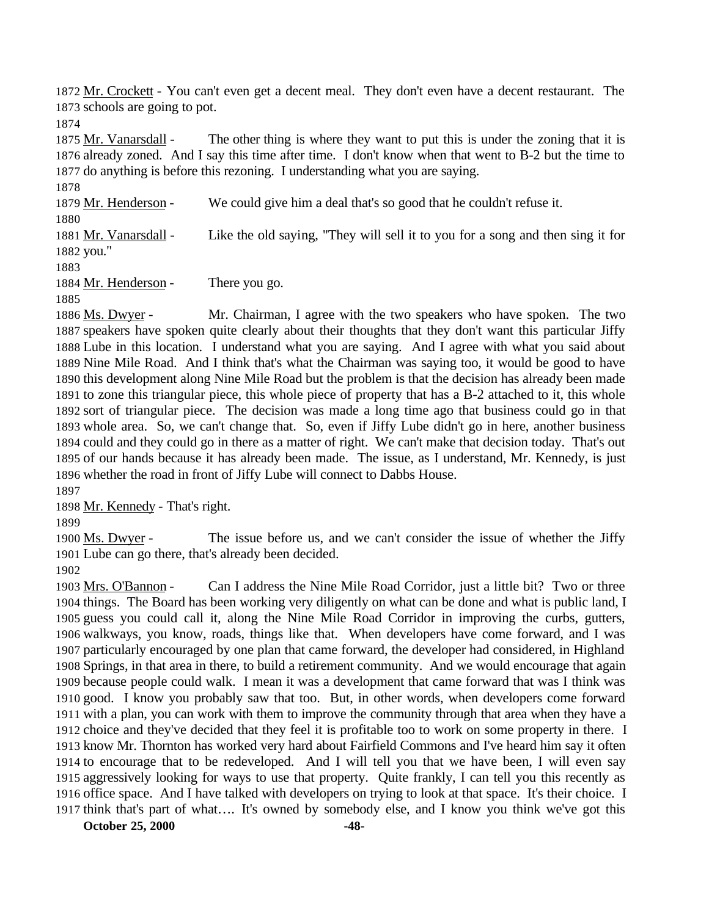Mr. Crockett - You can't even get a decent meal. They don't even have a decent restaurant. The schools are going to pot.

1875 Mr. Vanarsdall - The other thing is where they want to put this is under the zoning that it is already zoned. And I say this time after time. I don't know when that went to B-2 but the time to do anything is before this rezoning. I understanding what you are saying.

1879 Mr. Henderson - We could give him a deal that's so good that he couldn't refuse it. 1881 Mr. Vanarsdall - Like the old saying, "They will sell it to you for a song and then sing it for you."

1884 Mr. Henderson - There you go.

1886 Ms. Dwyer - Mr. Chairman, I agree with the two speakers who have spoken. The two speakers have spoken quite clearly about their thoughts that they don't want this particular Jiffy Lube in this location. I understand what you are saying. And I agree with what you said about Nine Mile Road. And I think that's what the Chairman was saying too, it would be good to have this development along Nine Mile Road but the problem is that the decision has already been made to zone this triangular piece, this whole piece of property that has a B-2 attached to it, this whole sort of triangular piece. The decision was made a long time ago that business could go in that whole area. So, we can't change that. So, even if Jiffy Lube didn't go in here, another business could and they could go in there as a matter of right. We can't make that decision today. That's out of our hands because it has already been made. The issue, as I understand, Mr. Kennedy, is just whether the road in front of Jiffy Lube will connect to Dabbs House.

Mr. Kennedy - That's right.

1900 Ms. Dwyer - The issue before us, and we can't consider the issue of whether the Jiffy Lube can go there, that's already been decided.

 Mrs. O'Bannon - Can I address the Nine Mile Road Corridor, just a little bit? Two or three things. The Board has been working very diligently on what can be done and what is public land, I guess you could call it, along the Nine Mile Road Corridor in improving the curbs, gutters, walkways, you know, roads, things like that. When developers have come forward, and I was particularly encouraged by one plan that came forward, the developer had considered, in Highland Springs, in that area in there, to build a retirement community. And we would encourage that again because people could walk. I mean it was a development that came forward that was I think was good. I know you probably saw that too. But, in other words, when developers come forward with a plan, you can work with them to improve the community through that area when they have a choice and they've decided that they feel it is profitable too to work on some property in there. I know Mr. Thornton has worked very hard about Fairfield Commons and I've heard him say it often to encourage that to be redeveloped. And I will tell you that we have been, I will even say aggressively looking for ways to use that property. Quite frankly, I can tell you this recently as office space. And I have talked with developers on trying to look at that space. It's their choice. I think that's part of what…. It's owned by somebody else, and I know you think we've got this

**October 25, 2000 -48-**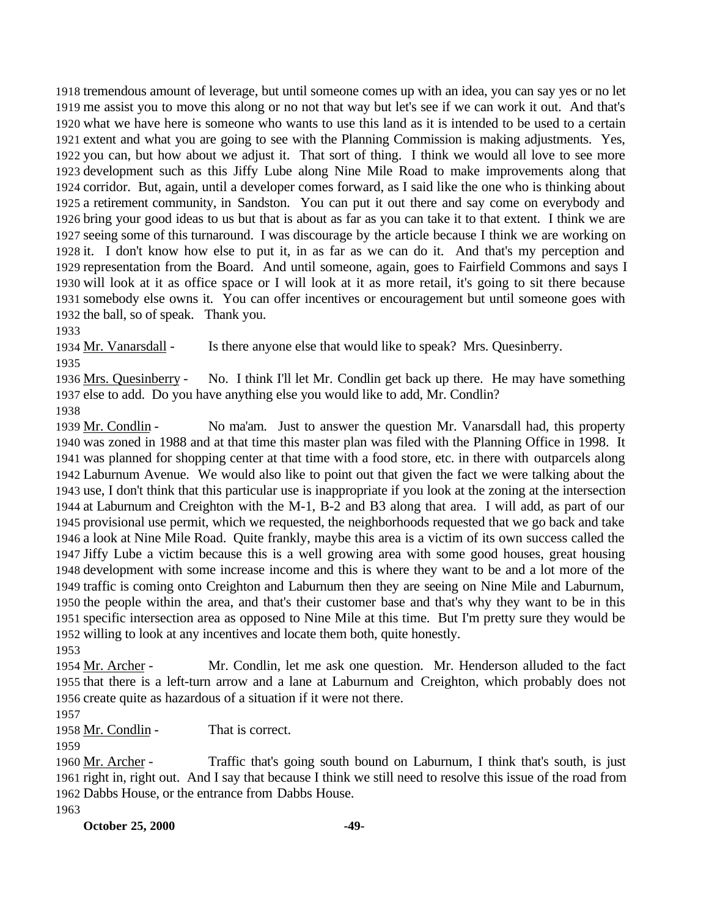tremendous amount of leverage, but until someone comes up with an idea, you can say yes or no let me assist you to move this along or no not that way but let's see if we can work it out. And that's what we have here is someone who wants to use this land as it is intended to be used to a certain extent and what you are going to see with the Planning Commission is making adjustments. Yes, you can, but how about we adjust it. That sort of thing. I think we would all love to see more development such as this Jiffy Lube along Nine Mile Road to make improvements along that corridor. But, again, until a developer comes forward, as I said like the one who is thinking about a retirement community, in Sandston. You can put it out there and say come on everybody and bring your good ideas to us but that is about as far as you can take it to that extent. I think we are seeing some of this turnaround. I was discourage by the article because I think we are working on it. I don't know how else to put it, in as far as we can do it. And that's my perception and representation from the Board. And until someone, again, goes to Fairfield Commons and says I will look at it as office space or I will look at it as more retail, it's going to sit there because somebody else owns it. You can offer incentives or encouragement but until someone goes with the ball, so of speak. Thank you.

1934 Mr. Vanarsdall - Is there anyone else that would like to speak? Mrs. Quesinberry.

1936 Mrs. Quesinberry - No. I think I'll let Mr. Condlin get back up there. He may have something else to add. Do you have anything else you would like to add, Mr. Condlin? 

 Mr. Condlin - No ma'am. Just to answer the question Mr. Vanarsdall had, this property was zoned in 1988 and at that time this master plan was filed with the Planning Office in 1998. It was planned for shopping center at that time with a food store, etc. in there with outparcels along Laburnum Avenue. We would also like to point out that given the fact we were talking about the use, I don't think that this particular use is inappropriate if you look at the zoning at the intersection at Laburnum and Creighton with the M-1, B-2 and B3 along that area. I will add, as part of our provisional use permit, which we requested, the neighborhoods requested that we go back and take a look at Nine Mile Road. Quite frankly, maybe this area is a victim of its own success called the Jiffy Lube a victim because this is a well growing area with some good houses, great housing development with some increase income and this is where they want to be and a lot more of the traffic is coming onto Creighton and Laburnum then they are seeing on Nine Mile and Laburnum, the people within the area, and that's their customer base and that's why they want to be in this specific intersection area as opposed to Nine Mile at this time. But I'm pretty sure they would be willing to look at any incentives and locate them both, quite honestly. 

1954 Mr. Archer - Mr. Condlin, let me ask one question. Mr. Henderson alluded to the fact that there is a left-turn arrow and a lane at Laburnum and Creighton, which probably does not create quite as hazardous of a situation if it were not there.

1958 Mr. Condlin - That is correct.

 Mr. Archer - Traffic that's going south bound on Laburnum, I think that's south, is just right in, right out. And I say that because I think we still need to resolve this issue of the road from Dabbs House, or the entrance from Dabbs House.

**October 25, 2000 -49-**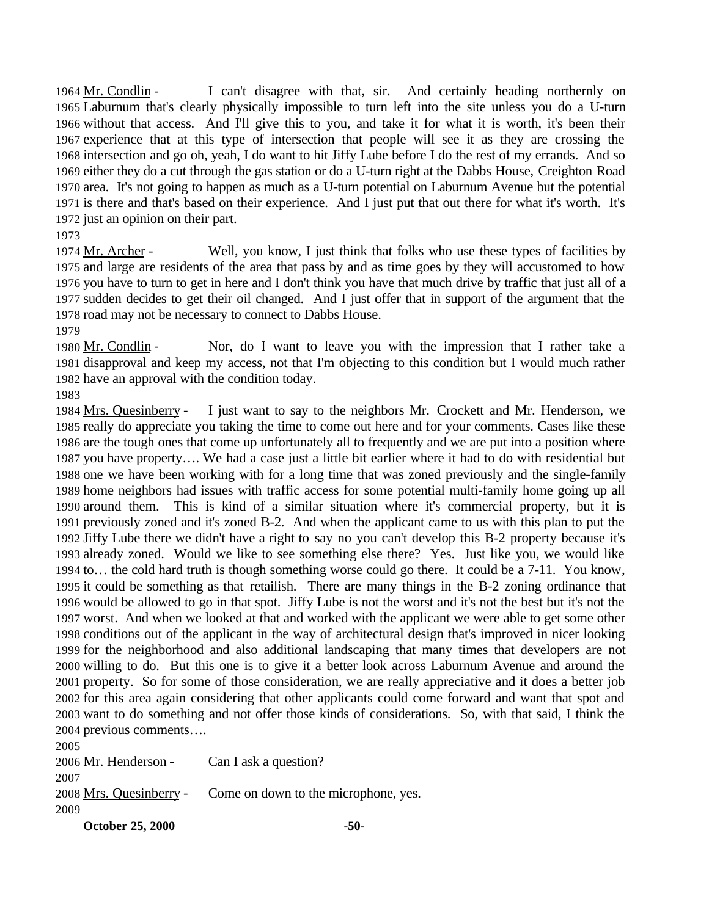Mr. Condlin - I can't disagree with that, sir. And certainly heading northernly on Laburnum that's clearly physically impossible to turn left into the site unless you do a U-turn without that access. And I'll give this to you, and take it for what it is worth, it's been their experience that at this type of intersection that people will see it as they are crossing the intersection and go oh, yeah, I do want to hit Jiffy Lube before I do the rest of my errands. And so either they do a cut through the gas station or do a U-turn right at the Dabbs House, Creighton Road area. It's not going to happen as much as a U-turn potential on Laburnum Avenue but the potential is there and that's based on their experience. And I just put that out there for what it's worth. It's just an opinion on their part.

 Mr. Archer - Well, you know, I just think that folks who use these types of facilities by and large are residents of the area that pass by and as time goes by they will accustomed to how you have to turn to get in here and I don't think you have that much drive by traffic that just all of a sudden decides to get their oil changed. And I just offer that in support of the argument that the road may not be necessary to connect to Dabbs House. 

 Mr. Condlin - Nor, do I want to leave you with the impression that I rather take a disapproval and keep my access, not that I'm objecting to this condition but I would much rather have an approval with the condition today.

 Mrs. Quesinberry - I just want to say to the neighbors Mr. Crockett and Mr. Henderson, we really do appreciate you taking the time to come out here and for your comments. Cases like these are the tough ones that come up unfortunately all to frequently and we are put into a position where you have property…. We had a case just a little bit earlier where it had to do with residential but one we have been working with for a long time that was zoned previously and the single-family home neighbors had issues with traffic access for some potential multi-family home going up all around them. This is kind of a similar situation where it's commercial property, but it is previously zoned and it's zoned B-2. And when the applicant came to us with this plan to put the Jiffy Lube there we didn't have a right to say no you can't develop this B-2 property because it's already zoned. Would we like to see something else there? Yes. Just like you, we would like to… the cold hard truth is though something worse could go there. It could be a 7-11. You know, it could be something as that retailish. There are many things in the B-2 zoning ordinance that would be allowed to go in that spot. Jiffy Lube is not the worst and it's not the best but it's not the worst. And when we looked at that and worked with the applicant we were able to get some other conditions out of the applicant in the way of architectural design that's improved in nicer looking for the neighborhood and also additional landscaping that many times that developers are not willing to do. But this one is to give it a better look across Laburnum Avenue and around the property. So for some of those consideration, we are really appreciative and it does a better job for this area again considering that other applicants could come forward and want that spot and want to do something and not offer those kinds of considerations. So, with that said, I think the previous comments….

 2006 Mr. Henderson - Can I ask a question? Mrs. Quesinberry - Come on down to the microphone, yes. 

**October 25, 2000 -50-**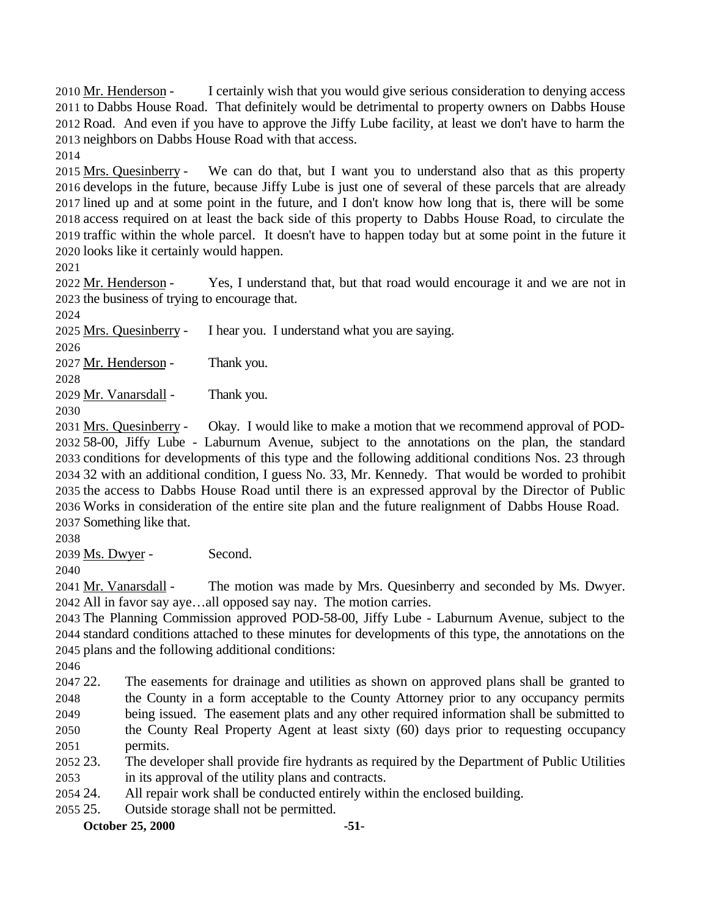Mr. Henderson - I certainly wish that you would give serious consideration to denying access to Dabbs House Road. That definitely would be detrimental to property owners on Dabbs House Road. And even if you have to approve the Jiffy Lube facility, at least we don't have to harm the neighbors on Dabbs House Road with that access.

 Mrs. Quesinberry - We can do that, but I want you to understand also that as this property develops in the future, because Jiffy Lube is just one of several of these parcels that are already lined up and at some point in the future, and I don't know how long that is, there will be some access required on at least the back side of this property to Dabbs House Road, to circulate the traffic within the whole parcel. It doesn't have to happen today but at some point in the future it looks like it certainly would happen.

2022 Mr. Henderson - Yes, I understand that, but that road would encourage it and we are not in the business of trying to encourage that.

Mrs. Quesinberry - I hear you. I understand what you are saying.

2027 Mr. Henderson - Thank you.

2029 Mr. Vanarsdall - Thank you.

 Mrs. Quesinberry - Okay. I would like to make a motion that we recommend approval of POD- 58-00, Jiffy Lube - Laburnum Avenue, subject to the annotations on the plan, the standard conditions for developments of this type and the following additional conditions Nos. 23 through 32 with an additional condition, I guess No. 33, Mr. Kennedy. That would be worded to prohibit the access to Dabbs House Road until there is an expressed approval by the Director of Public Works in consideration of the entire site plan and the future realignment of Dabbs House Road. Something like that.

Ms. Dwyer - Second.

 Mr. Vanarsdall - The motion was made by Mrs. Quesinberry and seconded by Ms. Dwyer. All in favor say aye…all opposed say nay. The motion carries.

 The Planning Commission approved POD-58-00, Jiffy Lube - Laburnum Avenue, subject to the standard conditions attached to these minutes for developments of this type, the annotations on the plans and the following additional conditions:

 22. The easements for drainage and utilities as shown on approved plans shall be granted to the County in a form acceptable to the County Attorney prior to any occupancy permits

 being issued. The easement plats and any other required information shall be submitted to the County Real Property Agent at least sixty (60) days prior to requesting occupancy

- permits.
- 23. The developer shall provide fire hydrants as required by the Department of Public Utilities in its approval of the utility plans and contracts.
- 24. All repair work shall be conducted entirely within the enclosed building.

25. Outside storage shall not be permitted.

**October 25, 2000 -51-**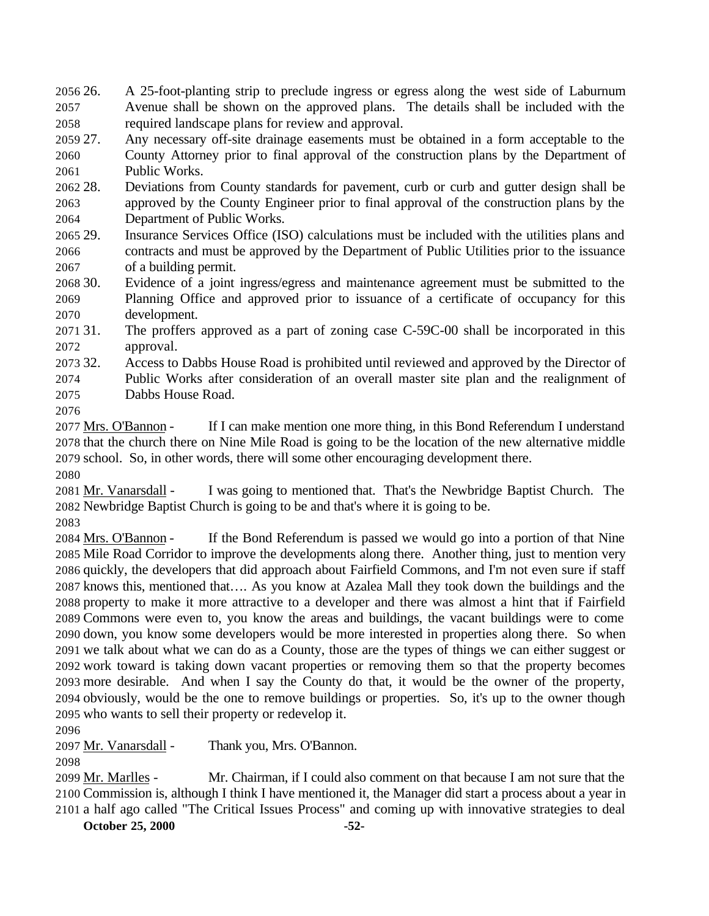26. A 25-foot-planting strip to preclude ingress or egress along the west side of Laburnum Avenue shall be shown on the approved plans. The details shall be included with the required landscape plans for review and approval.

 27. Any necessary off-site drainage easements must be obtained in a form acceptable to the County Attorney prior to final approval of the construction plans by the Department of Public Works.

 28. Deviations from County standards for pavement, curb or curb and gutter design shall be approved by the County Engineer prior to final approval of the construction plans by the Department of Public Works.

 29. Insurance Services Office (ISO) calculations must be included with the utilities plans and contracts and must be approved by the Department of Public Utilities prior to the issuance of a building permit.

 30. Evidence of a joint ingress/egress and maintenance agreement must be submitted to the Planning Office and approved prior to issuance of a certificate of occupancy for this development.

 31. The proffers approved as a part of zoning case C-59C-00 shall be incorporated in this approval.

32. Access to Dabbs House Road is prohibited until reviewed and approved by the Director of

Public Works after consideration of an overall master site plan and the realignment of

Dabbs House Road.

 Mrs. O'Bannon - If I can make mention one more thing, in this Bond Referendum I understand that the church there on Nine Mile Road is going to be the location of the new alternative middle school. So, in other words, there will some other encouraging development there. 

 Mr. Vanarsdall - I was going to mentioned that. That's the Newbridge Baptist Church. The Newbridge Baptist Church is going to be and that's where it is going to be.

2084 Mrs. O'Bannon - If the Bond Referendum is passed we would go into a portion of that Nine Mile Road Corridor to improve the developments along there. Another thing, just to mention very quickly, the developers that did approach about Fairfield Commons, and I'm not even sure if staff knows this, mentioned that…. As you know at Azalea Mall they took down the buildings and the property to make it more attractive to a developer and there was almost a hint that if Fairfield Commons were even to, you know the areas and buildings, the vacant buildings were to come down, you know some developers would be more interested in properties along there. So when we talk about what we can do as a County, those are the types of things we can either suggest or work toward is taking down vacant properties or removing them so that the property becomes more desirable. And when I say the County do that, it would be the owner of the property, obviously, would be the one to remove buildings or properties. So, it's up to the owner though who wants to sell their property or redevelop it.

Mr. Vanarsdall - Thank you, Mrs. O'Bannon.

 Mr. Marlles - Mr. Chairman, if I could also comment on that because I am not sure that the Commission is, although I think I have mentioned it, the Manager did start a process about a year in a half ago called "The Critical Issues Process" and coming up with innovative strategies to deal

**October 25, 2000 -52-**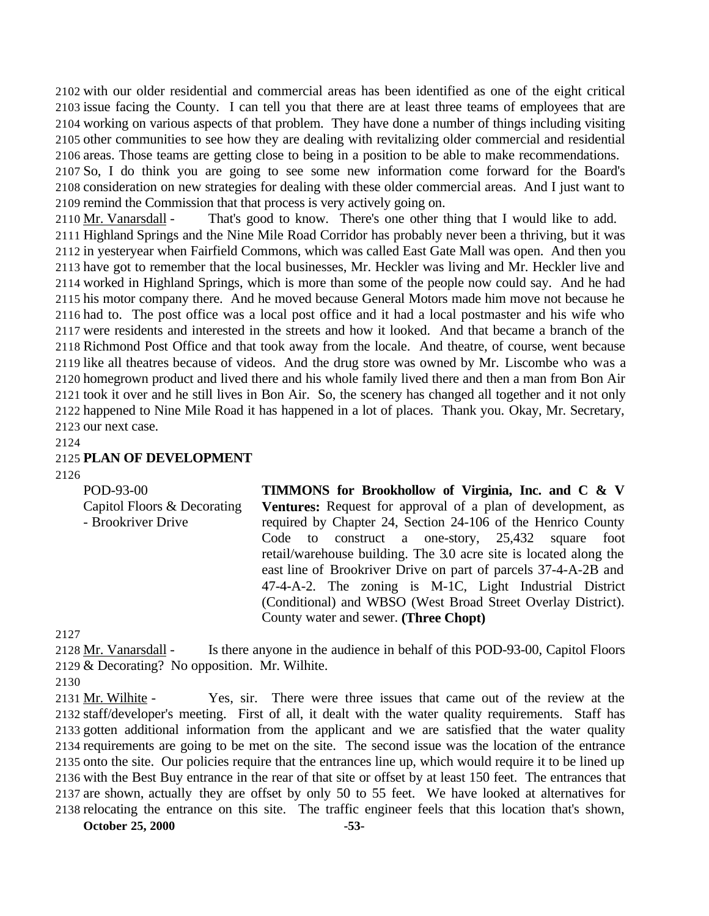with our older residential and commercial areas has been identified as one of the eight critical issue facing the County. I can tell you that there are at least three teams of employees that are working on various aspects of that problem. They have done a number of things including visiting other communities to see how they are dealing with revitalizing older commercial and residential areas. Those teams are getting close to being in a position to be able to make recommendations.

 So, I do think you are going to see some new information come forward for the Board's consideration on new strategies for dealing with these older commercial areas. And I just want to remind the Commission that that process is very actively going on.

2110 Mr. Vanarsdall - That's good to know. There's one other thing that I would like to add. Highland Springs and the Nine Mile Road Corridor has probably never been a thriving, but it was in yesteryear when Fairfield Commons, which was called East Gate Mall was open. And then you have got to remember that the local businesses, Mr. Heckler was living and Mr. Heckler live and worked in Highland Springs, which is more than some of the people now could say. And he had his motor company there. And he moved because General Motors made him move not because he had to. The post office was a local post office and it had a local postmaster and his wife who were residents and interested in the streets and how it looked. And that became a branch of the Richmond Post Office and that took away from the locale. And theatre, of course, went because like all theatres because of videos. And the drug store was owned by Mr. Liscombe who was a homegrown product and lived there and his whole family lived there and then a man from Bon Air took it over and he still lives in Bon Air. So, the scenery has changed all together and it not only happened to Nine Mile Road it has happened in a lot of places. Thank you. Okay, Mr. Secretary, our next case.

## 

## **PLAN OF DEVELOPMENT**

POD-93-00 Capitol Floors & Decorating - Brookriver Drive **TIMMONS for Brookhollow of Virginia, Inc. and C & V Ventures:** Request for approval of a plan of development, as required by Chapter 24, Section 24-106 of the Henrico County Code to construct a one-story, 25,432 square foot retail/warehouse building. The 3.0 acre site is located along the east line of Brookriver Drive on part of parcels 37-4-A-2B and 47-4-A-2. The zoning is M-1C, Light Industrial District (Conditional) and WBSO (West Broad Street Overlay District). County water and sewer. **(Three Chopt)**

 Mr. Vanarsdall - Is there anyone in the audience in behalf of this POD-93-00, Capitol Floors & Decorating? No opposition. Mr. Wilhite.

 Mr. Wilhite - Yes, sir. There were three issues that came out of the review at the staff/developer's meeting. First of all, it dealt with the water quality requirements. Staff has gotten additional information from the applicant and we are satisfied that the water quality requirements are going to be met on the site. The second issue was the location of the entrance onto the site. Our policies require that the entrances line up, which would require it to be lined up with the Best Buy entrance in the rear of that site or offset by at least 150 feet. The entrances that are shown, actually they are offset by only 50 to 55 feet. We have looked at alternatives for relocating the entrance on this site. The traffic engineer feels that this location that's shown,

**October 25, 2000 -53-**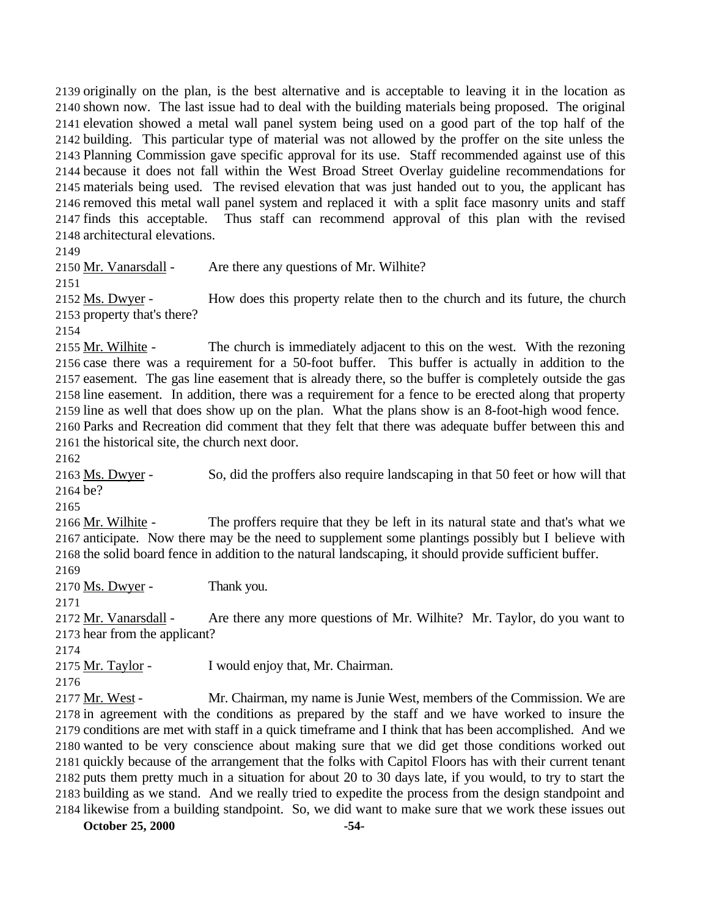originally on the plan, is the best alternative and is acceptable to leaving it in the location as shown now. The last issue had to deal with the building materials being proposed. The original elevation showed a metal wall panel system being used on a good part of the top half of the building. This particular type of material was not allowed by the proffer on the site unless the Planning Commission gave specific approval for its use. Staff recommended against use of this because it does not fall within the West Broad Street Overlay guideline recommendations for materials being used. The revised elevation that was just handed out to you, the applicant has removed this metal wall panel system and replaced it with a split face masonry units and staff finds this acceptable. Thus staff can recommend approval of this plan with the revised architectural elevations.

2150 Mr. Vanarsdall - Are there any questions of Mr. Wilhite?

2152 Ms. Dwyer - How does this property relate then to the church and its future, the church property that's there?

2155 Mr. Wilhite - The church is immediately adjacent to this on the west. With the rezoning case there was a requirement for a 50-foot buffer. This buffer is actually in addition to the easement. The gas line easement that is already there, so the buffer is completely outside the gas line easement. In addition, there was a requirement for a fence to be erected along that property line as well that does show up on the plan. What the plans show is an 8-foot-high wood fence. Parks and Recreation did comment that they felt that there was adequate buffer between this and the historical site, the church next door.

 Ms. Dwyer - So, did the proffers also require landscaping in that 50 feet or how will that be?

 Mr. Wilhite - The proffers require that they be left in its natural state and that's what we anticipate. Now there may be the need to supplement some plantings possibly but I believe with the solid board fence in addition to the natural landscaping, it should provide sufficient buffer.

Ms. Dwyer - Thank you.

2172 Mr. Vanarsdall - Are there any more questions of Mr. Wilhite? Mr. Taylor, do you want to hear from the applicant?

2175 Mr. Taylor - I would enjoy that, Mr. Chairman.

 Mr. West - Mr. Chairman, my name is Junie West, members of the Commission. We are in agreement with the conditions as prepared by the staff and we have worked to insure the conditions are met with staff in a quick timeframe and I think that has been accomplished. And we wanted to be very conscience about making sure that we did get those conditions worked out quickly because of the arrangement that the folks with Capitol Floors has with their current tenant puts them pretty much in a situation for about 20 to 30 days late, if you would, to try to start the building as we stand. And we really tried to expedite the process from the design standpoint and likewise from a building standpoint. So, we did want to make sure that we work these issues out

**October 25, 2000 -54-**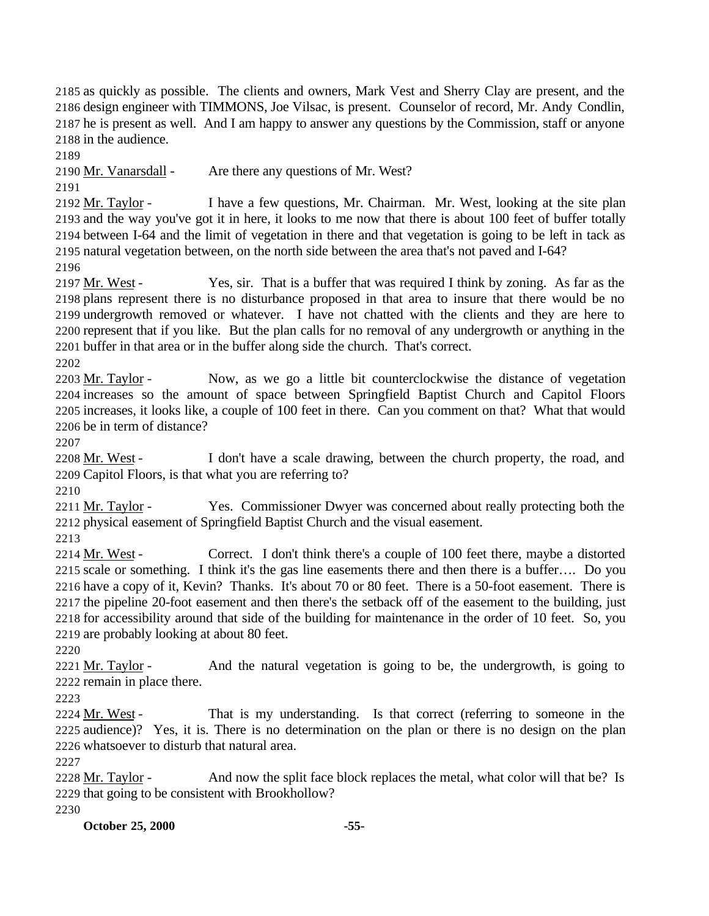as quickly as possible. The clients and owners, Mark Vest and Sherry Clay are present, and the design engineer with TIMMONS, Joe Vilsac, is present. Counselor of record, Mr. Andy Condlin, he is present as well. And I am happy to answer any questions by the Commission, staff or anyone in the audience.

Mr. Vanarsdall - Are there any questions of Mr. West?

2192 Mr. Taylor - I have a few questions, Mr. Chairman. Mr. West, looking at the site plan and the way you've got it in here, it looks to me now that there is about 100 feet of buffer totally between I-64 and the limit of vegetation in there and that vegetation is going to be left in tack as natural vegetation between, on the north side between the area that's not paved and I-64?

2197 Mr. West - Yes, sir. That is a buffer that was required I think by zoning. As far as the plans represent there is no disturbance proposed in that area to insure that there would be no undergrowth removed or whatever. I have not chatted with the clients and they are here to represent that if you like. But the plan calls for no removal of any undergrowth or anything in the buffer in that area or in the buffer along side the church. That's correct.

2203 Mr. Taylor - Now, as we go a little bit counterclockwise the distance of vegetation increases so the amount of space between Springfield Baptist Church and Capitol Floors increases, it looks like, a couple of 100 feet in there. Can you comment on that? What that would be in term of distance?

2208 Mr. West - I don't have a scale drawing, between the church property, the road, and Capitol Floors, is that what you are referring to?

 Mr. Taylor - Yes. Commissioner Dwyer was concerned about really protecting both the physical easement of Springfield Baptist Church and the visual easement.

2214 Mr. West - Correct. I don't think there's a couple of 100 feet there, maybe a distorted scale or something. I think it's the gas line easements there and then there is a buffer…. Do you have a copy of it, Kevin? Thanks. It's about 70 or 80 feet. There is a 50-foot easement. There is the pipeline 20-foot easement and then there's the setback off of the easement to the building, just for accessibility around that side of the building for maintenance in the order of 10 feet. So, you are probably looking at about 80 feet.

2221 Mr. Taylor - And the natural vegetation is going to be, the undergrowth, is going to remain in place there.

2224 Mr. West - That is my understanding. Is that correct (referring to someone in the audience)? Yes, it is. There is no determination on the plan or there is no design on the plan whatsoever to disturb that natural area.

2228 Mr. Taylor - And now the split face block replaces the metal, what color will that be? Is that going to be consistent with Brookhollow?

**October 25, 2000 -55-**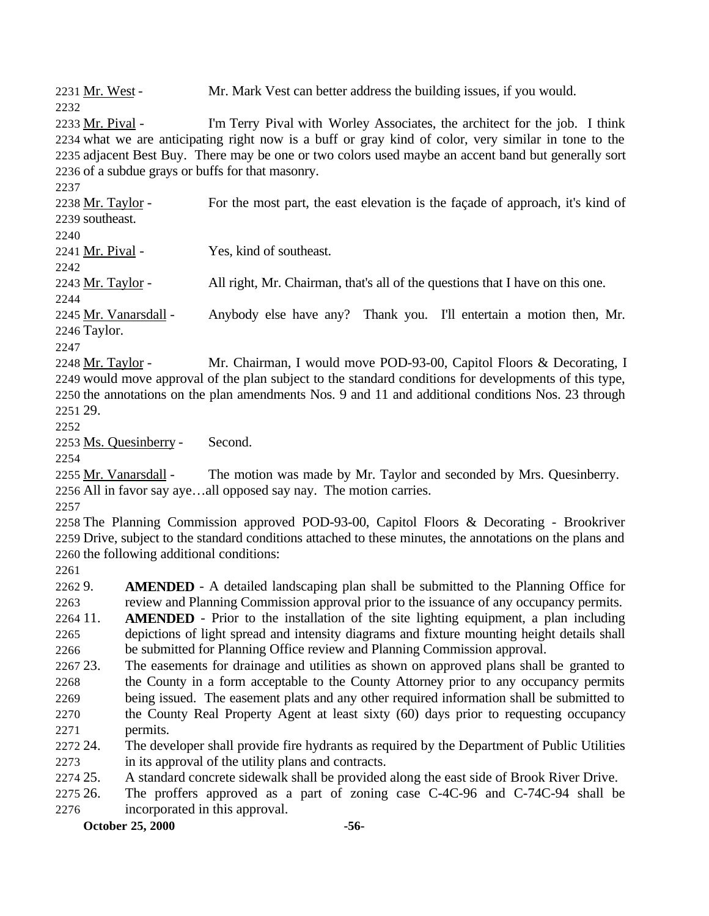Mr. West - Mr. Mark Vest can better address the building issues, if you would.

 Mr. Pival - I'm Terry Pival with Worley Associates, the architect for the job. I think what we are anticipating right now is a buff or gray kind of color, very similar in tone to the adjacent Best Buy. There may be one or two colors used maybe an accent band but generally sort of a subdue grays or buffs for that masonry.

2238 Mr. Taylor - For the most part, the east elevation is the façade of approach, it's kind of southeast.

Mr. Pival - Yes, kind of southeast.

Mr. Taylor - All right, Mr. Chairman, that's all of the questions that I have on this one.

2245 Mr. Vanarsdall - Anybody else have any? Thank you. I'll entertain a motion then, Mr. Taylor.

2248 Mr. Taylor - Mr. Chairman, I would move POD-93-00, Capitol Floors & Decorating, I would move approval of the plan subject to the standard conditions for developments of this type, the annotations on the plan amendments Nos. 9 and 11 and additional conditions Nos. 23 through 29.

Ms. Quesinberry - Second.

 Mr. Vanarsdall - The motion was made by Mr. Taylor and seconded by Mrs. Quesinberry. All in favor say aye…all opposed say nay. The motion carries.

 The Planning Commission approved POD-93-00, Capitol Floors & Decorating - Brookriver Drive, subject to the standard conditions attached to these minutes, the annotations on the plans and the following additional conditions:

 9. **AMENDED** - A detailed landscaping plan shall be submitted to the Planning Office for review and Planning Commission approval prior to the issuance of any occupancy permits.

 11. **AMENDED** - Prior to the installation of the site lighting equipment, a plan including depictions of light spread and intensity diagrams and fixture mounting height details shall be submitted for Planning Office review and Planning Commission approval.

 23. The easements for drainage and utilities as shown on approved plans shall be granted to the County in a form acceptable to the County Attorney prior to any occupancy permits being issued. The easement plats and any other required information shall be submitted to the County Real Property Agent at least sixty (60) days prior to requesting occupancy permits.

 24. The developer shall provide fire hydrants as required by the Department of Public Utilities in its approval of the utility plans and contracts.

25. A standard concrete sidewalk shall be provided along the east side of Brook River Drive.

 26. The proffers approved as a part of zoning case C-4C-96 and C-74C-94 shall be incorporated in this approval.

**October 25, 2000 -56-**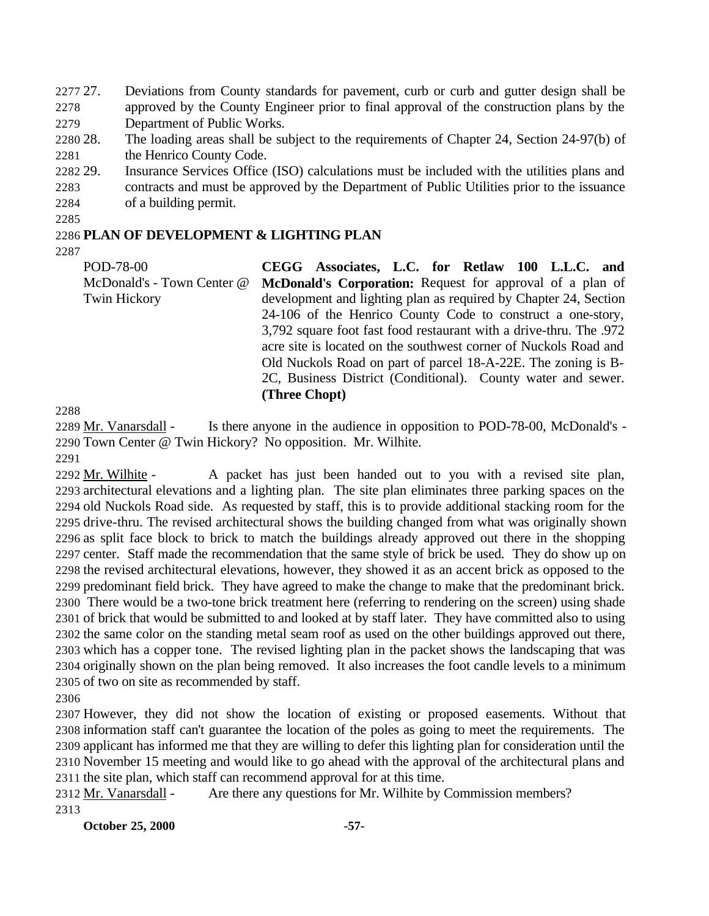2277 27. Deviations from County standards for pavement, curb or curb and gutter design shall be approved by the County Engineer prior to final approval of the construction plans by the Department of Public Works.

- 28. The loading areas shall be subject to the requirements of Chapter 24, Section 24-97(b) of 2281 the Henrico County Code.
- 29. Insurance Services Office (ISO) calculations must be included with the utilities plans and
- contracts and must be approved by the Department of Public Utilities prior to the issuance of a building permit.
- 

## **PLAN OF DEVELOPMENT & LIGHTING PLAN**

POD-78-00 McDonald's - Town Center @ Twin Hickory **CEGG Associates, L.C. for Retlaw 100 L.L.C. and McDonald's Corporation:** Request for approval of a plan of development and lighting plan as required by Chapter 24, Section 24-106 of the Henrico County Code to construct a one-story, 3,792 square foot fast food restaurant with a drive-thru. The .972 acre site is located on the southwest corner of Nuckols Road and Old Nuckols Road on part of parcel 18-A-22E. The zoning is B-2C, Business District (Conditional). County water and sewer. **(Three Chopt)**

 Mr. Vanarsdall - Is there anyone in the audience in opposition to POD-78-00, McDonald's - Town Center @ Twin Hickory? No opposition. Mr. Wilhite.

2292 Mr. Wilhite - A packet has just been handed out to you with a revised site plan, architectural elevations and a lighting plan. The site plan eliminates three parking spaces on the old Nuckols Road side. As requested by staff, this is to provide additional stacking room for the drive-thru. The revised architectural shows the building changed from what was originally shown as split face block to brick to match the buildings already approved out there in the shopping center. Staff made the recommendation that the same style of brick be used. They do show up on the revised architectural elevations, however, they showed it as an accent brick as opposed to the predominant field brick. They have agreed to make the change to make that the predominant brick. There would be a two-tone brick treatment here (referring to rendering on the screen) using shade of brick that would be submitted to and looked at by staff later. They have committed also to using the same color on the standing metal seam roof as used on the other buildings approved out there, which has a copper tone. The revised lighting plan in the packet shows the landscaping that was originally shown on the plan being removed. It also increases the foot candle levels to a minimum of two on site as recommended by staff.

 However, they did not show the location of existing or proposed easements. Without that information staff can't guarantee the location of the poles as going to meet the requirements. The applicant has informed me that they are willing to defer this lighting plan for consideration until the November 15 meeting and would like to go ahead with the approval of the architectural plans and the site plan, which staff can recommend approval for at this time.

 Mr. Vanarsdall - Are there any questions for Mr. Wilhite by Commission members? 

**October 25, 2000 -57-**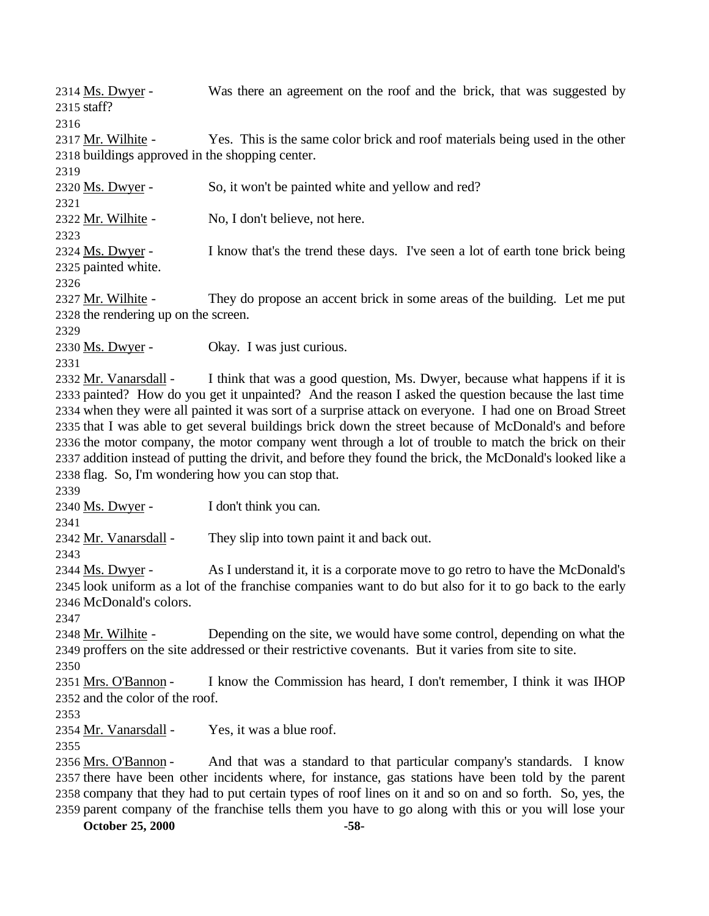Ms. Dwyer - Was there an agreement on the roof and the brick, that was suggested by staff? 2317 Mr. Wilhite - Yes. This is the same color brick and roof materials being used in the other buildings approved in the shopping center. 2320 Ms. Dwyer - So, it won't be painted white and yellow and red? Mr. Wilhite - No, I don't believe, not here. Ms. Dwyer - I know that's the trend these days. I've seen a lot of earth tone brick being painted white. 2327 Mr. Wilhite - They do propose an accent brick in some areas of the building. Let me put the rendering up on the screen. 2330 Ms. Dwyer - Okay. I was just curious. 2332 Mr. Vanarsdall - I think that was a good question, Ms. Dwyer, because what happens if it is painted? How do you get it unpainted? And the reason I asked the question because the last time when they were all painted it was sort of a surprise attack on everyone. I had one on Broad Street that I was able to get several buildings brick down the street because of McDonald's and before the motor company, the motor company went through a lot of trouble to match the brick on their addition instead of putting the drivit, and before they found the brick, the McDonald's looked like a flag. So, I'm wondering how you can stop that. 2340 Ms. Dwyer - I don't think you can. 2342 Mr. Vanarsdall - They slip into town paint it and back out. Ms. Dwyer - As I understand it, it is a corporate move to go retro to have the McDonald's look uniform as a lot of the franchise companies want to do but also for it to go back to the early McDonald's colors. 2348 Mr. Wilhite - Depending on the site, we would have some control, depending on what the proffers on the site addressed or their restrictive covenants. But it varies from site to site. Mrs. O'Bannon - I know the Commission has heard, I don't remember, I think it was IHOP and the color of the roof. Mr. Vanarsdall - Yes, it was a blue roof. Mrs. O'Bannon - And that was a standard to that particular company's standards. I know there have been other incidents where, for instance, gas stations have been told by the parent company that they had to put certain types of roof lines on it and so on and so forth. So, yes, the parent company of the franchise tells them you have to go along with this or you will lose your

**October 25, 2000 -58-**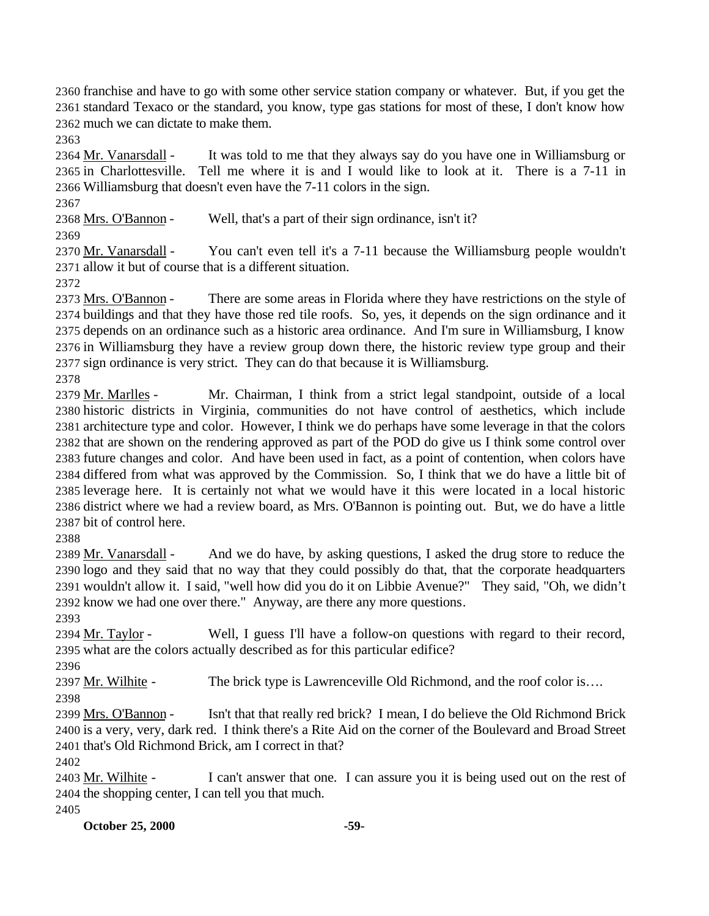franchise and have to go with some other service station company or whatever. But, if you get the standard Texaco or the standard, you know, type gas stations for most of these, I don't know how much we can dictate to make them.

 Mr. Vanarsdall - It was told to me that they always say do you have one in Williamsburg or in Charlottesville. Tell me where it is and I would like to look at it. There is a 7-11 in Williamsburg that doesn't even have the 7-11 colors in the sign.

Mrs. O'Bannon - Well, that's a part of their sign ordinance, isn't it?

 Mr. Vanarsdall - You can't even tell it's a 7-11 because the Williamsburg people wouldn't allow it but of course that is a different situation.

2373 Mrs. O'Bannon - There are some areas in Florida where they have restrictions on the style of buildings and that they have those red tile roofs. So, yes, it depends on the sign ordinance and it depends on an ordinance such as a historic area ordinance. And I'm sure in Williamsburg, I know in Williamsburg they have a review group down there, the historic review type group and their sign ordinance is very strict. They can do that because it is Williamsburg.

2379 Mr. Marlles - Mr. Chairman, I think from a strict legal standpoint, outside of a local historic districts in Virginia, communities do not have control of aesthetics, which include architecture type and color. However, I think we do perhaps have some leverage in that the colors that are shown on the rendering approved as part of the POD do give us I think some control over future changes and color. And have been used in fact, as a point of contention, when colors have differed from what was approved by the Commission. So, I think that we do have a little bit of leverage here. It is certainly not what we would have it this were located in a local historic district where we had a review board, as Mrs. O'Bannon is pointing out. But, we do have a little bit of control here.

 Mr. Vanarsdall - And we do have, by asking questions, I asked the drug store to reduce the logo and they said that no way that they could possibly do that, that the corporate headquarters wouldn't allow it. I said, "well how did you do it on Libbie Avenue?" They said, "Oh, we didn't know we had one over there." Anyway, are there any more questions.

2394 Mr. Taylor - Well, I guess I'll have a follow-on questions with regard to their record, what are the colors actually described as for this particular edifice?

Mr. Wilhite - The brick type is Lawrenceville Old Richmond, and the roof color is….

 Mrs. O'Bannon - Isn't that that really red brick? I mean, I do believe the Old Richmond Brick is a very, very, dark red. I think there's a Rite Aid on the corner of the Boulevard and Broad Street that's Old Richmond Brick, am I correct in that?

 Mr. Wilhite - I can't answer that one. I can assure you it is being used out on the rest of the shopping center, I can tell you that much.

**October 25, 2000 -59-**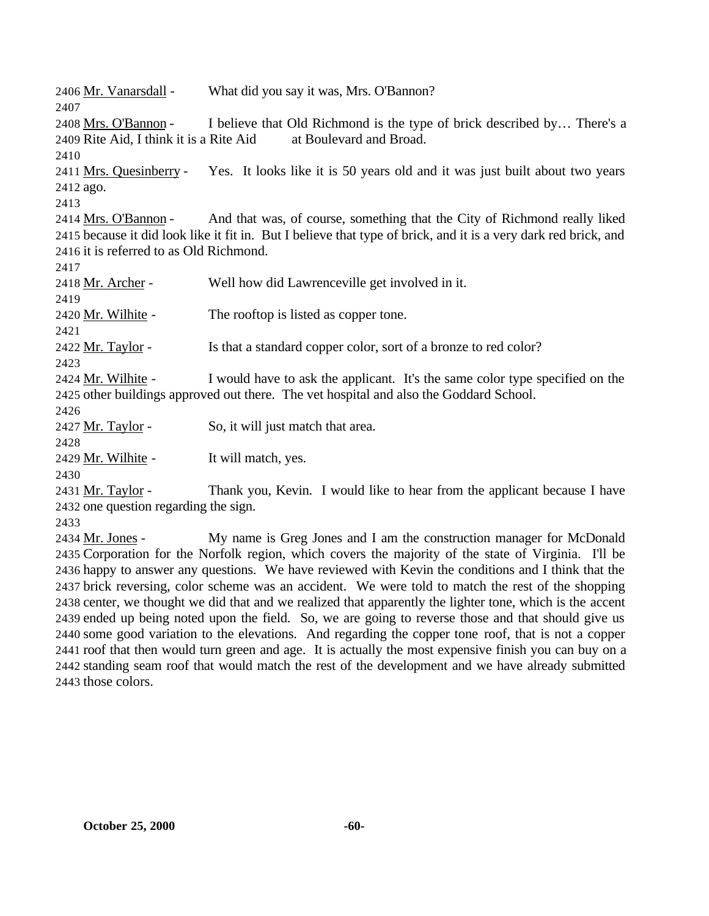Mr. Vanarsdall - What did you say it was, Mrs. O'Bannon? Mrs. O'Bannon - I believe that Old Richmond is the type of brick described by… There's a Rite Aid, I think it is a Rite Aid at Boulevard and Broad. Mrs. Quesinberry - Yes. It looks like it is 50 years old and it was just built about two years ago. Mrs. O'Bannon - And that was, of course, something that the City of Richmond really liked because it did look like it fit in. But I believe that type of brick, and it is a very dark red brick, and it is referred to as Old Richmond. 2418 Mr. Archer - Well how did Lawrenceville get involved in it. 2420 Mr. Wilhite - The rooftop is listed as copper tone. Mr. Taylor - Is that a standard copper color, sort of a bronze to red color? 2424 Mr. Wilhite - I would have to ask the applicant. It's the same color type specified on the other buildings approved out there. The vet hospital and also the Goddard School. 2427 Mr. Taylor - So, it will just match that area. 2429 Mr. Wilhite - It will match, yes. Mr. Taylor - Thank you, Kevin. I would like to hear from the applicant because I have one question regarding the sign. Mr. Jones - My name is Greg Jones and I am the construction manager for McDonald Corporation for the Norfolk region, which covers the majority of the state of Virginia. I'll be happy to answer any questions. We have reviewed with Kevin the conditions and I think that the brick reversing, color scheme was an accident. We were told to match the rest of the shopping center, we thought we did that and we realized that apparently the lighter tone, which is the accent ended up being noted upon the field. So, we are going to reverse those and that should give us

 some good variation to the elevations. And regarding the copper tone roof, that is not a copper roof that then would turn green and age. It is actually the most expensive finish you can buy on a standing seam roof that would match the rest of the development and we have already submitted those colors.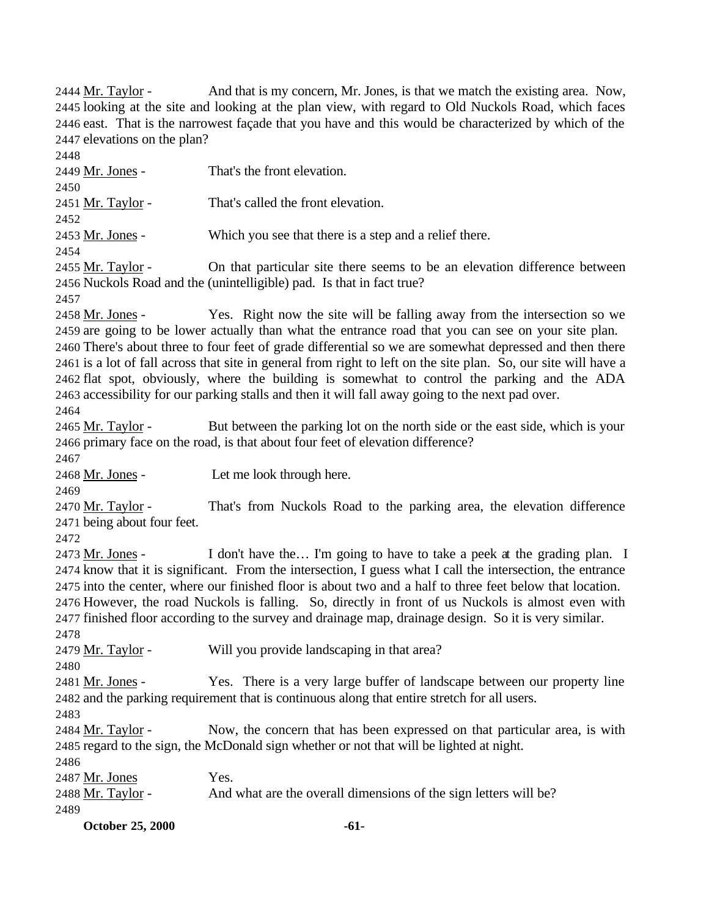Mr. Taylor - And that is my concern, Mr. Jones, is that we match the existing area. Now, looking at the site and looking at the plan view, with regard to Old Nuckols Road, which faces east. That is the narrowest façade that you have and this would be characterized by which of the elevations on the plan?

 Mr. Jones - That's the front elevation. 2451 Mr. Taylor - That's called the front elevation. 2453 Mr. Jones - Which you see that there is a step and a relief there. 2455 Mr. Taylor - On that particular site there seems to be an elevation difference between Nuckols Road and the (unintelligible) pad. Is that in fact true? Mr. Jones - Yes. Right now the site will be falling away from the intersection so we are going to be lower actually than what the entrance road that you can see on your site plan. There's about three to four feet of grade differential so we are somewhat depressed and then there is a lot of fall across that site in general from right to left on the site plan. So, our site will have a flat spot, obviously, where the building is somewhat to control the parking and the ADA accessibility for our parking stalls and then it will fall away going to the next pad over. Mr. Taylor - But between the parking lot on the north side or the east side, which is your primary face on the road, is that about four feet of elevation difference? Mr. Jones - Let me look through here. 2470 Mr. Taylor - That's from Nuckols Road to the parking area, the elevation difference being about four feet. Mr. Jones - I don't have the… I'm going to have to take a peek at the grading plan. I know that it is significant. From the intersection, I guess what I call the intersection, the entrance into the center, where our finished floor is about two and a half to three feet below that location. However, the road Nuckols is falling. So, directly in front of us Nuckols is almost even with finished floor according to the survey and drainage map, drainage design. So it is very similar. Mr. Taylor - Will you provide landscaping in that area? 2481 Mr. Jones - Yes. There is a very large buffer of landscape between our property line and the parking requirement that is continuous along that entire stretch for all users. Mr. Taylor - Now, the concern that has been expressed on that particular area, is with regard to the sign, the McDonald sign whether or not that will be lighted at night. 2487 Mr. Jones Yes.<br>2488 Mr. Taylor - And And what are the overall dimensions of the sign letters will be? 

**October 25, 2000 -61-**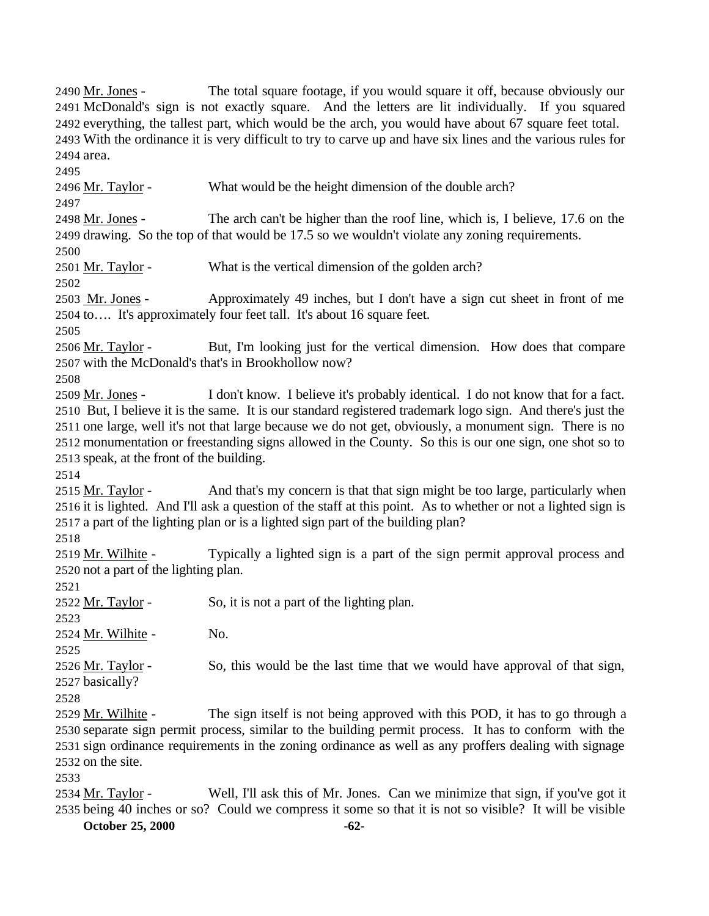everything, the tallest part, which would be the arch, you would have about 67 square feet total. With the ordinance it is very difficult to try to carve up and have six lines and the various rules for area. 2496 Mr. Taylor - What would be the height dimension of the double arch? Mr. Jones - The arch can't be higher than the roof line, which is, I believe, 17.6 on the drawing. So the top of that would be 17.5 so we wouldn't violate any zoning requirements. 2501 Mr. Taylor - What is the vertical dimension of the golden arch? 2503 Mr. Jones - Approximately 49 inches, but I don't have a sign cut sheet in front of me to…. It's approximately four feet tall. It's about 16 square feet. Mr. Taylor - But, I'm looking just for the vertical dimension. How does that compare with the McDonald's that's in Brookhollow now? 2509 Mr. Jones - I don't know. I believe it's probably identical. I do not know that for a fact. But, I believe it is the same. It is our standard registered trademark logo sign. And there's just the one large, well it's not that large because we do not get, obviously, a monument sign. There is no monumentation or freestanding signs allowed in the County. So this is our one sign, one shot so to speak, at the front of the building. Mr. Taylor - And that's my concern is that that sign might be too large, particularly when it is lighted. And I'll ask a question of the staff at this point. As to whether or not a lighted sign is a part of the lighting plan or is a lighted sign part of the building plan? Mr. Wilhite - Typically a lighted sign is a part of the sign permit approval process and not a part of the lighting plan. 2522  $Mr. Taylor -$  So, it is not a part of the lighting plan. Mr. Wilhite - No. 2526 Mr. Taylor - So, this would be the last time that we would have approval of that sign, basically? Mr. Wilhite - The sign itself is not being approved with this POD, it has to go through a separate sign permit process, similar to the building permit process. It has to conform with the sign ordinance requirements in the zoning ordinance as well as any proffers dealing with signage on the site. 2534 Mr. Taylor - Well, I'll ask this of Mr. Jones. Can we minimize that sign, if you've got it

 Mr. Jones - The total square footage, if you would square it off, because obviously our McDonald's sign is not exactly square. And the letters are lit individually. If you squared

**October 25, 2000 -62-** being 40 inches or so? Could we compress it some so that it is not so visible? It will be visible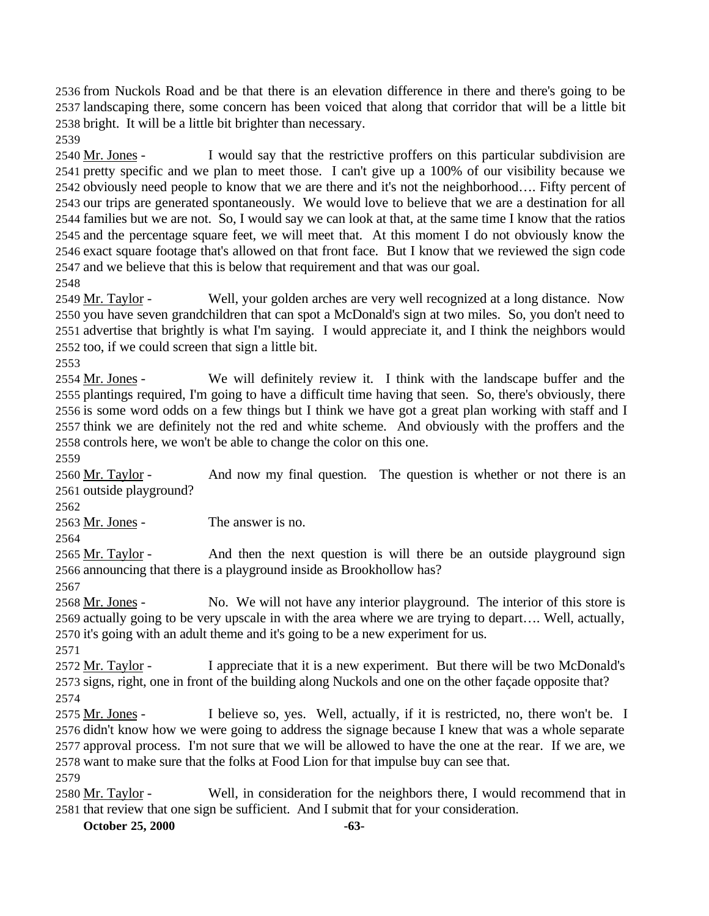from Nuckols Road and be that there is an elevation difference in there and there's going to be landscaping there, some concern has been voiced that along that corridor that will be a little bit bright. It will be a little bit brighter than necessary.

 Mr. Jones - I would say that the restrictive proffers on this particular subdivision are pretty specific and we plan to meet those. I can't give up a 100% of our visibility because we obviously need people to know that we are there and it's not the neighborhood…. Fifty percent of our trips are generated spontaneously. We would love to believe that we are a destination for all families but we are not. So, I would say we can look at that, at the same time I know that the ratios and the percentage square feet, we will meet that. At this moment I do not obviously know the exact square footage that's allowed on that front face. But I know that we reviewed the sign code and we believe that this is below that requirement and that was our goal.

2549 Mr. Taylor - Well, your golden arches are very well recognized at a long distance. Now you have seven grandchildren that can spot a McDonald's sign at two miles. So, you don't need to advertise that brightly is what I'm saying. I would appreciate it, and I think the neighbors would too, if we could screen that sign a little bit.

2554 Mr. Jones - We will definitely review it. I think with the landscape buffer and the plantings required, I'm going to have a difficult time having that seen. So, there's obviously, there is some word odds on a few things but I think we have got a great plan working with staff and I think we are definitely not the red and white scheme. And obviously with the proffers and the controls here, we won't be able to change the color on this one.

2560 Mr. Taylor - And now my final question. The question is whether or not there is an outside playground?

Mr. Jones - The answer is no.

 Mr. Taylor - And then the next question is will there be an outside playground sign announcing that there is a playground inside as Brookhollow has?

2568 Mr. Jones - No. We will not have any interior playground. The interior of this store is actually going to be very upscale in with the area where we are trying to depart…. Well, actually, it's going with an adult theme and it's going to be a new experiment for us.

2572 Mr. Taylor - I appreciate that it is a new experiment. But there will be two McDonald's signs, right, one in front of the building along Nuckols and one on the other façade opposite that?

2575 Mr. Jones - I believe so, yes. Well, actually, if it is restricted, no, there won't be. I didn't know how we were going to address the signage because I knew that was a whole separate approval process. I'm not sure that we will be allowed to have the one at the rear. If we are, we want to make sure that the folks at Food Lion for that impulse buy can see that.

2580 Mr. Taylor - Well, in consideration for the neighbors there, I would recommend that in that review that one sign be sufficient. And I submit that for your consideration.

**October 25, 2000 -63-**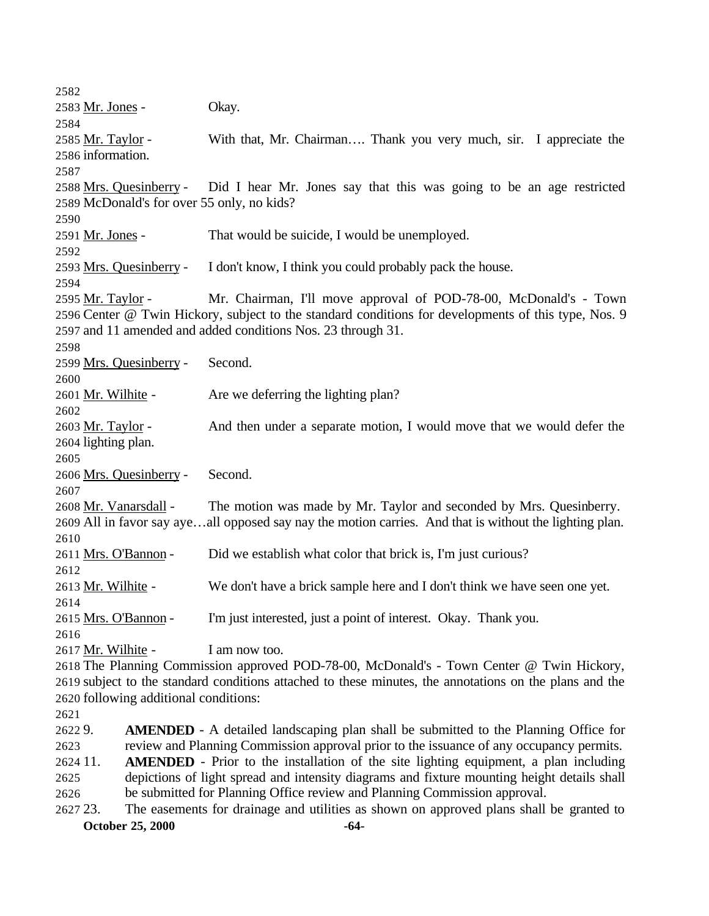Mr. Jones - Okay. 2585 Mr. Taylor - With that, Mr. Chairman.... Thank you very much, sir. I appreciate the information. Mrs. Quesinberry - Did I hear Mr. Jones say that this was going to be an age restricted McDonald's for over 55 only, no kids? 2591 Mr. Jones - That would be suicide, I would be unemployed. Mrs. Quesinberry - I don't know, I think you could probably pack the house. 2595 Mr. Taylor - Mr. Chairman, I'll move approval of POD-78-00, McDonald's - Town Center @ Twin Hickory, subject to the standard conditions for developments of this type, Nos. 9 and 11 amended and added conditions Nos. 23 through 31. Mrs. Quesinberry - Second. 2601 Mr. Wilhite - Are we deferring the lighting plan? Mr. Taylor - And then under a separate motion, I would move that we would defer the lighting plan. Mrs. Quesinberry - Second. Mr. Vanarsdall - The motion was made by Mr. Taylor and seconded by Mrs. Quesinberry. All in favor say aye…all opposed say nay the motion carries. And that is without the lighting plan. Mrs. O'Bannon - Did we establish what color that brick is, I'm just curious? Mr. Wilhite - We don't have a brick sample here and I don't think we have seen one yet. Mrs. O'Bannon - I'm just interested, just a point of interest. Okay. Thank you. 2617 Mr. Wilhite - I am now too. The Planning Commission approved POD-78-00, McDonald's - Town Center @ Twin Hickory, subject to the standard conditions attached to these minutes, the annotations on the plans and the following additional conditions: 9. **AMENDED** - A detailed landscaping plan shall be submitted to the Planning Office for review and Planning Commission approval prior to the issuance of any occupancy permits. 11. **AMENDED** - Prior to the installation of the site lighting equipment, a plan including depictions of light spread and intensity diagrams and fixture mounting height details shall be submitted for Planning Office review and Planning Commission approval. 23. The easements for drainage and utilities as shown on approved plans shall be granted to

**October 25, 2000 -64-**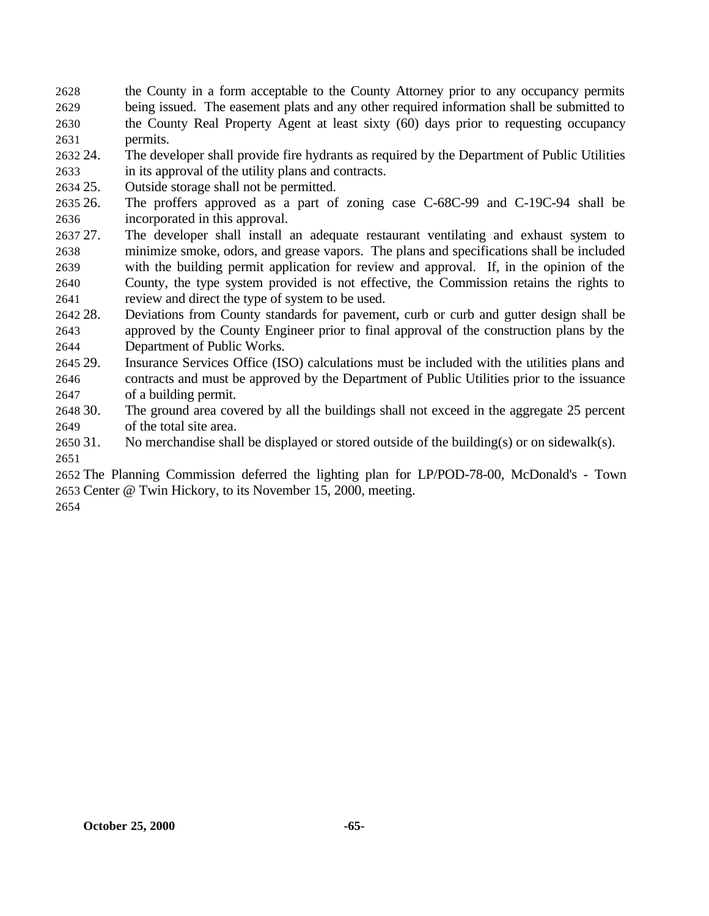the County in a form acceptable to the County Attorney prior to any occupancy permits being issued. The easement plats and any other required information shall be submitted to the County Real Property Agent at least sixty (60) days prior to requesting occupancy permits.

- 24. The developer shall provide fire hydrants as required by the Department of Public Utilities in its approval of the utility plans and contracts.
- 25. Outside storage shall not be permitted.
- 26. The proffers approved as a part of zoning case C-68C-99 and C-19C-94 shall be incorporated in this approval.
- 27. The developer shall install an adequate restaurant ventilating and exhaust system to minimize smoke, odors, and grease vapors. The plans and specifications shall be included with the building permit application for review and approval. If, in the opinion of the County, the type system provided is not effective, the Commission retains the rights to review and direct the type of system to be used.
- 28. Deviations from County standards for pavement, curb or curb and gutter design shall be approved by the County Engineer prior to final approval of the construction plans by the Department of Public Works.
- 29. Insurance Services Office (ISO) calculations must be included with the utilities plans and contracts and must be approved by the Department of Public Utilities prior to the issuance of a building permit.
- 30. The ground area covered by all the buildings shall not exceed in the aggregate 25 percent of the total site area.
- 31. No merchandise shall be displayed or stored outside of the building(s) or on sidewalk(s).

 The Planning Commission deferred the lighting plan for LP/POD-78-00, McDonald's - Town Center @ Twin Hickory, to its November 15, 2000, meeting.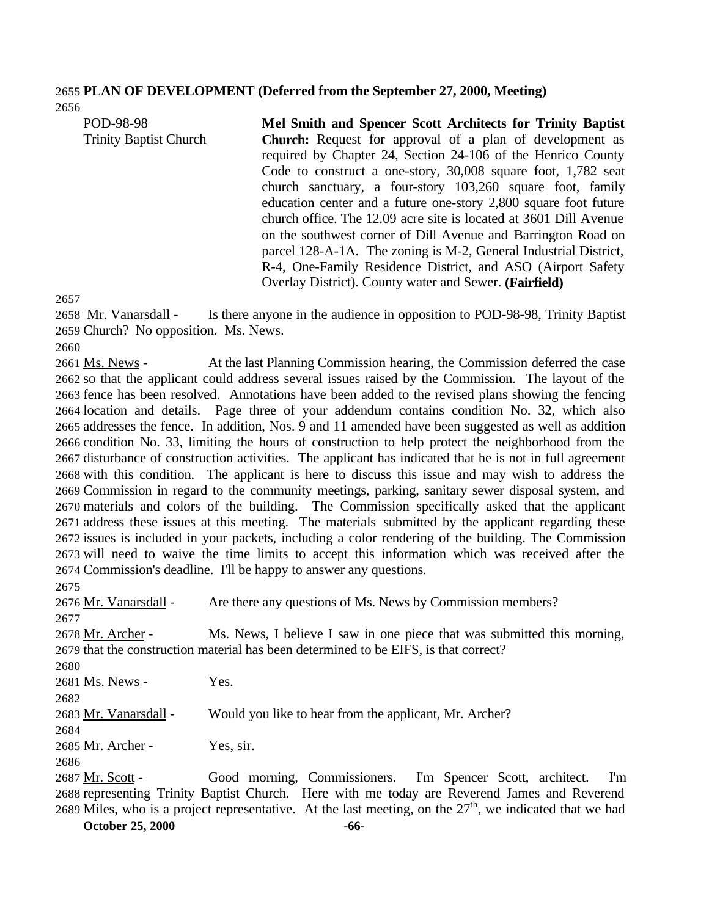## **PLAN OF DEVELOPMENT (Deferred from the September 27, 2000, Meeting)**

| POD-98-98                     | Mel Smith and Spencer Scott Architects for Trinity Baptist        |
|-------------------------------|-------------------------------------------------------------------|
| <b>Trinity Baptist Church</b> | <b>Church:</b> Request for approval of a plan of development as   |
|                               | required by Chapter 24, Section 24-106 of the Henrico County      |
|                               | Code to construct a one-story, 30,008 square foot, 1,782 seat     |
|                               | church sanctuary, a four-story 103,260 square foot, family        |
|                               | education center and a future one-story 2,800 square foot future  |
|                               | church office. The 12.09 acre site is located at 3601 Dill Avenue |
|                               | on the southwest corner of Dill Avenue and Barrington Road on     |
|                               | parcel 128-A-1A. The zoning is M-2, General Industrial District,  |
|                               | R-4, One-Family Residence District, and ASO (Airport Safety)      |
|                               | Overlay District). County water and Sewer. (Fairfield)            |

 Mr. Vanarsdall - Is there anyone in the audience in opposition to POD-98-98, Trinity Baptist Church? No opposition. Ms. News.

 Ms. News - At the last Planning Commission hearing, the Commission deferred the case so that the applicant could address several issues raised by the Commission. The layout of the fence has been resolved. Annotations have been added to the revised plans showing the fencing location and details. Page three of your addendum contains condition No. 32, which also addresses the fence. In addition, Nos. 9 and 11 amended have been suggested as well as addition condition No. 33, limiting the hours of construction to help protect the neighborhood from the disturbance of construction activities. The applicant has indicated that he is not in full agreement with this condition. The applicant is here to discuss this issue and may wish to address the Commission in regard to the community meetings, parking, sanitary sewer disposal system, and materials and colors of the building. The Commission specifically asked that the applicant address these issues at this meeting. The materials submitted by the applicant regarding these issues is included in your packets, including a color rendering of the building. The Commission will need to waive the time limits to accept this information which was received after the Commission's deadline. I'll be happy to answer any questions.

 Mr. Vanarsdall - Are there any questions of Ms. News by Commission members? Mr. Archer - Ms. News, I believe I saw in one piece that was submitted this morning, that the construction material has been determined to be EIFS, is that correct? 

Ms. News - Yes.

Mr. Vanarsdall - Would you like to hear from the applicant, Mr. Archer?

Mr. Archer - Yes, sir.

 Mr. Scott - Good morning, Commissioners. I'm Spencer Scott, architect. I'm representing Trinity Baptist Church. Here with me today are Reverend James and Reverend 2689 Miles, who is a project representative. At the last meeting, on the  $27<sup>th</sup>$ , we indicated that we had

**October 25, 2000 -66-**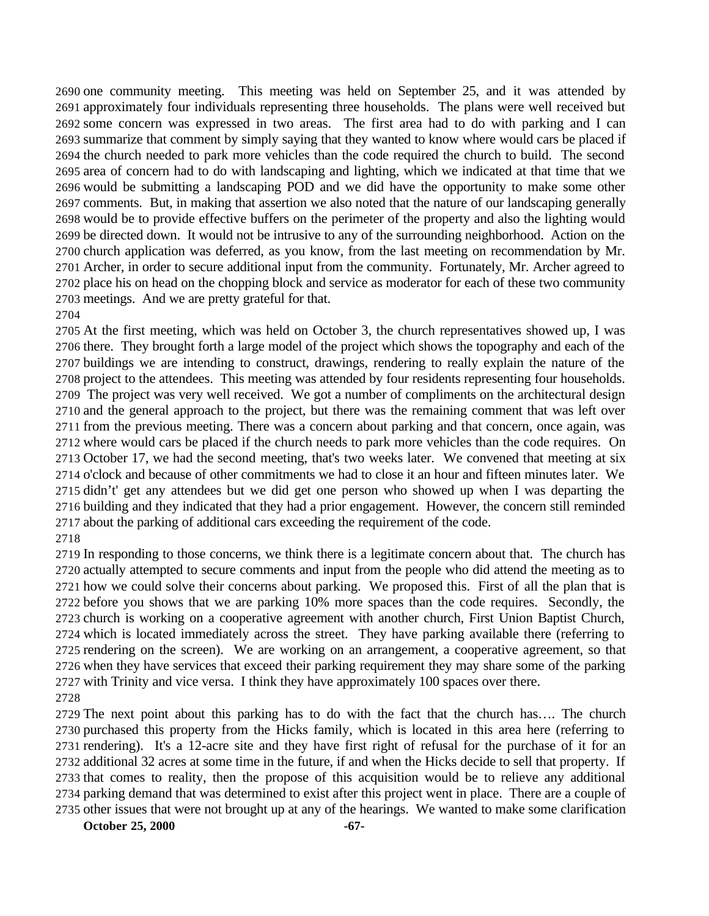one community meeting. This meeting was held on September 25, and it was attended by approximately four individuals representing three households. The plans were well received but some concern was expressed in two areas. The first area had to do with parking and I can summarize that comment by simply saying that they wanted to know where would cars be placed if the church needed to park more vehicles than the code required the church to build. The second area of concern had to do with landscaping and lighting, which we indicated at that time that we would be submitting a landscaping POD and we did have the opportunity to make some other comments. But, in making that assertion we also noted that the nature of our landscaping generally would be to provide effective buffers on the perimeter of the property and also the lighting would be directed down. It would not be intrusive to any of the surrounding neighborhood. Action on the church application was deferred, as you know, from the last meeting on recommendation by Mr. Archer, in order to secure additional input from the community. Fortunately, Mr. Archer agreed to place his on head on the chopping block and service as moderator for each of these two community meetings. And we are pretty grateful for that.

 At the first meeting, which was held on October 3, the church representatives showed up, I was there. They brought forth a large model of the project which shows the topography and each of the buildings we are intending to construct, drawings, rendering to really explain the nature of the project to the attendees. This meeting was attended by four residents representing four households. The project was very well received. We got a number of compliments on the architectural design and the general approach to the project, but there was the remaining comment that was left over from the previous meeting. There was a concern about parking and that concern, once again, was where would cars be placed if the church needs to park more vehicles than the code requires. On October 17, we had the second meeting, that's two weeks later. We convened that meeting at six o'clock and because of other commitments we had to close it an hour and fifteen minutes later. We didn't' get any attendees but we did get one person who showed up when I was departing the building and they indicated that they had a prior engagement. However, the concern still reminded about the parking of additional cars exceeding the requirement of the code.

 In responding to those concerns, we think there is a legitimate concern about that. The church has actually attempted to secure comments and input from the people who did attend the meeting as to how we could solve their concerns about parking. We proposed this. First of all the plan that is before you shows that we are parking 10% more spaces than the code requires. Secondly, the church is working on a cooperative agreement with another church, First Union Baptist Church, which is located immediately across the street. They have parking available there (referring to rendering on the screen). We are working on an arrangement, a cooperative agreement, so that when they have services that exceed their parking requirement they may share some of the parking with Trinity and vice versa. I think they have approximately 100 spaces over there.

 The next point about this parking has to do with the fact that the church has…. The church purchased this property from the Hicks family, which is located in this area here (referring to rendering). It's a 12-acre site and they have first right of refusal for the purchase of it for an additional 32 acres at some time in the future, if and when the Hicks decide to sell that property. If that comes to reality, then the propose of this acquisition would be to relieve any additional parking demand that was determined to exist after this project went in place. There are a couple of other issues that were not brought up at any of the hearings. We wanted to make some clarification

**October 25, 2000 -67-**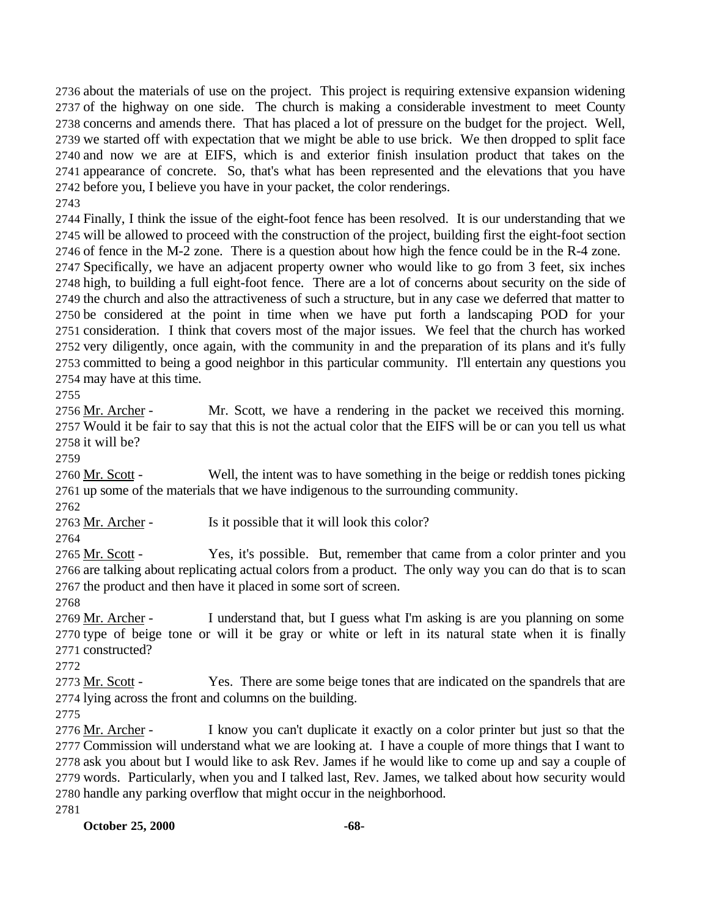about the materials of use on the project. This project is requiring extensive expansion widening of the highway on one side. The church is making a considerable investment to meet County concerns and amends there. That has placed a lot of pressure on the budget for the project. Well, we started off with expectation that we might be able to use brick. We then dropped to split face and now we are at EIFS, which is and exterior finish insulation product that takes on the appearance of concrete. So, that's what has been represented and the elevations that you have before you, I believe you have in your packet, the color renderings.

 Finally, I think the issue of the eight-foot fence has been resolved. It is our understanding that we will be allowed to proceed with the construction of the project, building first the eight-foot section of fence in the M-2 zone. There is a question about how high the fence could be in the R-4 zone. Specifically, we have an adjacent property owner who would like to go from 3 feet, six inches high, to building a full eight-foot fence. There are a lot of concerns about security on the side of the church and also the attractiveness of such a structure, but in any case we deferred that matter to be considered at the point in time when we have put forth a landscaping POD for your consideration. I think that covers most of the major issues. We feel that the church has worked very diligently, once again, with the community in and the preparation of its plans and it's fully committed to being a good neighbor in this particular community. I'll entertain any questions you may have at this time.

 Mr. Archer - Mr. Scott, we have a rendering in the packet we received this morning. Would it be fair to say that this is not the actual color that the EIFS will be or can you tell us what it will be?

 Mr. Scott - Well, the intent was to have something in the beige or reddish tones picking up some of the materials that we have indigenous to the surrounding community.

2763 Mr. Archer - Is it possible that it will look this color?

 Mr. Scott - Yes, it's possible. But, remember that came from a color printer and you are talking about replicating actual colors from a product. The only way you can do that is to scan the product and then have it placed in some sort of screen.

 Mr. Archer - I understand that, but I guess what I'm asking is are you planning on some type of beige tone or will it be gray or white or left in its natural state when it is finally constructed?

2773 Mr. Scott - Yes. There are some beige tones that are indicated on the spandrels that are lying across the front and columns on the building.

 Mr. Archer - I know you can't duplicate it exactly on a color printer but just so that the Commission will understand what we are looking at. I have a couple of more things that I want to ask you about but I would like to ask Rev. James if he would like to come up and say a couple of words. Particularly, when you and I talked last, Rev. James, we talked about how security would handle any parking overflow that might occur in the neighborhood.

**October 25, 2000 -68-**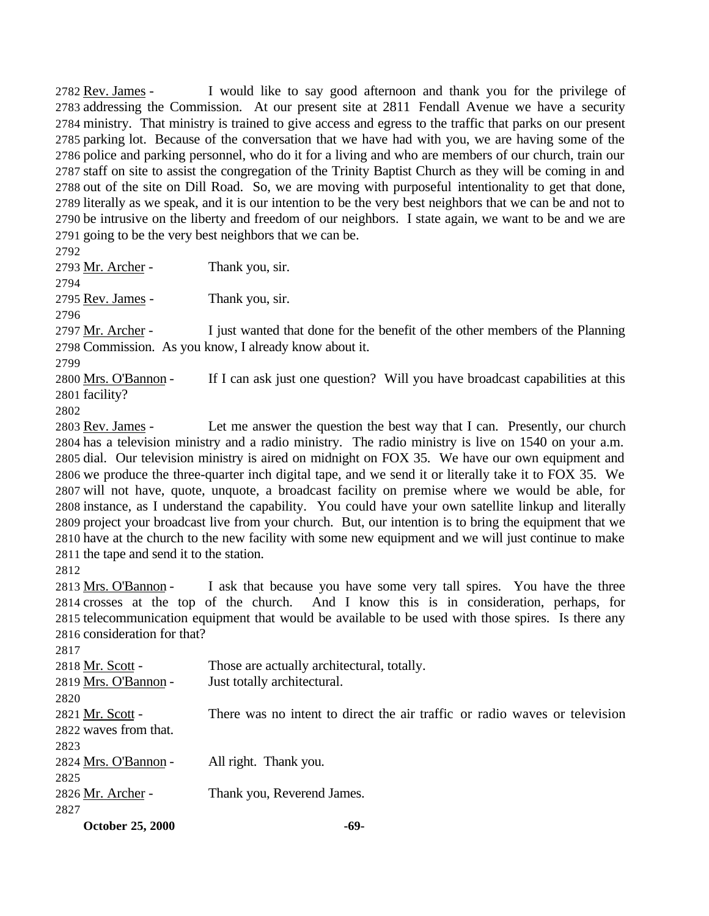Rev. James - I would like to say good afternoon and thank you for the privilege of addressing the Commission. At our present site at 2811 Fendall Avenue we have a security ministry. That ministry is trained to give access and egress to the traffic that parks on our present parking lot. Because of the conversation that we have had with you, we are having some of the police and parking personnel, who do it for a living and who are members of our church, train our staff on site to assist the congregation of the Trinity Baptist Church as they will be coming in and out of the site on Dill Road. So, we are moving with purposeful intentionality to get that done, literally as we speak, and it is our intention to be the very best neighbors that we can be and not to be intrusive on the liberty and freedom of our neighbors. I state again, we want to be and we are going to be the very best neighbors that we can be. 

2793 Mr. Archer - Thank you, sir. 

2795 <u>Rev. James</u> - Thank you, sir.

 Mr. Archer - I just wanted that done for the benefit of the other members of the Planning Commission. As you know, I already know about it.

2800 Mrs. O'Bannon - If I can ask just one question? Will you have broadcast capabilities at this facility?

 Rev. James - Let me answer the question the best way that I can. Presently, our church has a television ministry and a radio ministry. The radio ministry is live on 1540 on your a.m. dial. Our television ministry is aired on midnight on FOX 35. We have our own equipment and we produce the three-quarter inch digital tape, and we send it or literally take it to FOX 35. We will not have, quote, unquote, a broadcast facility on premise where we would be able, for instance, as I understand the capability. You could have your own satellite linkup and literally project your broadcast live from your church. But, our intention is to bring the equipment that we have at the church to the new facility with some new equipment and we will just continue to make the tape and send it to the station.

 Mrs. O'Bannon - I ask that because you have some very tall spires. You have the three crosses at the top of the church. And I know this is in consideration, perhaps, for telecommunication equipment that would be available to be used with those spires. Is there any consideration for that?

 2818 Mr. Scott - Those are actually architectural, totally. Mrs. O'Bannon - Just totally architectural. Mr. Scott - There was no intent to direct the air traffic or radio waves or television waves from that. Mrs. O'Bannon - All right. Thank you. 2826 Mr. Archer - Thank you, Reverend James. 

**October 25, 2000 -69-**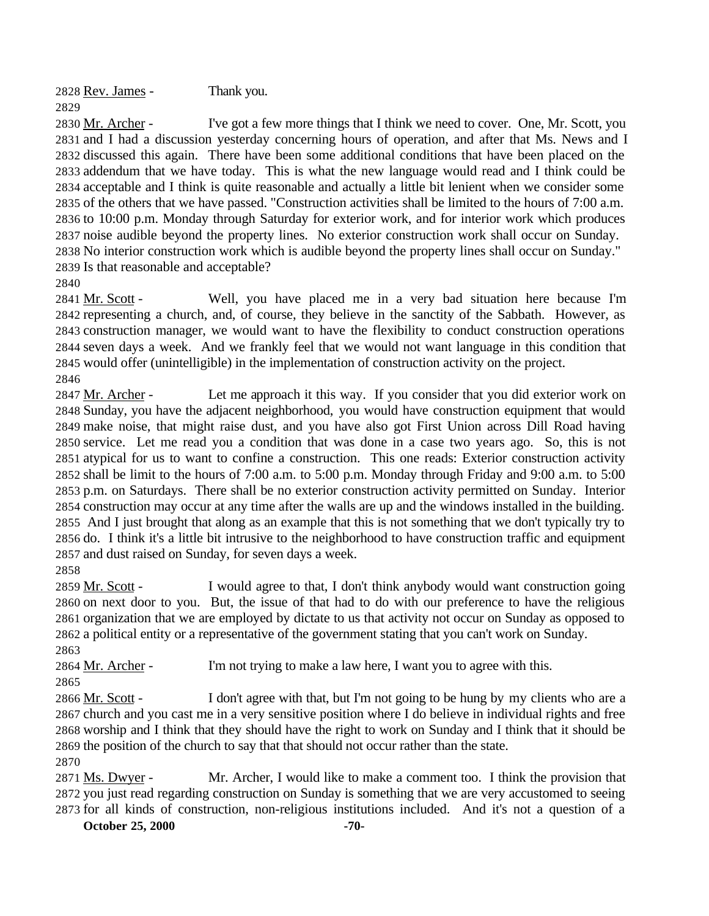Rev. James - Thank you. 

2830 Mr. Archer - I've got a few more things that I think we need to cover. One, Mr. Scott, you and I had a discussion yesterday concerning hours of operation, and after that Ms. News and I discussed this again. There have been some additional conditions that have been placed on the addendum that we have today. This is what the new language would read and I think could be acceptable and I think is quite reasonable and actually a little bit lenient when we consider some of the others that we have passed. "Construction activities shall be limited to the hours of 7:00 a.m. to 10:00 p.m. Monday through Saturday for exterior work, and for interior work which produces noise audible beyond the property lines. No exterior construction work shall occur on Sunday. No interior construction work which is audible beyond the property lines shall occur on Sunday." Is that reasonable and acceptable?

2841 Mr. Scott - Well, you have placed me in a very bad situation here because I'm representing a church, and, of course, they believe in the sanctity of the Sabbath. However, as construction manager, we would want to have the flexibility to conduct construction operations seven days a week. And we frankly feel that we would not want language in this condition that would offer (unintelligible) in the implementation of construction activity on the project. 

2847 Mr. Archer - Let me approach it this way. If you consider that you did exterior work on Sunday, you have the adjacent neighborhood, you would have construction equipment that would make noise, that might raise dust, and you have also got First Union across Dill Road having service. Let me read you a condition that was done in a case two years ago. So, this is not atypical for us to want to confine a construction. This one reads: Exterior construction activity shall be limit to the hours of 7:00 a.m. to 5:00 p.m. Monday through Friday and 9:00 a.m. to 5:00 p.m. on Saturdays. There shall be no exterior construction activity permitted on Sunday. Interior construction may occur at any time after the walls are up and the windows installed in the building. And I just brought that along as an example that this is not something that we don't typically try to do. I think it's a little bit intrusive to the neighborhood to have construction traffic and equipment and dust raised on Sunday, for seven days a week.

 Mr. Scott - I would agree to that, I don't think anybody would want construction going on next door to you. But, the issue of that had to do with our preference to have the religious organization that we are employed by dictate to us that activity not occur on Sunday as opposed to a political entity or a representative of the government stating that you can't work on Sunday. 

2864 Mr. Archer - I'm not trying to make a law here, I want you to agree with this. 

 Mr. Scott - I don't agree with that, but I'm not going to be hung by my clients who are a church and you cast me in a very sensitive position where I do believe in individual rights and free worship and I think that they should have the right to work on Sunday and I think that it should be the position of the church to say that that should not occur rather than the state.

 Ms. Dwyer - Mr. Archer, I would like to make a comment too. I think the provision that you just read regarding construction on Sunday is something that we are very accustomed to seeing for all kinds of construction, non-religious institutions included. And it's not a question of a

**October 25, 2000 -70-**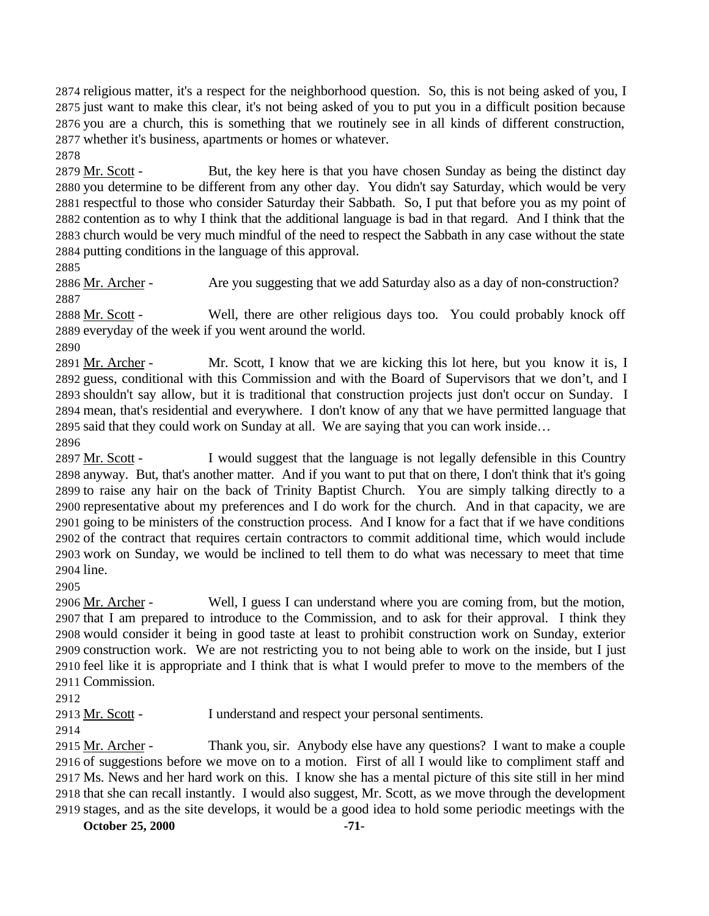religious matter, it's a respect for the neighborhood question. So, this is not being asked of you, I just want to make this clear, it's not being asked of you to put you in a difficult position because you are a church, this is something that we routinely see in all kinds of different construction, whether it's business, apartments or homes or whatever.

 Mr. Scott - But, the key here is that you have chosen Sunday as being the distinct day you determine to be different from any other day. You didn't say Saturday, which would be very respectful to those who consider Saturday their Sabbath. So, I put that before you as my point of contention as to why I think that the additional language is bad in that regard. And I think that the church would be very much mindful of the need to respect the Sabbath in any case without the state putting conditions in the language of this approval.

2886 Mr. Archer - Are you suggesting that we add Saturday also as a day of non-construction? 

 Mr. Scott - Well, there are other religious days too. You could probably knock off everyday of the week if you went around the world.

2891 Mr. Archer - Mr. Scott, I know that we are kicking this lot here, but you know it is, I guess, conditional with this Commission and with the Board of Supervisors that we don't, and I shouldn't say allow, but it is traditional that construction projects just don't occur on Sunday. I mean, that's residential and everywhere. I don't know of any that we have permitted language that said that they could work on Sunday at all. We are saying that you can work inside… 

 Mr. Scott - I would suggest that the language is not legally defensible in this Country anyway. But, that's another matter. And if you want to put that on there, I don't think that it's going to raise any hair on the back of Trinity Baptist Church. You are simply talking directly to a representative about my preferences and I do work for the church. And in that capacity, we are going to be ministers of the construction process. And I know for a fact that if we have conditions of the contract that requires certain contractors to commit additional time, which would include work on Sunday, we would be inclined to tell them to do what was necessary to meet that time line.

 Mr. Archer - Well, I guess I can understand where you are coming from, but the motion, that I am prepared to introduce to the Commission, and to ask for their approval. I think they would consider it being in good taste at least to prohibit construction work on Sunday, exterior construction work. We are not restricting you to not being able to work on the inside, but I just feel like it is appropriate and I think that is what I would prefer to move to the members of the Commission.

Mr. Scott - I understand and respect your personal sentiments.

2915 Mr. Archer - Thank you, sir. Anybody else have any questions? I want to make a couple of suggestions before we move on to a motion. First of all I would like to compliment staff and Ms. News and her hard work on this. I know she has a mental picture of this site still in her mind that she can recall instantly. I would also suggest, Mr. Scott, as we move through the development stages, and as the site develops, it would be a good idea to hold some periodic meetings with the

**October 25, 2000 -71-**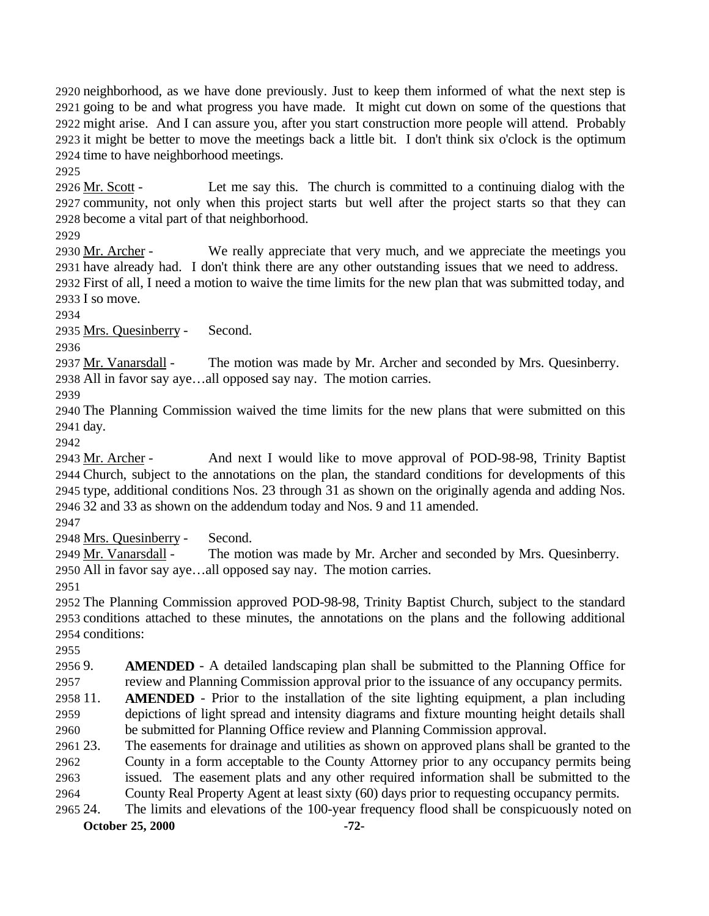neighborhood, as we have done previously. Just to keep them informed of what the next step is going to be and what progress you have made. It might cut down on some of the questions that might arise. And I can assure you, after you start construction more people will attend. Probably it might be better to move the meetings back a little bit. I don't think six o'clock is the optimum time to have neighborhood meetings.

 Mr. Scott - Let me say this. The church is committed to a continuing dialog with the community, not only when this project starts but well after the project starts so that they can become a vital part of that neighborhood.

 Mr. Archer - We really appreciate that very much, and we appreciate the meetings you have already had. I don't think there are any other outstanding issues that we need to address. First of all, I need a motion to waive the time limits for the new plan that was submitted today, and I so move.

Mrs. Quesinberry - Second.

2937 Mr. Vanarsdall - The motion was made by Mr. Archer and seconded by Mrs. Quesinberry. All in favor say aye…all opposed say nay. The motion carries.

 The Planning Commission waived the time limits for the new plans that were submitted on this day.

 Mr. Archer - And next I would like to move approval of POD-98-98, Trinity Baptist Church, subject to the annotations on the plan, the standard conditions for developments of this type, additional conditions Nos. 23 through 31 as shown on the originally agenda and adding Nos. 32 and 33 as shown on the addendum today and Nos. 9 and 11 amended.

Mrs. Quesinberry - Second.

 Mr. Vanarsdall - The motion was made by Mr. Archer and seconded by Mrs. Quesinberry. All in favor say aye…all opposed say nay. The motion carries.

 The Planning Commission approved POD-98-98, Trinity Baptist Church, subject to the standard conditions attached to these minutes, the annotations on the plans and the following additional conditions:

 9. **AMENDED** - A detailed landscaping plan shall be submitted to the Planning Office for review and Planning Commission approval prior to the issuance of any occupancy permits.

 11. **AMENDED** - Prior to the installation of the site lighting equipment, a plan including depictions of light spread and intensity diagrams and fixture mounting height details shall be submitted for Planning Office review and Planning Commission approval.

 23. The easements for drainage and utilities as shown on approved plans shall be granted to the County in a form acceptable to the County Attorney prior to any occupancy permits being issued. The easement plats and any other required information shall be submitted to the County Real Property Agent at least sixty (60) days prior to requesting occupancy permits.

**October 25, 2000 -72-** 24. The limits and elevations of the 100-year frequency flood shall be conspicuously noted on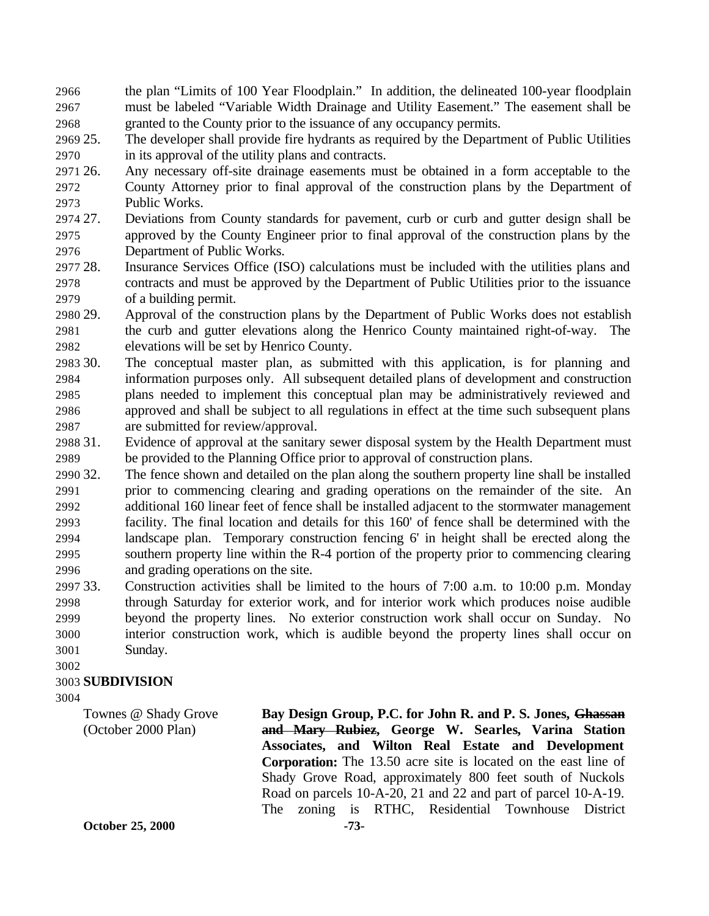the plan "Limits of 100 Year Floodplain." In addition, the delineated 100-year floodplain must be labeled "Variable Width Drainage and Utility Easement." The easement shall be granted to the County prior to the issuance of any occupancy permits.

 25. The developer shall provide fire hydrants as required by the Department of Public Utilities in its approval of the utility plans and contracts.

- 26. Any necessary off-site drainage easements must be obtained in a form acceptable to the County Attorney prior to final approval of the construction plans by the Department of Public Works.
- 27. Deviations from County standards for pavement, curb or curb and gutter design shall be approved by the County Engineer prior to final approval of the construction plans by the Department of Public Works.
- 28. Insurance Services Office (ISO) calculations must be included with the utilities plans and contracts and must be approved by the Department of Public Utilities prior to the issuance of a building permit.
- 29. Approval of the construction plans by the Department of Public Works does not establish the curb and gutter elevations along the Henrico County maintained right-of-way. The elevations will be set by Henrico County.
- 30. The conceptual master plan, as submitted with this application, is for planning and information purposes only. All subsequent detailed plans of development and construction plans needed to implement this conceptual plan may be administratively reviewed and approved and shall be subject to all regulations in effect at the time such subsequent plans are submitted for review/approval.
- 31. Evidence of approval at the sanitary sewer disposal system by the Health Department must be provided to the Planning Office prior to approval of construction plans.
- 32. The fence shown and detailed on the plan along the southern property line shall be installed prior to commencing clearing and grading operations on the remainder of the site. An additional 160 linear feet of fence shall be installed adjacent to the stormwater management facility. The final location and details for this 160' of fence shall be determined with the landscape plan. Temporary construction fencing 6' in height shall be erected along the southern property line within the R-4 portion of the property prior to commencing clearing and grading operations on the site.
- 33. Construction activities shall be limited to the hours of 7:00 a.m. to 10:00 p.m. Monday through Saturday for exterior work, and for interior work which produces noise audible beyond the property lines. No exterior construction work shall occur on Sunday. No interior construction work, which is audible beyond the property lines shall occur on Sunday.

#### 

## **SUBDIVISION**

**October 25, 2000 -73-** Townes @ Shady Grove (October 2000 Plan) **Bay Design Group, P.C. for John R. and P. S. Jones, Ghassan and Mary Rubiez, George W. Searles, Varina Station Associates, and Wilton Real Estate and Development Corporation:** The 13.50 acre site is located on the east line of Shady Grove Road, approximately 800 feet south of Nuckols Road on parcels 10-A-20, 21 and 22 and part of parcel 10-A-19. The zoning is RTHC, Residential Townhouse District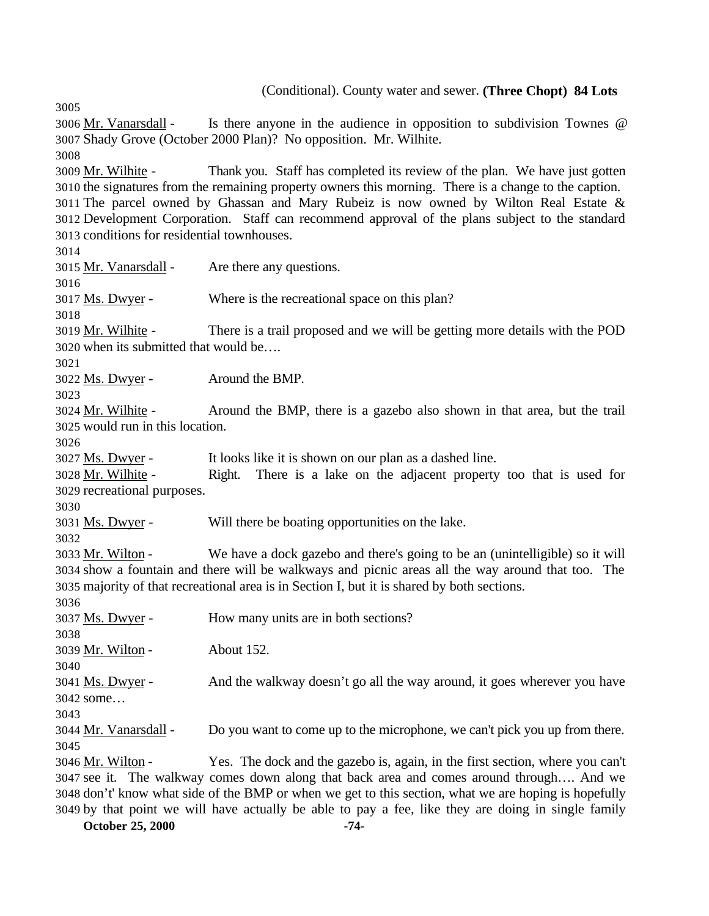(Conditional). County water and sewer. **(Three Chopt) 84 Lots**  Mr. Vanarsdall - Is there anyone in the audience in opposition to subdivision Townes @ Shady Grove (October 2000 Plan)? No opposition. Mr. Wilhite. Mr. Wilhite - Thank you. Staff has completed its review of the plan. We have just gotten the signatures from the remaining property owners this morning. There is a change to the caption. The parcel owned by Ghassan and Mary Rubeiz is now owned by Wilton Real Estate & Development Corporation. Staff can recommend approval of the plans subject to the standard conditions for residential townhouses. Mr. Vanarsdall - Are there any questions. 3017 Ms. Dwyer - Where is the recreational space on this plan? Mr. Wilhite - There is a trail proposed and we will be getting more details with the POD when its submitted that would be…. Ms. Dwyer - Around the BMP. Mr. Wilhite - Around the BMP, there is a gazebo also shown in that area, but the trail would run in this location. Ms. Dwyer - It looks like it is shown on our plan as a dashed line. Mr. Wilhite - Right. There is a lake on the adjacent property too that is used for recreational purposes. Ms. Dwyer - Will there be boating opportunities on the lake. Mr. Wilton - We have a dock gazebo and there's going to be an (unintelligible) so it will show a fountain and there will be walkways and picnic areas all the way around that too. The majority of that recreational area is in Section I, but it is shared by both sections. Ms. Dwyer - How many units are in both sections? Mr. Wilton - About 152. Ms. Dwyer - And the walkway doesn't go all the way around, it goes wherever you have some… Mr. Vanarsdall - Do you want to come up to the microphone, we can't pick you up from there. Mr. Wilton - Yes. The dock and the gazebo is, again, in the first section, where you can't see it. The walkway comes down along that back area and comes around through…. And we don't' know what side of the BMP or when we get to this section, what we are hoping is hopefully by that point we will have actually be able to pay a fee, like they are doing in single family

**October 25, 2000 -74-**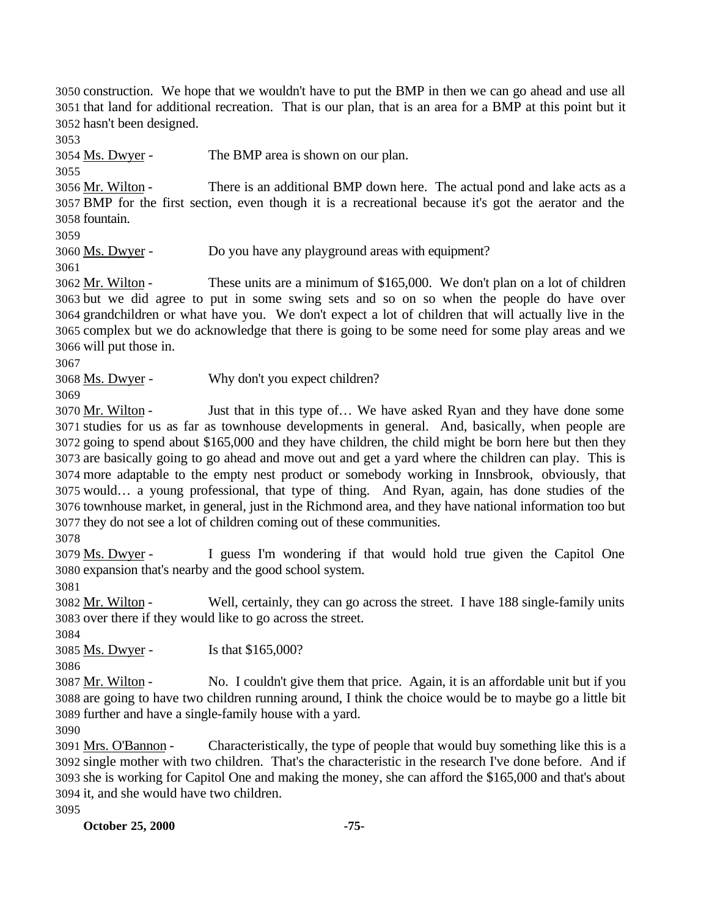construction. We hope that we wouldn't have to put the BMP in then we can go ahead and use all that land for additional recreation. That is our plan, that is an area for a BMP at this point but it hasn't been designed.

Ms. Dwyer - The BMP area is shown on our plan.

 Mr. Wilton - There is an additional BMP down here. The actual pond and lake acts as a BMP for the first section, even though it is a recreational because it's got the aerator and the fountain.

Ms. Dwyer - Do you have any playground areas with equipment?

 Mr. Wilton - These units are a minimum of \$165,000. We don't plan on a lot of children but we did agree to put in some swing sets and so on so when the people do have over grandchildren or what have you. We don't expect a lot of children that will actually live in the complex but we do acknowledge that there is going to be some need for some play areas and we will put those in.

Ms. Dwyer - Why don't you expect children?

 Mr. Wilton - Just that in this type of… We have asked Ryan and they have done some studies for us as far as townhouse developments in general. And, basically, when people are going to spend about \$165,000 and they have children, the child might be born here but then they are basically going to go ahead and move out and get a yard where the children can play. This is more adaptable to the empty nest product or somebody working in Innsbrook, obviously, that would… a young professional, that type of thing. And Ryan, again, has done studies of the townhouse market, in general, just in the Richmond area, and they have national information too but they do not see a lot of children coming out of these communities.

 Ms. Dwyer - I guess I'm wondering if that would hold true given the Capitol One expansion that's nearby and the good school system.

 Mr. Wilton - Well, certainly, they can go across the street. I have 188 single-family units over there if they would like to go across the street.

Ms. Dwyer - Is that \$165,000?

 Mr. Wilton - No. I couldn't give them that price. Again, it is an affordable unit but if you are going to have two children running around, I think the choice would be to maybe go a little bit further and have a single-family house with a yard.

 Mrs. O'Bannon - Characteristically, the type of people that would buy something like this is a single mother with two children. That's the characteristic in the research I've done before. And if she is working for Capitol One and making the money, she can afford the \$165,000 and that's about it, and she would have two children.

**October 25, 2000 -75-**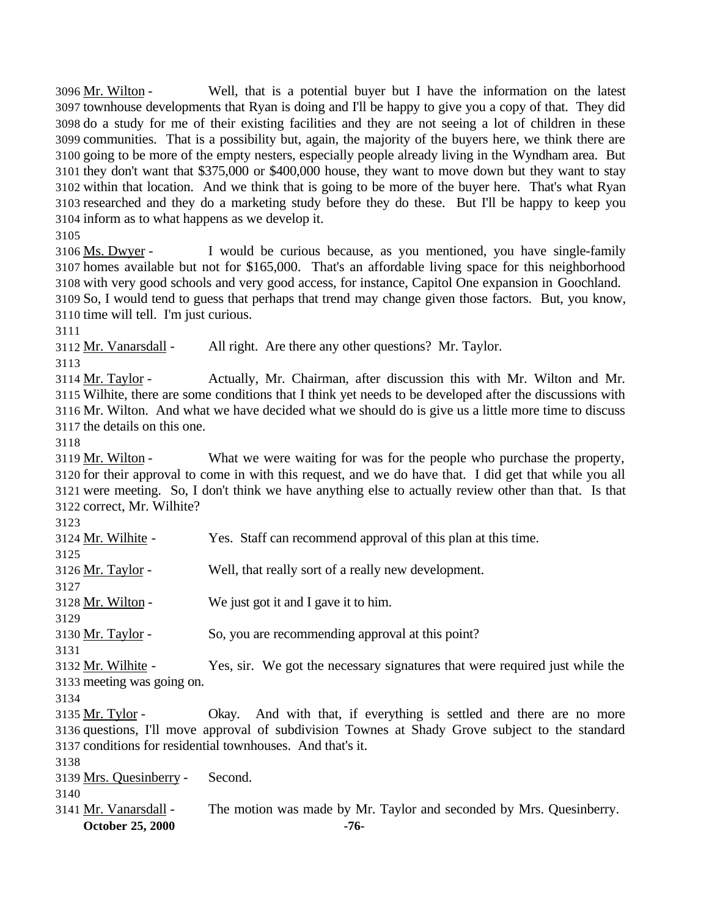Mr. Wilton - Well, that is a potential buyer but I have the information on the latest townhouse developments that Ryan is doing and I'll be happy to give you a copy of that. They did do a study for me of their existing facilities and they are not seeing a lot of children in these communities. That is a possibility but, again, the majority of the buyers here, we think there are going to be more of the empty nesters, especially people already living in the Wyndham area. But they don't want that \$375,000 or \$400,000 house, they want to move down but they want to stay within that location. And we think that is going to be more of the buyer here. That's what Ryan researched and they do a marketing study before they do these. But I'll be happy to keep you inform as to what happens as we develop it.

 Ms. Dwyer - I would be curious because, as you mentioned, you have single-family homes available but not for \$165,000. That's an affordable living space for this neighborhood with very good schools and very good access, for instance, Capitol One expansion in Goochland. So, I would tend to guess that perhaps that trend may change given those factors. But, you know, time will tell. I'm just curious.

3112 Mr. Vanarsdall - All right. Are there any other questions? Mr. Taylor.

 Mr. Taylor - Actually, Mr. Chairman, after discussion this with Mr. Wilton and Mr. Wilhite, there are some conditions that I think yet needs to be developed after the discussions with Mr. Wilton. And what we have decided what we should do is give us a little more time to discuss the details on this one.

 Mr. Wilton - What we were waiting for was for the people who purchase the property, for their approval to come in with this request, and we do have that. I did get that while you all were meeting. So, I don't think we have anything else to actually review other than that. Is that correct, Mr. Wilhite?

| <b>October 25, 2000</b>                                                                         | -76-                                                                        |  |  |
|-------------------------------------------------------------------------------------------------|-----------------------------------------------------------------------------|--|--|
| 3141 Mr. Vanarsdall -                                                                           | The motion was made by Mr. Taylor and seconded by Mrs. Quesinberry.         |  |  |
| 3140                                                                                            |                                                                             |  |  |
| 3139 Mrs. Quesinberry -                                                                         | Second.                                                                     |  |  |
| 3138                                                                                            |                                                                             |  |  |
| 3137 conditions for residential townhouses. And that's it.                                      |                                                                             |  |  |
| 3136 questions, I'll move approval of subdivision Townes at Shady Grove subject to the standard |                                                                             |  |  |
| 3135 Mr. Tylor -                                                                                | Okay. And with that, if everything is settled and there are no more         |  |  |
| 3134                                                                                            |                                                                             |  |  |
| 3133 meeting was going on.                                                                      |                                                                             |  |  |
| 3132 Mr. Wilhite -                                                                              | Yes, sir. We got the necessary signatures that were required just while the |  |  |
| 3131                                                                                            |                                                                             |  |  |
| 3130 Mr. Taylor -                                                                               | So, you are recommending approval at this point?                            |  |  |
| 3129                                                                                            |                                                                             |  |  |
| 3128 Mr. Wilton -                                                                               | We just got it and I gave it to him.                                        |  |  |
| 3127                                                                                            |                                                                             |  |  |
| 3126 Mr. Taylor -                                                                               | Well, that really sort of a really new development.                         |  |  |
| 3125                                                                                            |                                                                             |  |  |
| 3124 Mr. Wilhite -                                                                              | Yes. Staff can recommend approval of this plan at this time.                |  |  |
| ر ۱۷ د                                                                                          |                                                                             |  |  |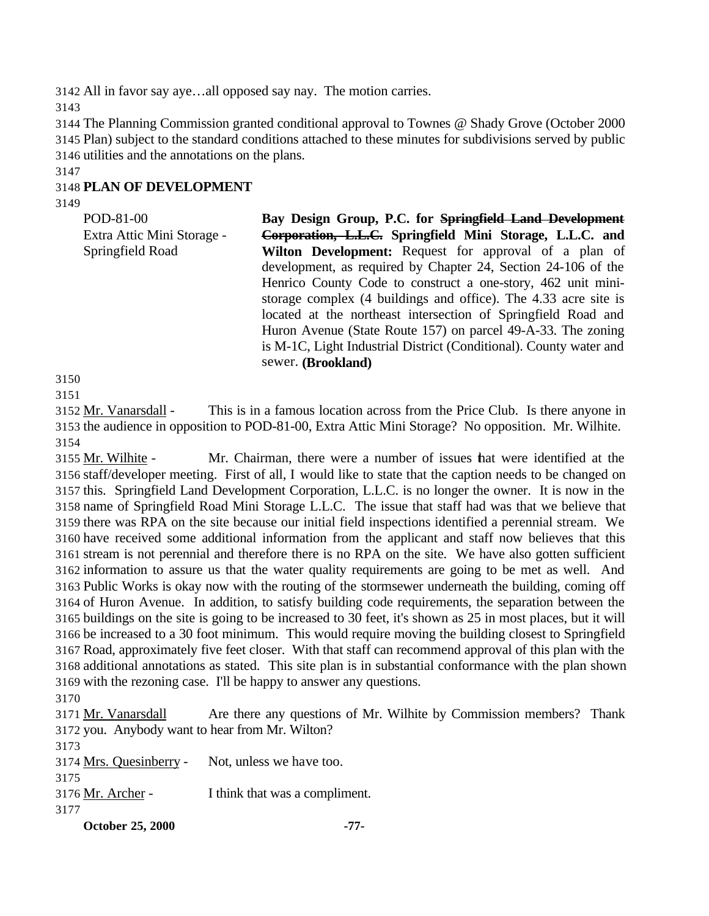All in favor say aye…all opposed say nay. The motion carries.

 The Planning Commission granted conditional approval to Townes @ Shady Grove (October 2000 Plan) subject to the standard conditions attached to these minutes for subdivisions served by public utilities and the annotations on the plans.

# **PLAN OF DEVELOPMENT**

| POD-81-00                  | Bay Design Group, P.C. for Springfield Land Development            |
|----------------------------|--------------------------------------------------------------------|
| Extra Attic Mini Storage - | Corporation, L.L.C. Springfield Mini Storage, L.L.C. and           |
| Springfield Road           | Wilton Development: Request for approval of a plan of              |
|                            | development, as required by Chapter 24, Section 24-106 of the      |
|                            | Henrico County Code to construct a one-story, 462 unit mini-       |
|                            | storage complex (4 buildings and office). The 4.33 acre site is    |
|                            | located at the northeast intersection of Springfield Road and      |
|                            | Huron Avenue (State Route 157) on parcel 49-A-33. The zoning       |
|                            | is M-1C, Light Industrial District (Conditional). County water and |
|                            | sewer. (Brookland)                                                 |
|                            |                                                                    |

 

 Mr. Vanarsdall - This is in a famous location across from the Price Club. Is there anyone in the audience in opposition to POD-81-00, Extra Attic Mini Storage? No opposition. Mr. Wilhite. 

 Mr. Wilhite - Mr. Chairman, there were a number of issues that were identified at the staff/developer meeting. First of all, I would like to state that the caption needs to be changed on this. Springfield Land Development Corporation, L.L.C. is no longer the owner. It is now in the name of Springfield Road Mini Storage L.L.C. The issue that staff had was that we believe that there was RPA on the site because our initial field inspections identified a perennial stream. We have received some additional information from the applicant and staff now believes that this stream is not perennial and therefore there is no RPA on the site. We have also gotten sufficient information to assure us that the water quality requirements are going to be met as well. And Public Works is okay now with the routing of the stormsewer underneath the building, coming off of Huron Avenue. In addition, to satisfy building code requirements, the separation between the buildings on the site is going to be increased to 30 feet, it's shown as 25 in most places, but it will be increased to a 30 foot minimum. This would require moving the building closest to Springfield Road, approximately five feet closer. With that staff can recommend approval of this plan with the additional annotations as stated. This site plan is in substantial conformance with the plan shown with the rezoning case. I'll be happy to answer any questions.

 Mr. Vanarsdall Are there any questions of Mr. Wilhite by Commission members? Thank you. Anybody want to hear from Mr. Wilton? Mrs. Quesinberry - Not, unless we have too. Mr. Archer - I think that was a compliment.

**October 25, 2000 -77-**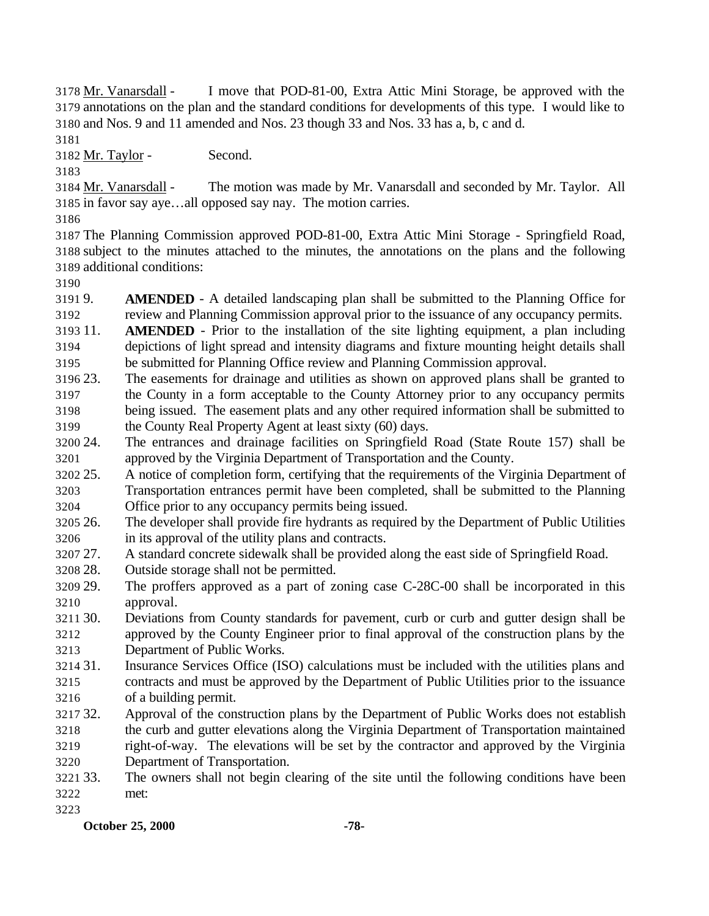Mr. Vanarsdall - I move that POD-81-00, Extra Attic Mini Storage, be approved with the annotations on the plan and the standard conditions for developments of this type. I would like to and Nos. 9 and 11 amended and Nos. 23 though 33 and Nos. 33 has a, b, c and d.

Mr. Taylor - Second.

 Mr. Vanarsdall - The motion was made by Mr. Vanarsdall and seconded by Mr. Taylor. All in favor say aye…all opposed say nay. The motion carries.

 The Planning Commission approved POD-81-00, Extra Attic Mini Storage - Springfield Road, subject to the minutes attached to the minutes, the annotations on the plans and the following additional conditions:

 9. **AMENDED** - A detailed landscaping plan shall be submitted to the Planning Office for review and Planning Commission approval prior to the issuance of any occupancy permits.

 11. **AMENDED** - Prior to the installation of the site lighting equipment, a plan including depictions of light spread and intensity diagrams and fixture mounting height details shall be submitted for Planning Office review and Planning Commission approval.

- 23. The easements for drainage and utilities as shown on approved plans shall be granted to the County in a form acceptable to the County Attorney prior to any occupancy permits being issued. The easement plats and any other required information shall be submitted to the County Real Property Agent at least sixty (60) days.
- 24. The entrances and drainage facilities on Springfield Road (State Route 157) shall be approved by the Virginia Department of Transportation and the County.
- 25. A notice of completion form, certifying that the requirements of the Virginia Department of
- Transportation entrances permit have been completed, shall be submitted to the Planning Office prior to any occupancy permits being issued.
- 26. The developer shall provide fire hydrants as required by the Department of Public Utilities in its approval of the utility plans and contracts.
- 27. A standard concrete sidewalk shall be provided along the east side of Springfield Road.
- 28. Outside storage shall not be permitted.
- 29. The proffers approved as a part of zoning case C-28C-00 shall be incorporated in this approval.
- 30. Deviations from County standards for pavement, curb or curb and gutter design shall be approved by the County Engineer prior to final approval of the construction plans by the Department of Public Works.
- 31. Insurance Services Office (ISO) calculations must be included with the utilities plans and contracts and must be approved by the Department of Public Utilities prior to the issuance of a building permit.
- 32. Approval of the construction plans by the Department of Public Works does not establish the curb and gutter elevations along the Virginia Department of Transportation maintained right-of-way. The elevations will be set by the contractor and approved by the Virginia
- Department of Transportation.
- 33. The owners shall not begin clearing of the site until the following conditions have been met:
-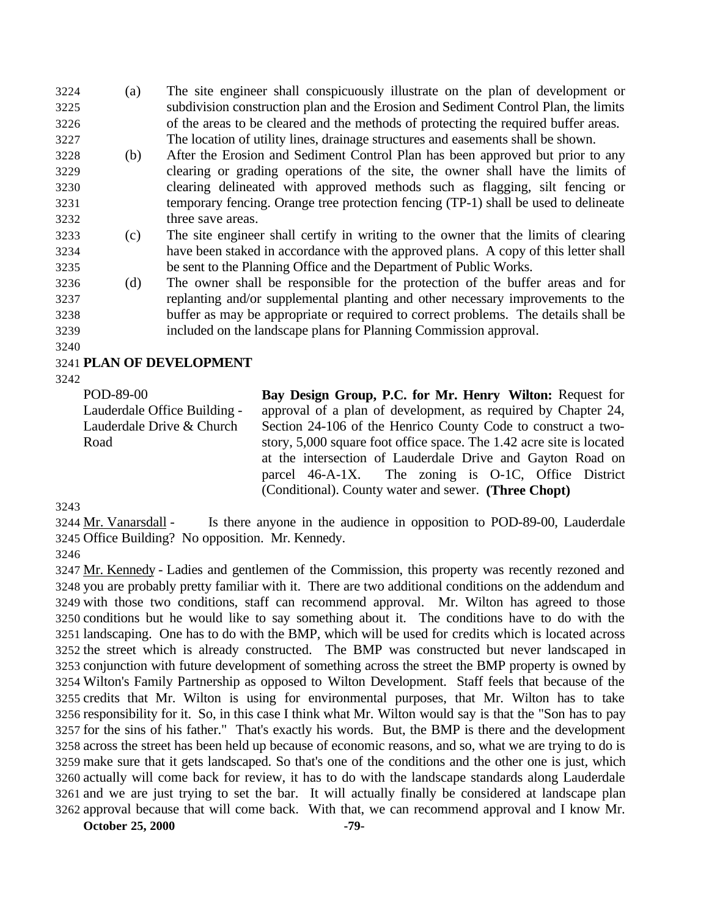(a) The site engineer shall conspicuously illustrate on the plan of development or subdivision construction plan and the Erosion and Sediment Control Plan, the limits of the areas to be cleared and the methods of protecting the required buffer areas. The location of utility lines, drainage structures and easements shall be shown.

- (b) After the Erosion and Sediment Control Plan has been approved but prior to any clearing or grading operations of the site, the owner shall have the limits of clearing delineated with approved methods such as flagging, silt fencing or temporary fencing. Orange tree protection fencing (TP-1) shall be used to delineate three save areas.
- (c) The site engineer shall certify in writing to the owner that the limits of clearing have been staked in accordance with the approved plans. A copy of this letter shall be sent to the Planning Office and the Department of Public Works.
- (d) The owner shall be responsible for the protection of the buffer areas and for replanting and/or supplemental planting and other necessary improvements to the buffer as may be appropriate or required to correct problems. The details shall be included on the landscape plans for Planning Commission approval.
- 

## **PLAN OF DEVELOPMENT**

POD-89-00 Lauderdale Office Building - Lauderdale Drive & Church Road

**Bay Design Group, P.C. for Mr. Henry Wilton:** Request for approval of a plan of development, as required by Chapter 24, Section 24-106 of the Henrico County Code to construct a twostory, 5,000 square foot office space. The 1.42 acre site is located at the intersection of Lauderdale Drive and Gayton Road on parcel 46-A-1X. The zoning is O-1C, Office District (Conditional). County water and sewer. **(Three Chopt)**

 Mr. Vanarsdall - Is there anyone in the audience in opposition to POD-89-00, Lauderdale Office Building? No opposition. Mr. Kennedy.

 Mr. Kennedy - Ladies and gentlemen of the Commission, this property was recently rezoned and you are probably pretty familiar with it. There are two additional conditions on the addendum and with those two conditions, staff can recommend approval. Mr. Wilton has agreed to those conditions but he would like to say something about it. The conditions have to do with the landscaping. One has to do with the BMP, which will be used for credits which is located across the street which is already constructed. The BMP was constructed but never landscaped in conjunction with future development of something across the street the BMP property is owned by Wilton's Family Partnership as opposed to Wilton Development. Staff feels that because of the credits that Mr. Wilton is using for environmental purposes, that Mr. Wilton has to take responsibility for it. So, in this case I think what Mr. Wilton would say is that the "Son has to pay for the sins of his father." That's exactly his words. But, the BMP is there and the development across the street has been held up because of economic reasons, and so, what we are trying to do is make sure that it gets landscaped. So that's one of the conditions and the other one is just, which actually will come back for review, it has to do with the landscape standards along Lauderdale and we are just trying to set the bar. It will actually finally be considered at landscape plan approval because that will come back. With that, we can recommend approval and I know Mr.

**October 25, 2000 -79-**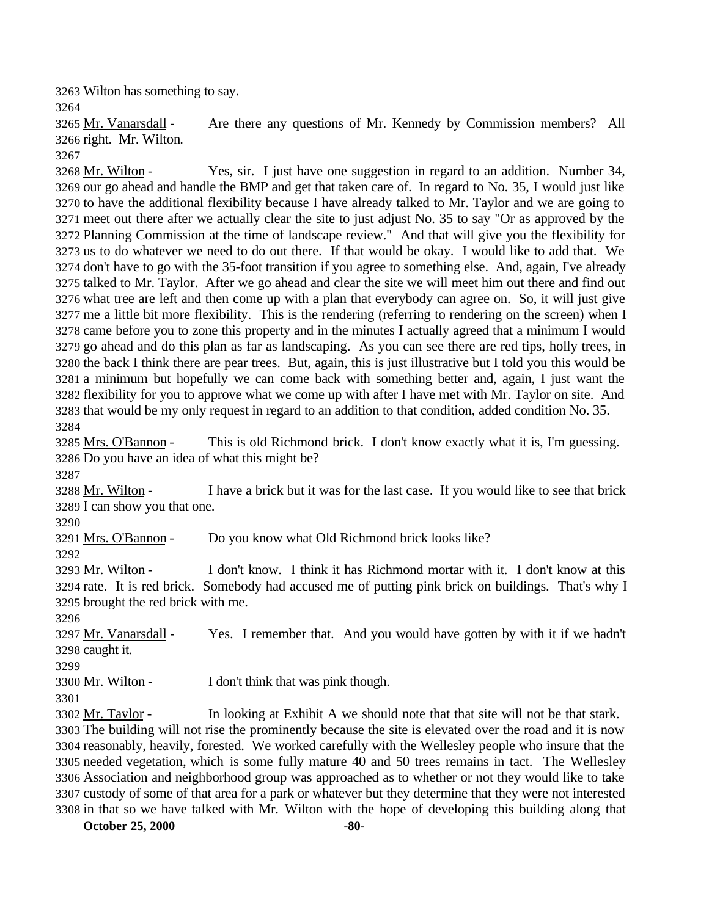Wilton has something to say.

 Mr. Vanarsdall - Are there any questions of Mr. Kennedy by Commission members? All right. Mr. Wilton. 

 Mr. Wilton - Yes, sir. I just have one suggestion in regard to an addition. Number 34, our go ahead and handle the BMP and get that taken care of. In regard to No. 35, I would just like to have the additional flexibility because I have already talked to Mr. Taylor and we are going to meet out there after we actually clear the site to just adjust No. 35 to say "Or as approved by the Planning Commission at the time of landscape review." And that will give you the flexibility for us to do whatever we need to do out there. If that would be okay. I would like to add that. We don't have to go with the 35-foot transition if you agree to something else. And, again, I've already talked to Mr. Taylor. After we go ahead and clear the site we will meet him out there and find out what tree are left and then come up with a plan that everybody can agree on. So, it will just give me a little bit more flexibility. This is the rendering (referring to rendering on the screen) when I came before you to zone this property and in the minutes I actually agreed that a minimum I would go ahead and do this plan as far as landscaping. As you can see there are red tips, holly trees, in the back I think there are pear trees. But, again, this is just illustrative but I told you this would be a minimum but hopefully we can come back with something better and, again, I just want the flexibility for you to approve what we come up with after I have met with Mr. Taylor on site. And that would be my only request in regard to an addition to that condition, added condition No. 35. 

 Mrs. O'Bannon - This is old Richmond brick. I don't know exactly what it is, I'm guessing. Do you have an idea of what this might be?

 Mr. Wilton - I have a brick but it was for the last case. If you would like to see that brick I can show you that one.

Mrs. O'Bannon - Do you know what Old Richmond brick looks like?

 Mr. Wilton - I don't know. I think it has Richmond mortar with it. I don't know at this rate. It is red brick. Somebody had accused me of putting pink brick on buildings. That's why I brought the red brick with me.

 Mr. Vanarsdall - Yes. I remember that. And you would have gotten by with it if we hadn't caught it.

3300 Mr. Wilton - I don't think that was pink though.

3302 Mr. Taylor - In looking at Exhibit A we should note that that site will not be that stark. The building will not rise the prominently because the site is elevated over the road and it is now reasonably, heavily, forested. We worked carefully with the Wellesley people who insure that the needed vegetation, which is some fully mature 40 and 50 trees remains in tact. The Wellesley Association and neighborhood group was approached as to whether or not they would like to take custody of some of that area for a park or whatever but they determine that they were not interested in that so we have talked with Mr. Wilton with the hope of developing this building along that

**October 25, 2000 -80-**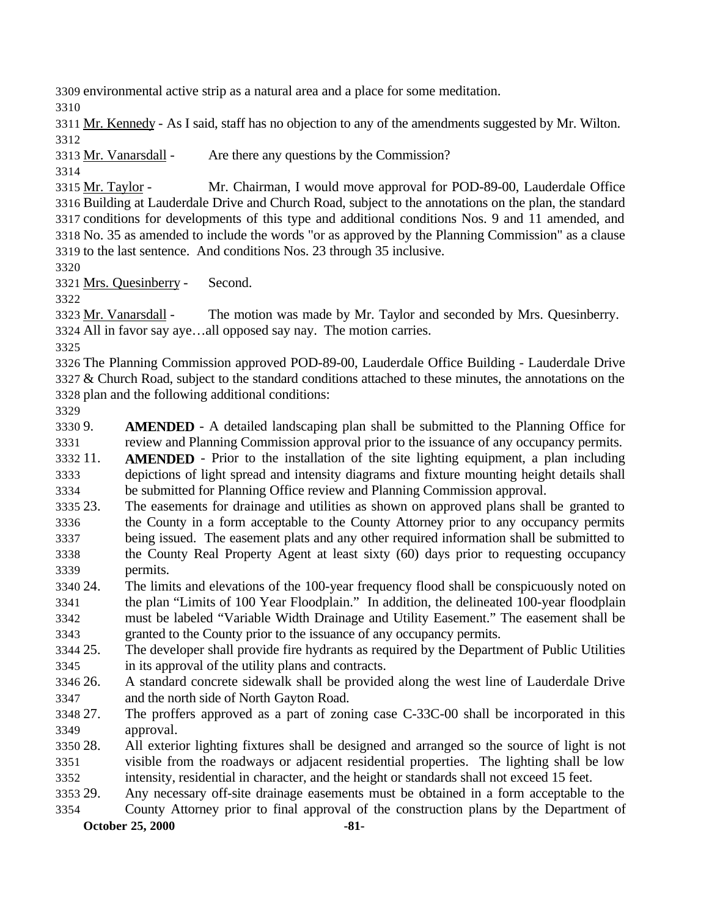environmental active strip as a natural area and a place for some meditation.

 Mr. Kennedy - As I said, staff has no objection to any of the amendments suggested by Mr. Wilton. 

Mr. Vanarsdall - Are there any questions by the Commission?

 Mr. Taylor - Mr. Chairman, I would move approval for POD-89-00, Lauderdale Office Building at Lauderdale Drive and Church Road, subject to the annotations on the plan, the standard conditions for developments of this type and additional conditions Nos. 9 and 11 amended, and No. 35 as amended to include the words "or as approved by the Planning Commission" as a clause to the last sentence. And conditions Nos. 23 through 35 inclusive.

Mrs. Quesinberry - Second.

 Mr. Vanarsdall - The motion was made by Mr. Taylor and seconded by Mrs. Quesinberry. All in favor say aye…all opposed say nay. The motion carries.

 The Planning Commission approved POD-89-00, Lauderdale Office Building - Lauderdale Drive & Church Road, subject to the standard conditions attached to these minutes, the annotations on the plan and the following additional conditions:

 9. **AMENDED** - A detailed landscaping plan shall be submitted to the Planning Office for review and Planning Commission approval prior to the issuance of any occupancy permits.

 11. **AMENDED** - Prior to the installation of the site lighting equipment, a plan including depictions of light spread and intensity diagrams and fixture mounting height details shall be submitted for Planning Office review and Planning Commission approval.

- 23. The easements for drainage and utilities as shown on approved plans shall be granted to the County in a form acceptable to the County Attorney prior to any occupancy permits being issued. The easement plats and any other required information shall be submitted to the County Real Property Agent at least sixty (60) days prior to requesting occupancy permits.
- 24. The limits and elevations of the 100-year frequency flood shall be conspicuously noted on the plan "Limits of 100 Year Floodplain." In addition, the delineated 100-year floodplain must be labeled "Variable Width Drainage and Utility Easement." The easement shall be

granted to the County prior to the issuance of any occupancy permits.

 25. The developer shall provide fire hydrants as required by the Department of Public Utilities in its approval of the utility plans and contracts.

 26. A standard concrete sidewalk shall be provided along the west line of Lauderdale Drive and the north side of North Gayton Road.

 27. The proffers approved as a part of zoning case C-33C-00 shall be incorporated in this approval.

 28. All exterior lighting fixtures shall be designed and arranged so the source of light is not visible from the roadways or adjacent residential properties. The lighting shall be low intensity, residential in character, and the height or standards shall not exceed 15 feet.

29. Any necessary off-site drainage easements must be obtained in a form acceptable to the

**October 25, 2000 -81-** County Attorney prior to final approval of the construction plans by the Department of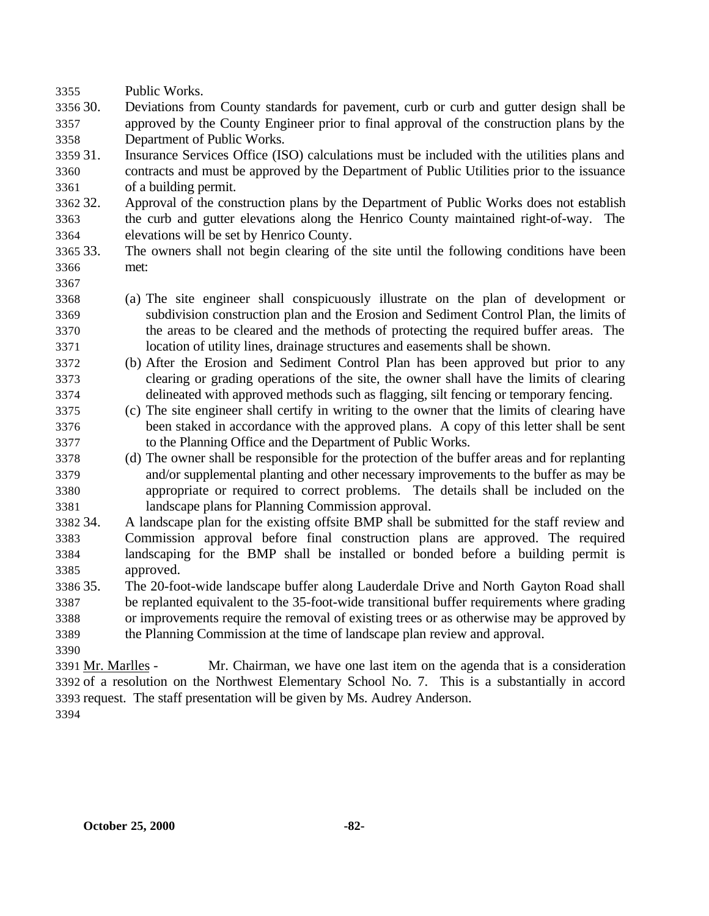- Public Works.
- 30. Deviations from County standards for pavement, curb or curb and gutter design shall be approved by the County Engineer prior to final approval of the construction plans by the Department of Public Works.
- 31. Insurance Services Office (ISO) calculations must be included with the utilities plans and contracts and must be approved by the Department of Public Utilities prior to the issuance of a building permit.
- 32. Approval of the construction plans by the Department of Public Works does not establish the curb and gutter elevations along the Henrico County maintained right-of-way. The elevations will be set by Henrico County.
- 33. The owners shall not begin clearing of the site until the following conditions have been met:
- 
- (a) The site engineer shall conspicuously illustrate on the plan of development or subdivision construction plan and the Erosion and Sediment Control Plan, the limits of the areas to be cleared and the methods of protecting the required buffer areas. The location of utility lines, drainage structures and easements shall be shown.
- (b) After the Erosion and Sediment Control Plan has been approved but prior to any clearing or grading operations of the site, the owner shall have the limits of clearing delineated with approved methods such as flagging, silt fencing or temporary fencing.
- (c) The site engineer shall certify in writing to the owner that the limits of clearing have been staked in accordance with the approved plans. A copy of this letter shall be sent to the Planning Office and the Department of Public Works.
- (d) The owner shall be responsible for the protection of the buffer areas and for replanting and/or supplemental planting and other necessary improvements to the buffer as may be appropriate or required to correct problems. The details shall be included on the landscape plans for Planning Commission approval.
- 34. A landscape plan for the existing offsite BMP shall be submitted for the staff review and Commission approval before final construction plans are approved. The required landscaping for the BMP shall be installed or bonded before a building permit is approved.
- 35. The 20-foot-wide landscape buffer along Lauderdale Drive and North Gayton Road shall be replanted equivalent to the 35-foot-wide transitional buffer requirements where grading or improvements require the removal of existing trees or as otherwise may be approved by the Planning Commission at the time of landscape plan review and approval.
- Mr. Marlles Mr. Chairman, we have one last item on the agenda that is a consideration of a resolution on the Northwest Elementary School No. 7. This is a substantially in accord request. The staff presentation will be given by Ms. Audrey Anderson.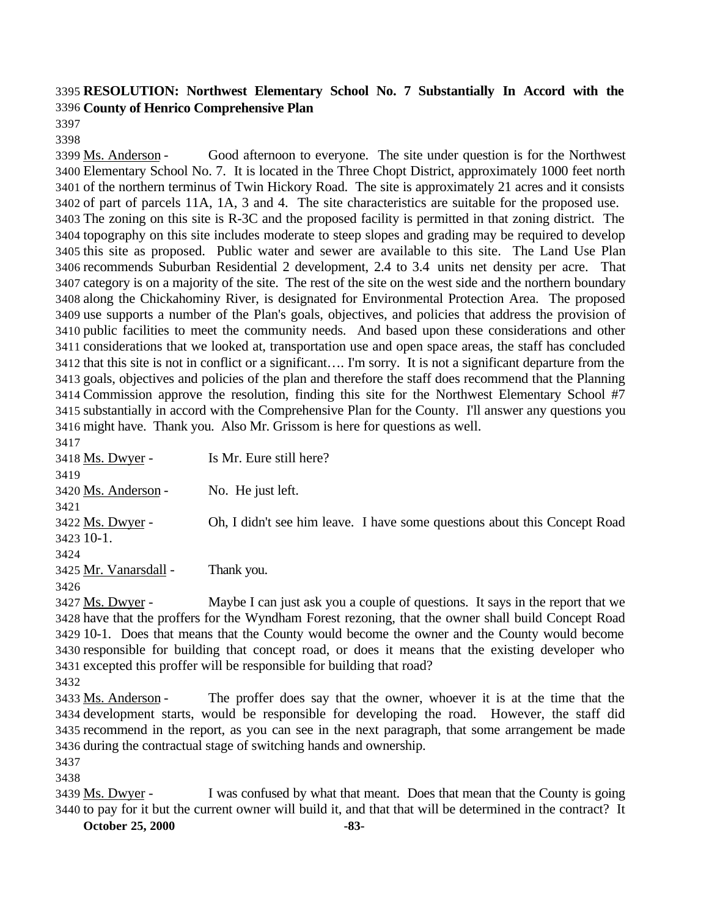# **RESOLUTION: Northwest Elementary School No. 7 Substantially In Accord with the County of Henrico Comprehensive Plan**

 

 Ms. Anderson - Good afternoon to everyone. The site under question is for the Northwest Elementary School No. 7. It is located in the Three Chopt District, approximately 1000 feet north of the northern terminus of Twin Hickory Road. The site is approximately 21 acres and it consists of part of parcels 11A, 1A, 3 and 4. The site characteristics are suitable for the proposed use. The zoning on this site is R-3C and the proposed facility is permitted in that zoning district. The topography on this site includes moderate to steep slopes and grading may be required to develop this site as proposed. Public water and sewer are available to this site. The Land Use Plan recommends Suburban Residential 2 development, 2.4 to 3.4 units net density per acre. That category is on a majority of the site. The rest of the site on the west side and the northern boundary along the Chickahominy River, is designated for Environmental Protection Area. The proposed use supports a number of the Plan's goals, objectives, and policies that address the provision of public facilities to meet the community needs. And based upon these considerations and other considerations that we looked at, transportation use and open space areas, the staff has concluded that this site is not in conflict or a significant…. I'm sorry. It is not a significant departure from the goals, objectives and policies of the plan and therefore the staff does recommend that the Planning Commission approve the resolution, finding this site for the Northwest Elementary School #7 substantially in accord with the Comprehensive Plan for the County. I'll answer any questions you might have. Thank you. Also Mr. Grissom is here for questions as well. 

| . ) + 1               |                                                                              |
|-----------------------|------------------------------------------------------------------------------|
| 3418 Ms. Dwyer -      | Is Mr. Eure still here?                                                      |
| 3419                  |                                                                              |
| 3420 Ms. Anderson -   | No. He just left.                                                            |
| 3421                  |                                                                              |
| 3422 Ms. Dwyer -      | Oh, I didn't see him leave. I have some questions about this Concept Road    |
| 3423 10-1.            |                                                                              |
| 3424                  |                                                                              |
| 3425 Mr. Vanarsdall - | Thank you.                                                                   |
| 3426                  |                                                                              |
| 2427 $M_s$ Duver      | Maybe Lean just ask you a couple of questions. It save in the report that we |

3427 Ms. Dwyer - Maybe I can just ask you a couple of questions. It says in the report that we have that the proffers for the Wyndham Forest rezoning, that the owner shall build Concept Road 10-1. Does that means that the County would become the owner and the County would become responsible for building that concept road, or does it means that the existing developer who excepted this proffer will be responsible for building that road?

 Ms. Anderson - The proffer does say that the owner, whoever it is at the time that the development starts, would be responsible for developing the road. However, the staff did recommend in the report, as you can see in the next paragraph, that some arrangement be made during the contractual stage of switching hands and ownership.

3439 Ms. Dwyer - I was confused by what that meant. Does that mean that the County is going to pay for it but the current owner will build it, and that that will be determined in the contract? It

**October 25, 2000 -83-**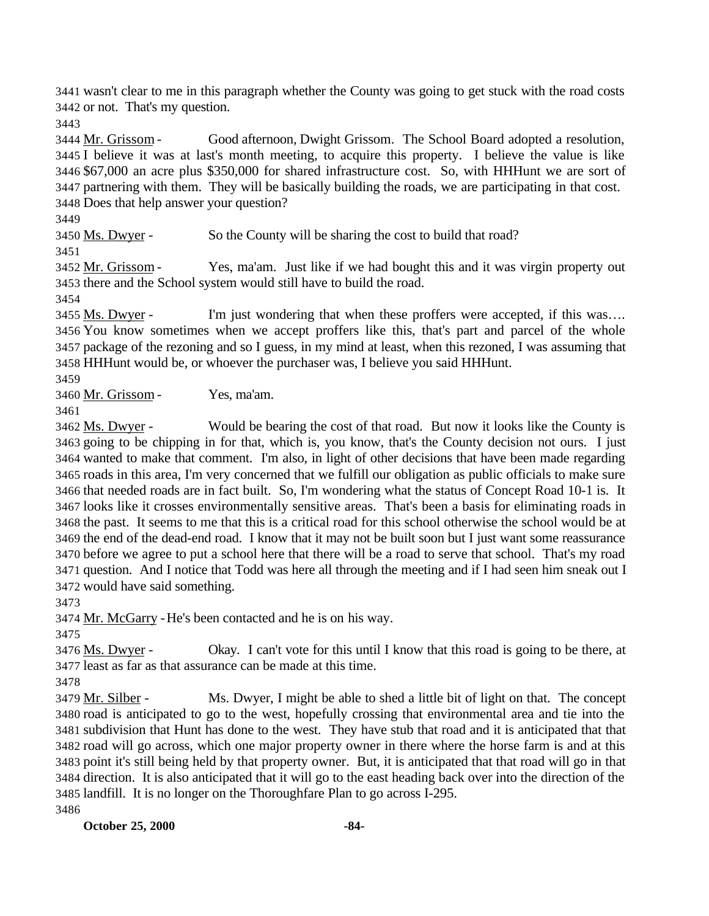wasn't clear to me in this paragraph whether the County was going to get stuck with the road costs or not. That's my question.

3444 Mr. Grissom - Good afternoon, Dwight Grissom. The School Board adopted a resolution, I believe it was at last's month meeting, to acquire this property. I believe the value is like \$67,000 an acre plus \$350,000 for shared infrastructure cost. So, with HHHunt we are sort of partnering with them. They will be basically building the roads, we are participating in that cost. Does that help answer your question?

3450 Ms. Dwyer - So the County will be sharing the cost to build that road?

3452 Mr. Grissom - Yes, ma'am. Just like if we had bought this and it was virgin property out there and the School system would still have to build the road.

3455 Ms. Dwyer - I'm just wondering that when these proffers were accepted, if this was.... You know sometimes when we accept proffers like this, that's part and parcel of the whole package of the rezoning and so I guess, in my mind at least, when this rezoned, I was assuming that HHHunt would be, or whoever the purchaser was, I believe you said HHHunt.

Mr. Grissom - Yes, ma'am.

 Ms. Dwyer - Would be bearing the cost of that road. But now it looks like the County is going to be chipping in for that, which is, you know, that's the County decision not ours. I just wanted to make that comment. I'm also, in light of other decisions that have been made regarding roads in this area, I'm very concerned that we fulfill our obligation as public officials to make sure that needed roads are in fact built. So, I'm wondering what the status of Concept Road 10-1 is. It looks like it crosses environmentally sensitive areas. That's been a basis for eliminating roads in the past. It seems to me that this is a critical road for this school otherwise the school would be at the end of the dead-end road. I know that it may not be built soon but I just want some reassurance before we agree to put a school here that there will be a road to serve that school. That's my road question. And I notice that Todd was here all through the meeting and if I had seen him sneak out I would have said something.

3474 Mr. McGarry - He's been contacted and he is on his way.

 Ms. Dwyer - Okay. I can't vote for this until I know that this road is going to be there, at least as far as that assurance can be made at this time.

 Mr. Silber - Ms. Dwyer, I might be able to shed a little bit of light on that. The concept road is anticipated to go to the west, hopefully crossing that environmental area and tie into the subdivision that Hunt has done to the west. They have stub that road and it is anticipated that that road will go across, which one major property owner in there where the horse farm is and at this point it's still being held by that property owner. But, it is anticipated that that road will go in that direction. It is also anticipated that it will go to the east heading back over into the direction of the landfill. It is no longer on the Thoroughfare Plan to go across I-295. 

**October 25, 2000 -84-**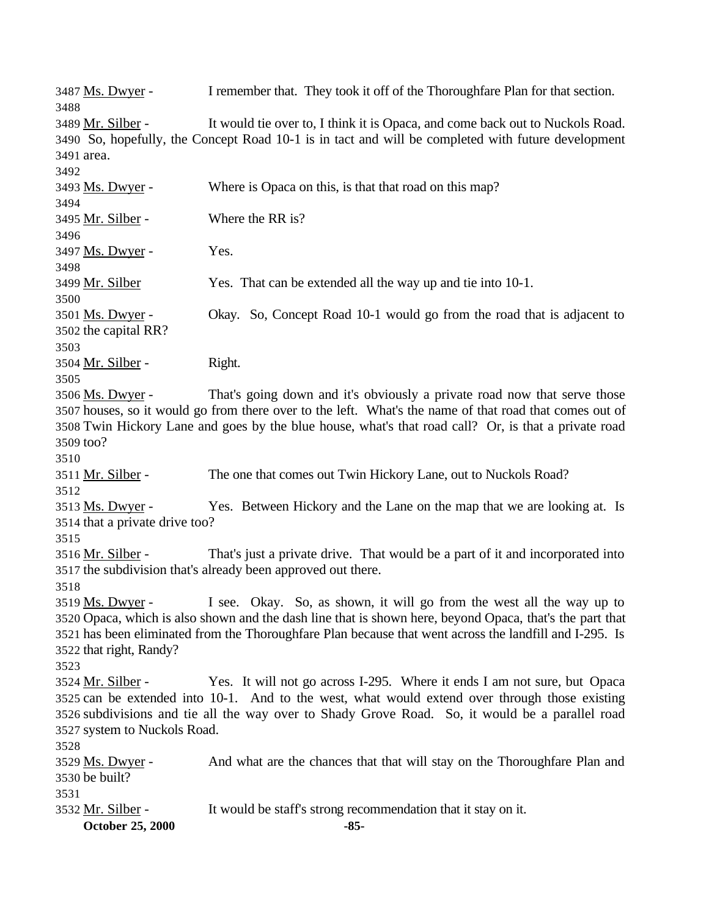| 3487 <u>Ms. Dwyer</u> -              | I remember that. They took it off of the Thoroughfare Plan for that section.                             |
|--------------------------------------|----------------------------------------------------------------------------------------------------------|
| 3488<br>3489 Mr. Silber -            | It would tie over to, I think it is Opaca, and come back out to Nuckols Road.                            |
|                                      | 3490 So, hopefully, the Concept Road 10-1 is in tact and will be completed with future development       |
| 3491 area.                           |                                                                                                          |
| 3492                                 |                                                                                                          |
| 3493 <u>Ms. Dwyer</u> -              | Where is Opaca on this, is that that road on this map?                                                   |
| 3494                                 |                                                                                                          |
| 3495 <u>Mr. Silber</u> -             | Where the RR is?                                                                                         |
| 3496                                 |                                                                                                          |
| 3497 <u>Ms. Dwyer</u> -              | Yes.                                                                                                     |
| 3498                                 |                                                                                                          |
| 3499 Mr. Silber                      | Yes. That can be extended all the way up and tie into 10-1.                                              |
| 3500                                 |                                                                                                          |
| 3501 <u>Ms. Dwyer</u> -              | Okay. So, Concept Road 10-1 would go from the road that is adjacent to                                   |
| 3502 the capital RR?                 |                                                                                                          |
| 3503                                 |                                                                                                          |
| 3504 Mr. Silber -<br>3505            | Right.                                                                                                   |
| 3506 Ms. Dwyer -                     | That's going down and it's obviously a private road now that serve those                                 |
|                                      | 3507 houses, so it would go from there over to the left. What's the name of that road that comes out of  |
|                                      | 3508 Twin Hickory Lane and goes by the blue house, what's that road call? Or, is that a private road     |
| 3509 too?                            |                                                                                                          |
| 3510                                 |                                                                                                          |
| 3511 <u>Mr. Silber</u> -             | The one that comes out Twin Hickory Lane, out to Nuckols Road?                                           |
| 3512                                 |                                                                                                          |
| 3513 <u>Ms. Dwyer</u> -              | Yes. Between Hickory and the Lane on the map that we are looking at. Is                                  |
| 3514 that a private drive too?       |                                                                                                          |
| 3515                                 |                                                                                                          |
| 3516 <u>Mr. Silber</u> -             | That's just a private drive. That would be a part of it and incorporated into                            |
|                                      | 3517 the subdivision that's already been approved out there.                                             |
| 3518                                 |                                                                                                          |
|                                      | 3519 Ms. Dwyer - I see. Okay. So, as shown, it will go from the west all the way up to                   |
|                                      | 3520 Opaca, which is also shown and the dash line that is shown here, beyond Opaca, that's the part that |
|                                      | 3521 has been eliminated from the Thoroughfare Plan because that went across the landfill and I-295. Is  |
| 3522 that right, Randy?              |                                                                                                          |
| 3523                                 |                                                                                                          |
| 3524 <u>Mr. Silber</u> -             | Yes. It will not go across I-295. Where it ends I am not sure, but Opaca                                 |
|                                      | 3525 can be extended into 10-1. And to the west, what would extend over through those existing           |
|                                      | 3526 subdivisions and tie all the way over to Shady Grove Road. So, it would be a parallel road          |
| 3527 system to Nuckols Road.<br>3528 |                                                                                                          |
| 3529 <u>Ms. Dwyer</u> -              | And what are the chances that that will stay on the Thoroughfare Plan and                                |
| 3530 be built?                       |                                                                                                          |
| 3531                                 |                                                                                                          |
| 3532 <u>Mr. Silber</u> -             | It would be staff's strong recommendation that it stay on it.                                            |
| October 25, 2000                     | $-85-$                                                                                                   |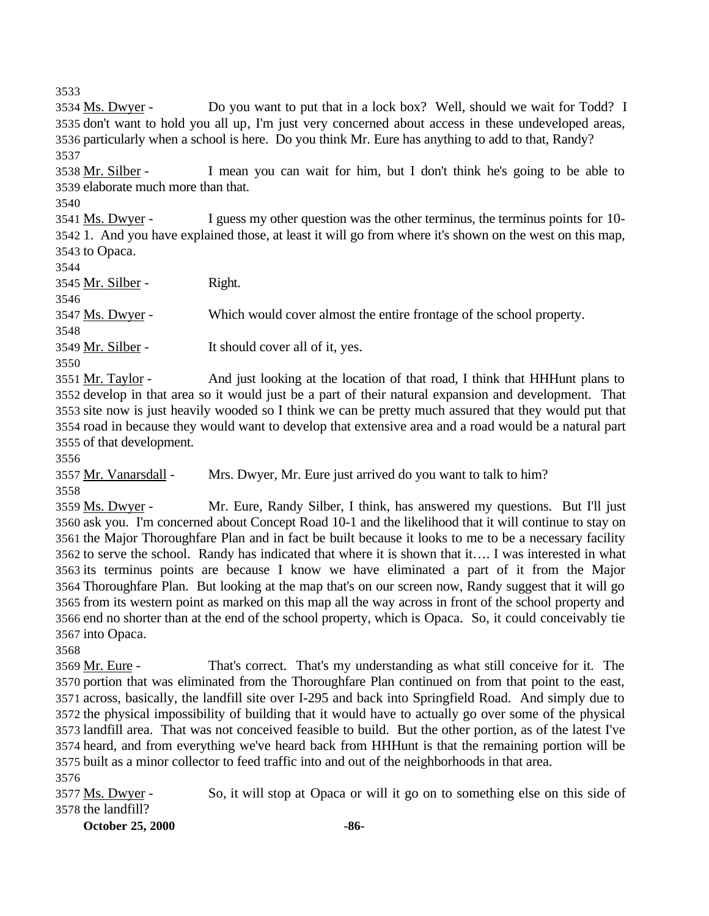3534 Ms. Dwyer - Do you want to put that in a lock box? Well, should we wait for Todd? I don't want to hold you all up, I'm just very concerned about access in these undeveloped areas, particularly when a school is here. Do you think Mr. Eure has anything to add to that, Randy? 

 Mr. Silber - I mean you can wait for him, but I don't think he's going to be able to elaborate much more than that.

 Ms. Dwyer - I guess my other question was the other terminus, the terminus points for 10- 1. And you have explained those, at least it will go from where it's shown on the west on this map, to Opaca.

| 3544              |                                                                      |
|-------------------|----------------------------------------------------------------------|
| 3545 Mr. Silber - | Right.                                                               |
| 3546              |                                                                      |
| 3547 Ms. Dwyer -  | Which would cover almost the entire frontage of the school property. |
| 3548              |                                                                      |
| 3549 Mr. Silber - | It should cover all of it, yes.                                      |
| 3550              |                                                                      |

 Mr. Taylor - And just looking at the location of that road, I think that HHHunt plans to develop in that area so it would just be a part of their natural expansion and development. That site now is just heavily wooded so I think we can be pretty much assured that they would put that road in because they would want to develop that extensive area and a road would be a natural part of that development.

Mr. Vanarsdall - Mrs. Dwyer, Mr. Eure just arrived do you want to talk to him?

 Ms. Dwyer - Mr. Eure, Randy Silber, I think, has answered my questions. But I'll just ask you. I'm concerned about Concept Road 10-1 and the likelihood that it will continue to stay on the Major Thoroughfare Plan and in fact be built because it looks to me to be a necessary facility to serve the school. Randy has indicated that where it is shown that it…. I was interested in what its terminus points are because I know we have eliminated a part of it from the Major Thoroughfare Plan. But looking at the map that's on our screen now, Randy suggest that it will go from its western point as marked on this map all the way across in front of the school property and end no shorter than at the end of the school property, which is Opaca. So, it could conceivably tie into Opaca.

 Mr. Eure - That's correct. That's my understanding as what still conceive for it. The portion that was eliminated from the Thoroughfare Plan continued on from that point to the east, across, basically, the landfill site over I-295 and back into Springfield Road. And simply due to the physical impossibility of building that it would have to actually go over some of the physical landfill area. That was not conceived feasible to build. But the other portion, as of the latest I've heard, and from everything we've heard back from HHHunt is that the remaining portion will be built as a minor collector to feed traffic into and out of the neighborhoods in that area.

 Ms. Dwyer - So, it will stop at Opaca or will it go on to something else on this side of the landfill?

**October 25, 2000 -86-**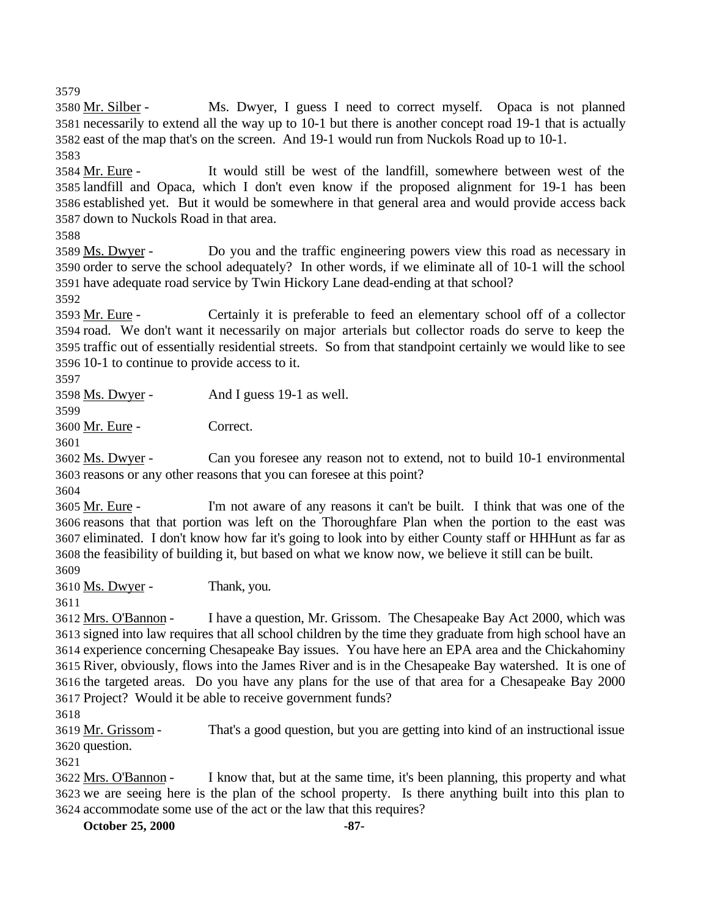Mr. Silber - Ms. Dwyer, I guess I need to correct myself. Opaca is not planned necessarily to extend all the way up to 10-1 but there is another concept road 19-1 that is actually east of the map that's on the screen. And 19-1 would run from Nuckols Road up to 10-1.

 Mr. Eure - It would still be west of the landfill, somewhere between west of the landfill and Opaca, which I don't even know if the proposed alignment for 19-1 has been established yet. But it would be somewhere in that general area and would provide access back down to Nuckols Road in that area.

 Ms. Dwyer - Do you and the traffic engineering powers view this road as necessary in order to serve the school adequately? In other words, if we eliminate all of 10-1 will the school have adequate road service by Twin Hickory Lane dead-ending at that school?

 Mr. Eure - Certainly it is preferable to feed an elementary school off of a collector road. We don't want it necessarily on major arterials but collector roads do serve to keep the traffic out of essentially residential streets. So from that standpoint certainly we would like to see 10-1 to continue to provide access to it.

Ms. Dwyer - And I guess 19-1 as well.

Mr. Eure - Correct.

 Ms. Dwyer - Can you foresee any reason not to extend, not to build 10-1 environmental reasons or any other reasons that you can foresee at this point?

 Mr. Eure - I'm not aware of any reasons it can't be built. I think that was one of the reasons that that portion was left on the Thoroughfare Plan when the portion to the east was eliminated. I don't know how far it's going to look into by either County staff or HHHunt as far as the feasibility of building it, but based on what we know now, we believe it still can be built. 

Ms. Dwyer - Thank, you.

 Mrs. O'Bannon - I have a question, Mr. Grissom. The Chesapeake Bay Act 2000, which was signed into law requires that all school children by the time they graduate from high school have an experience concerning Chesapeake Bay issues. You have here an EPA area and the Chickahominy River, obviously, flows into the James River and is in the Chesapeake Bay watershed. It is one of the targeted areas. Do you have any plans for the use of that area for a Chesapeake Bay 2000 Project? Would it be able to receive government funds?

 Mr. Grissom - That's a good question, but you are getting into kind of an instructional issue question.

 Mrs. O'Bannon - I know that, but at the same time, it's been planning, this property and what we are seeing here is the plan of the school property. Is there anything built into this plan to accommodate some use of the act or the law that this requires?

**October 25, 2000 -87-**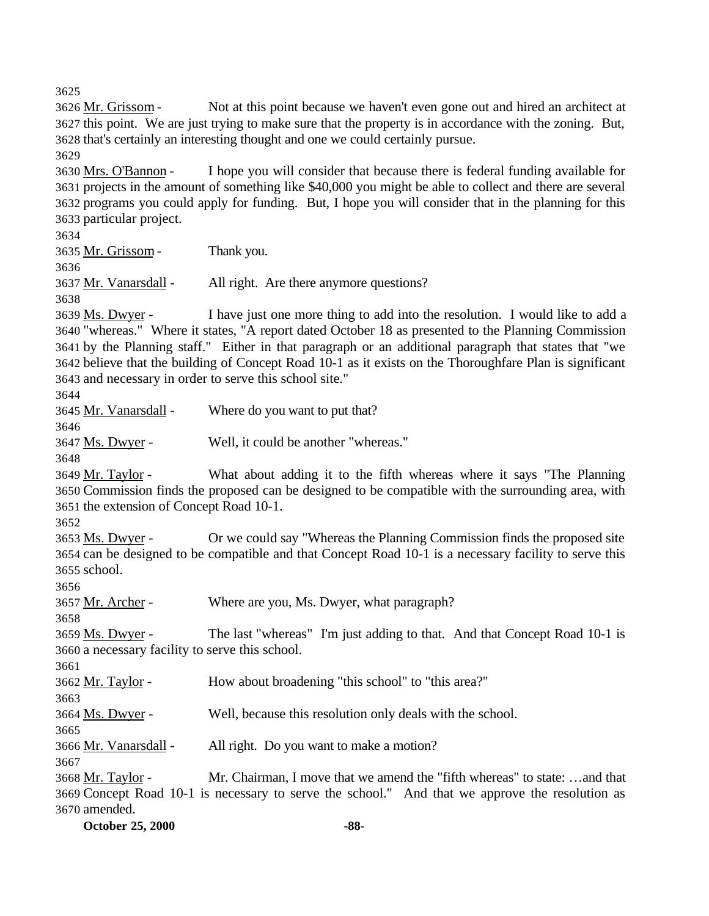Mr. Grissom - Not at this point because we haven't even gone out and hired an architect at this point. We are just trying to make sure that the property is in accordance with the zoning. But, that's certainly an interesting thought and one we could certainly pursue. Mrs. O'Bannon - I hope you will consider that because there is federal funding available for projects in the amount of something like \$40,000 you might be able to collect and there are several programs you could apply for funding. But, I hope you will consider that in the planning for this

particular project.

Mr. Grissom - Thank you.

Mr. Vanarsdall - All right. Are there anymore questions?

 Ms. Dwyer - I have just one more thing to add into the resolution. I would like to add a "whereas." Where it states, "A report dated October 18 as presented to the Planning Commission by the Planning staff." Either in that paragraph or an additional paragraph that states that "we believe that the building of Concept Road 10-1 as it exists on the Thoroughfare Plan is significant and necessary in order to serve this school site."

Mr. Vanarsdall - Where do you want to put that?

Ms. Dwyer - Well, it could be another "whereas."

3649 Mr. Taylor - What about adding it to the fifth whereas where it says "The Planning Commission finds the proposed can be designed to be compatible with the surrounding area, with the extension of Concept Road 10-1.

3653 Ms. Dwyer - Or we could say "Whereas the Planning Commission finds the proposed site can be designed to be compatible and that Concept Road 10-1 is a necessary facility to serve this school.

Mr. Archer - Where are you, Ms. Dwyer, what paragraph?

 Ms. Dwyer - The last "whereas" I'm just adding to that. And that Concept Road 10-1 is a necessary facility to serve this school.

Mr. Taylor - How about broadening "this school" to "this area?"

Ms. Dwyer - Well, because this resolution only deals with the school.

Mr. Vanarsdall - All right. Do you want to make a motion?

 Mr. Taylor - Mr. Chairman, I move that we amend the "fifth whereas" to state: …and that Concept Road 10-1 is necessary to serve the school." And that we approve the resolution as amended.

**October 25, 2000 -88-**